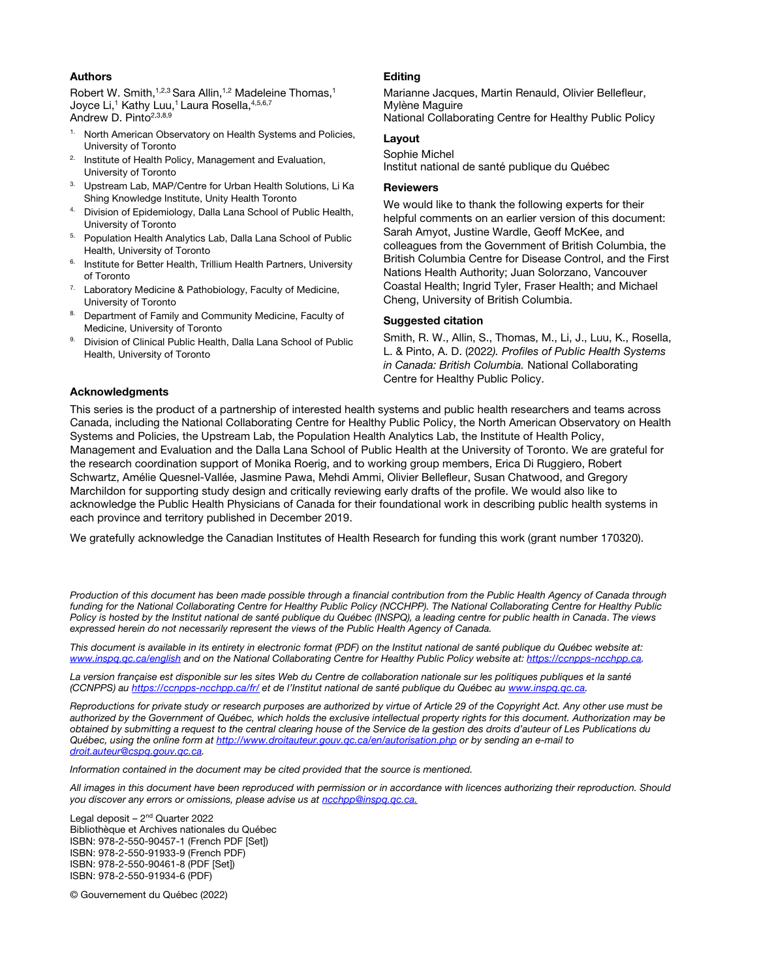### **Authors**

Robert W. Smith,<sup>1,2,3</sup> Sara Allin,<sup>1,2</sup> Madeleine Thomas,<sup>1</sup> Joyce Li,<sup>1</sup> Kathy Luu,<sup>1</sup> Laura Rosella,<sup>4,5,6,7</sup> Andrew D. Pinto<sup>2,3,8,9</sup>

- <sup>1.</sup> North American Observatory on Health Systems and Policies, University of Toronto
- <sup>2.</sup> Institute of Health Policy, Management and Evaluation, University of Toronto
- 3. Upstream Lab, MAP/Centre for Urban Health Solutions, Li Ka Shing Knowledge Institute, Unity Health Toronto
- 4. Division of Epidemiology, Dalla Lana School of Public Health, University of Toronto
- <sup>5.</sup> Population Health Analytics Lab, Dalla Lana School of Public Health, University of Toronto
- <sup>6.</sup> Institute for Better Health, Trillium Health Partners, University of Toronto
- <sup>7.</sup> Laboratory Medicine & Pathobiology, Faculty of Medicine, University of Toronto
- 8. Department of Family and Community Medicine, Faculty of Medicine, University of Toronto
- Division of Clinical Public Health, Dalla Lana School of Public Health, University of Toronto

### **Editing**

Marianne Jacques, Martin Renauld, Olivier Bellefleur, Mylène Maguire National Collaborating Centre for Healthy Public Policy

### Layout

Sophie Michel Institut national de santé publique du Québec

### **Reviewers**

We would like to thank the following experts for their helpful comments on an earlier version of this document: Sarah Amyot, Justine Wardle, Geoff McKee, and colleagues from the Government of British Columbia, the British Columbia Centre for Disease Control, and the First Nations Health Authority; Juan Solorzano, Vancouver Coastal Health; Ingrid Tyler, Fraser Health; and Michael Cheng, University of British Columbia.

### Suggested citation

Smith, R. W., Allin, S., Thomas, M., Li, J., Luu, K., Rosella, L. & Pinto, A. D. (2022*). Profiles of Public Health Systems in Canada: British Columbia.* National Collaborating Centre for Healthy Public Policy.

### Acknowledgments

This series is the product of a partnership of interested health systems and public health researchers and teams across Canada, including the National Collaborating Centre for Healthy Public Policy, the North American Observatory on Health Systems and Policies, the Upstream Lab, the Population Health Analytics Lab, the Institute of Health Policy, Management and Evaluation and the Dalla Lana School of Public Health at the University of Toronto. We are grateful for the research coordination support of Monika Roerig, and to working group members, Erica Di Ruggiero, Robert Schwartz, Amélie Quesnel-Vallée, Jasmine Pawa, Mehdi Ammi, Olivier Bellefleur, Susan Chatwood, and Gregory Marchildon for supporting study design and critically reviewing early drafts of the profile. We would also like to acknowledge the Public Health Physicians of Canada for their foundational work in describing public health systems in each province and territory published in December 2019.

We gratefully acknowledge the Canadian Institutes of Health Research for funding this work (grant number 170320).

*Production of this document has been made possible through a financial contribution from the Public Health Agency of Canada through funding for the National Collaborating Centre for Healthy Public Policy (NCCHPP). The National Collaborating Centre for Healthy Public Policy is hosted by the Institut national de santé publique du Québec (INSPQ), a leading centre for public health in Canada*. *The views expressed herein do not necessarily represent the views of the Public Health Agency of Canada.*

*This document is available in its entirety in electronic format (PDF) on the Institut national de santé publique du Québec website at: [www.inspq.qc.ca/english a](http://www.inspq.qc.ca/english)nd on the National Collaborating Centre for Healthy Public Policy website at: https://ccnpps-ncchpp.ca.* 

*La version française est disponible sur les sites Web du Centre de collaboration nationale sur les politiques publiques et la santé (CCNPPS) au<https://ccnpps-ncchpp.ca/fr/>et de l'Institut national de santé publique du Québec a[u www.inspq.qc.ca.](http://www.inspq.qc.ca/)* 

*Reproductions for private study or research purposes are authorized by virtue of Article 29 of the Copyright Act. Any other use must be authorized by the Government of Québec, which holds the exclusive intellectual property rights for this document. Authorization may be obtained by submitting a request to the central clearing house of the Service de la gestion des droits d'auteur of Les Publications du Québec, using the online form at [http://www.droitauteur.gouv.qc.ca/en/autorisation.php o](http://www.droitauteur.gouv.qc.ca/en/autorisation.php)r by sending an e-mail to [droit.auteur@cspq.gouv.qc.ca.](mailto:droit.auteur@cspq.gouv.qc.ca)* 

*Information contained in the document may be cited provided that the source is mentioned.*

*All images in this document have been reproduced with permission or in accordance with licences authorizing their reproduction. Should you discover any errors or omissions, please advise us at [ncchpp@inspq.qc.ca.](mailto:ncchpp@inspq.qc.ca)*

Legal deposit –  $2<sup>nd</sup>$  Quarter 2022 Bibliothèque et Archives nationales du Québec ISBN: 978-2-550-90457-1 (French PDF [Set]) ISBN: 978-2-550-91933-9 (French PDF) ISBN: 978-2-550-90461-8 (PDF [Set]) ISBN: 978-2-550-91934-6 (PDF)

© Gouvernement du Québec (2022)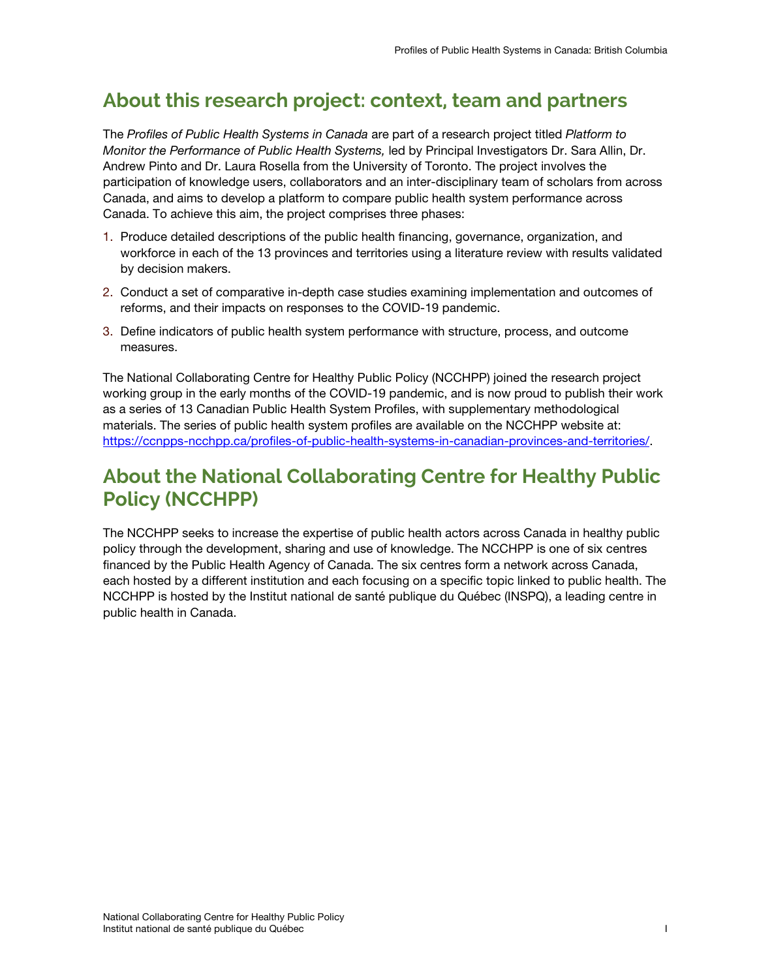# **About this research project: context, team and partners**

The *Profiles of Public Health Systems in Canada* are part of a research project titled *Platform to Monitor the Performance of Public Health Systems,* led by Principal Investigators Dr. Sara Allin, Dr. Andrew Pinto and Dr. Laura Rosella from the University of Toronto. The project involves the participation of knowledge users, collaborators and an inter-disciplinary team of scholars from across Canada, and aims to develop a platform to compare public health system performance across Canada. To achieve this aim, the project comprises three phases:

- 1. Produce detailed descriptions of the public health financing, governance, organization, and workforce in each of the 13 provinces and territories using a literature review with results validated by decision makers.
- 2. Conduct a set of comparative in-depth case studies examining implementation and outcomes of reforms, and their impacts on responses to the COVID-19 pandemic.
- 3. Define indicators of public health system performance with structure, process, and outcome measures.

The National Collaborating Centre for Healthy Public Policy (NCCHPP) joined the research project working group in the early months of the COVID-19 pandemic, and is now proud to publish their work as a series of 13 Canadian Public Health System Profiles, with supplementary methodological materials. The series of public health system profiles are available on the NCCHPP website at: [https://ccnpps-ncchpp.ca/profiles-of-public-health-systems-in-canadian-provinces-and-territories/.](https://ccnpps-ncchpp.ca/profiles-of-public-health-systems-in-canadian-provinces-and-territories/)

# **About the National Collaborating Centre for Healthy Public Policy (NCCHPP)**

The NCCHPP seeks to increase the expertise of public health actors across Canada in healthy public policy through the development, sharing and use of knowledge. The NCCHPP is one of six centres financed by the Public Health Agency of Canada. The six centres form a network across Canada, each hosted by a different institution and each focusing on a specific topic linked to public health. The NCCHPP is hosted by the Institut national de santé publique du Québec (INSPQ), a leading centre in public health in Canada.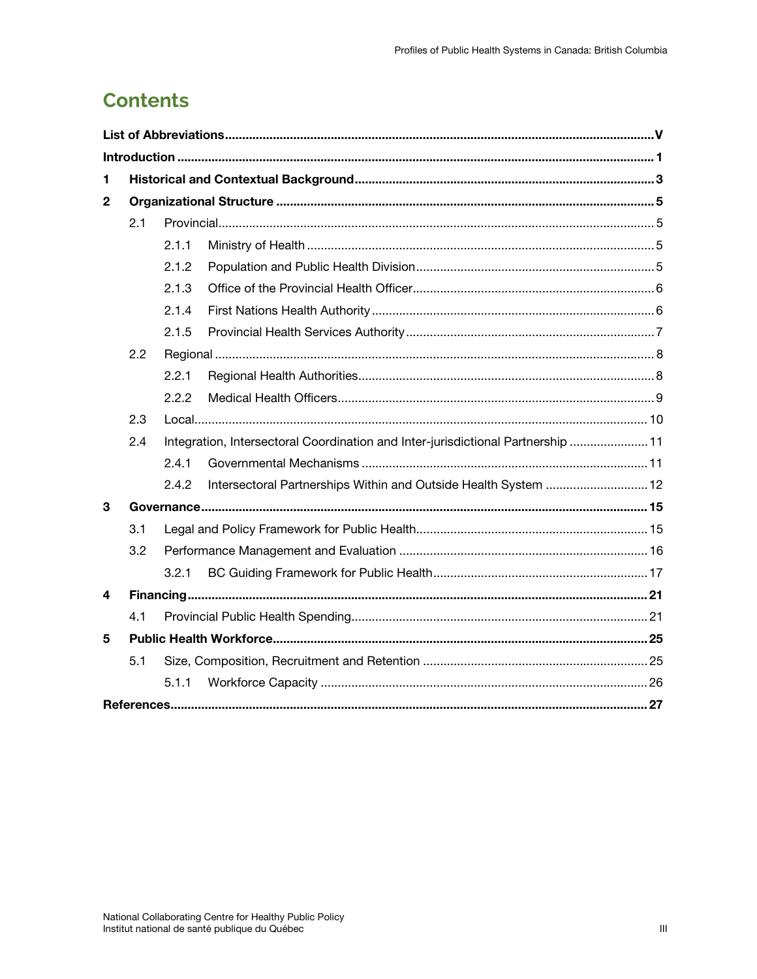# **Contents**

| 1              |     |                                                                                  |                                                                 |  |  |
|----------------|-----|----------------------------------------------------------------------------------|-----------------------------------------------------------------|--|--|
| $\overline{2}$ |     |                                                                                  |                                                                 |  |  |
|                | 2.1 |                                                                                  |                                                                 |  |  |
|                |     | 2.1.1                                                                            |                                                                 |  |  |
|                |     | 2.1.2                                                                            |                                                                 |  |  |
|                |     | 2.1.3                                                                            |                                                                 |  |  |
|                |     | 2.1.4                                                                            |                                                                 |  |  |
|                |     | 2.1.5                                                                            |                                                                 |  |  |
|                | 2.2 |                                                                                  |                                                                 |  |  |
|                |     | 2.2.1                                                                            |                                                                 |  |  |
|                |     | 2.2.2                                                                            |                                                                 |  |  |
|                | 2.3 |                                                                                  |                                                                 |  |  |
|                | 2.4 | Integration, Intersectoral Coordination and Inter-jurisdictional Partnership  11 |                                                                 |  |  |
|                |     | 2.4.1                                                                            |                                                                 |  |  |
|                |     | 2.4.2                                                                            | Intersectoral Partnerships Within and Outside Health System  12 |  |  |
| 3              |     |                                                                                  |                                                                 |  |  |
|                | 3.1 |                                                                                  |                                                                 |  |  |
|                | 3.2 |                                                                                  |                                                                 |  |  |
|                |     | 3.2.1                                                                            |                                                                 |  |  |
| 4              |     |                                                                                  |                                                                 |  |  |
|                | 4.1 |                                                                                  |                                                                 |  |  |
| 5              |     |                                                                                  |                                                                 |  |  |
|                | 5.1 |                                                                                  |                                                                 |  |  |
|                |     | 5.1.1                                                                            |                                                                 |  |  |
|                |     |                                                                                  |                                                                 |  |  |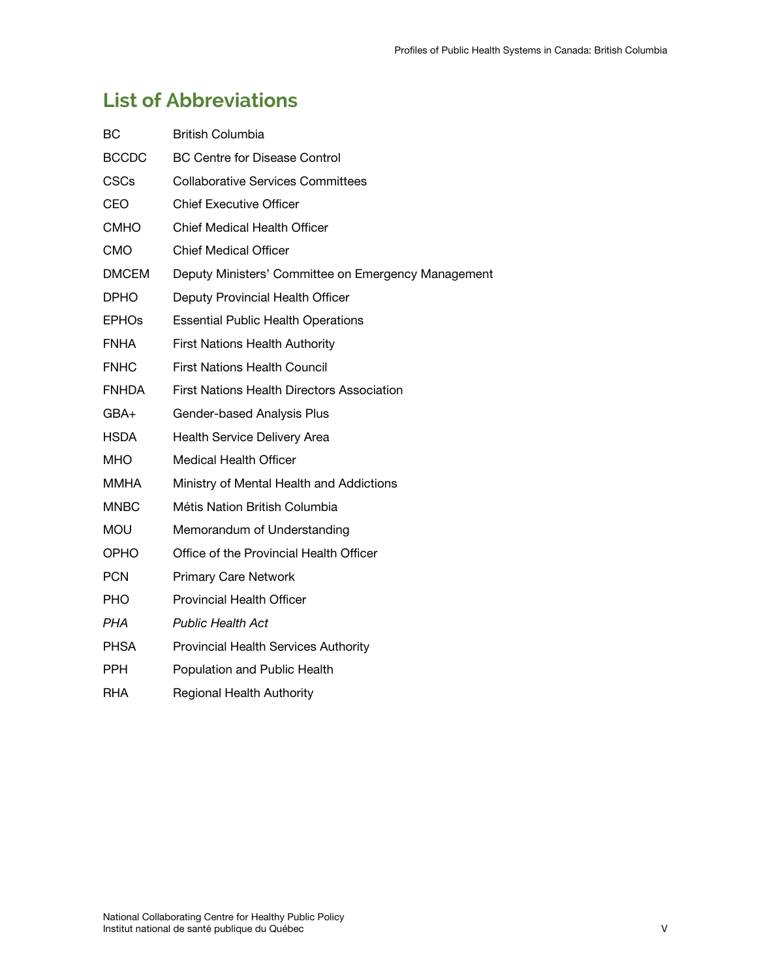# <span id="page-8-0"></span>**List of Abbreviations**

| ВC           | <b>British Columbia</b>                             |
|--------------|-----------------------------------------------------|
| <b>BCCDC</b> | <b>BC Centre for Disease Control</b>                |
| <b>CSCs</b>  | <b>Collaborative Services Committees</b>            |
| <b>CEO</b>   | <b>Chief Executive Officer</b>                      |
| <b>CMHO</b>  | <b>Chief Medical Health Officer</b>                 |
| <b>CMO</b>   | <b>Chief Medical Officer</b>                        |
| <b>DMCEM</b> | Deputy Ministers' Committee on Emergency Management |
| <b>DPHO</b>  | Deputy Provincial Health Officer                    |
| <b>EPHOS</b> | <b>Essential Public Health Operations</b>           |
| <b>FNHA</b>  | <b>First Nations Health Authority</b>               |
| <b>FNHC</b>  | <b>First Nations Health Council</b>                 |
| <b>FNHDA</b> | <b>First Nations Health Directors Association</b>   |
| GBA+         | Gender-based Analysis Plus                          |
| <b>HSDA</b>  | Health Service Delivery Area                        |
| MHO          | Medical Health Officer                              |
| MMHA         | Ministry of Mental Health and Addictions            |
| <b>MNBC</b>  | Métis Nation British Columbia                       |
| <b>MOU</b>   | Memorandum of Understanding                         |
| OPHO.        | Office of the Provincial Health Officer             |
| <b>PCN</b>   | <b>Primary Care Network</b>                         |
| PHO          | <b>Provincial Health Officer</b>                    |
| PHA          | <b>Public Health Act</b>                            |
| <b>PHSA</b>  | Provincial Health Services Authority                |
| <b>PPH</b>   | Population and Public Health                        |
| RHA          | Regional Health Authority                           |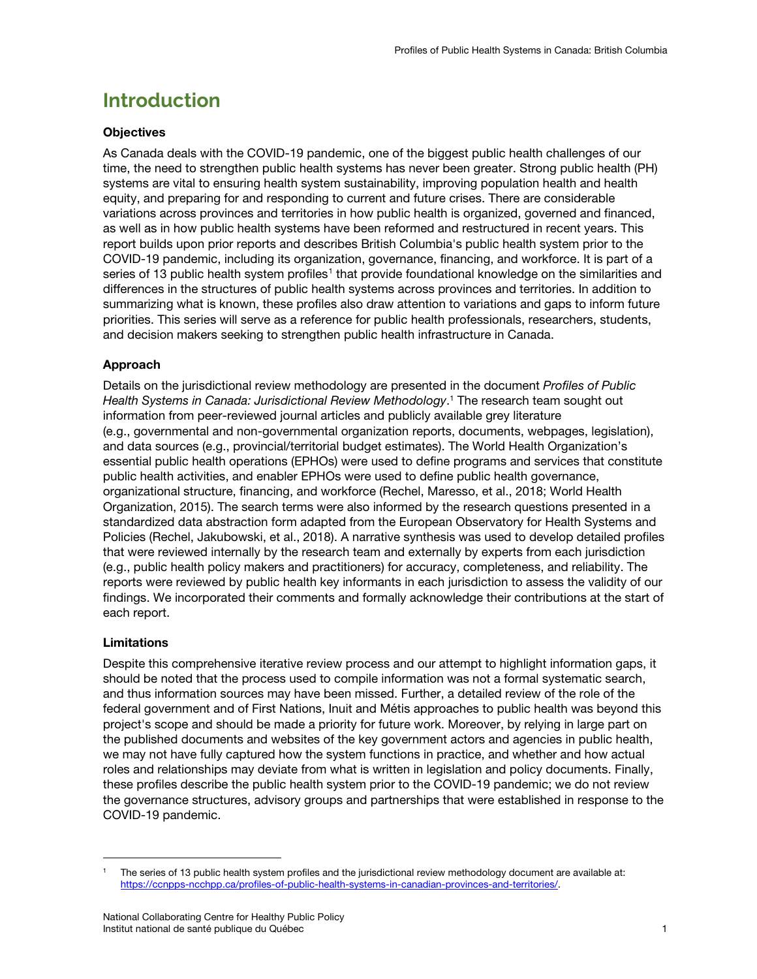# <span id="page-10-0"></span>**Introduction**

## **Objectives**

As Canada deals with the COVID-19 pandemic, one of the biggest public health challenges of our time, the need to strengthen public health systems has never been greater. Strong public health (PH) systems are vital to ensuring health system sustainability, improving population health and health equity, and preparing for and responding to current and future crises. There are considerable variations across provinces and territories in how public health is organized, governed and financed, as well as in how public health systems have been reformed and restructured in recent years. This report builds upon prior reports and describes British Columbia's public health system prior to the COVID-19 pandemic, including its organization, governance, financing, and workforce. It is part of a series of [1](#page-10-1)3 public health system profiles<sup>1</sup> that provide foundational knowledge on the similarities and differences in the structures of public health systems across provinces and territories. In addition to summarizing what is known, these profiles also draw attention to variations and gaps to inform future priorities. This series will serve as a reference for public health professionals, researchers, students, and decision makers seeking to strengthen public health infrastructure in Canada.

## Approach

Details on the jurisdictional review methodology are presented in the document *Profiles of Public Health Systems in Canada: Jurisdictional Review Methodology*. <sup>1</sup> The research team sought out information from peer-reviewed journal articles and publicly available grey literature (e.g., governmental and non-governmental organization reports, documents, webpages, legislation), and data sources (e.g., provincial/territorial budget estimates). The World Health Organization's essential public health operations (EPHOs) were used to define programs and services that constitute public health activities, and enabler EPHOs were used to define public health governance, organizational structure, financing, and workforce (Rechel, Maresso, et al., 2018; World Health Organization, 2015). The search terms were also informed by the research questions presented in a standardized data abstraction form adapted from the European Observatory for Health Systems and Policies (Rechel, Jakubowski, et al., 2018). A narrative synthesis was used to develop detailed profiles that were reviewed internally by the research team and externally by experts from each jurisdiction (e.g., public health policy makers and practitioners) for accuracy, completeness, and reliability. The reports were reviewed by public health key informants in each jurisdiction to assess the validity of our findings. We incorporated their comments and formally acknowledge their contributions at the start of each report.

### Limitations

 $\overline{a}$ 

Despite this comprehensive iterative review process and our attempt to highlight information gaps, it should be noted that the process used to compile information was not a formal systematic search, and thus information sources may have been missed. Further, a detailed review of the role of the federal government and of First Nations, Inuit and Métis approaches to public health was beyond this project's scope and should be made a priority for future work. Moreover, by relying in large part on the published documents and websites of the key government actors and agencies in public health, we may not have fully captured how the system functions in practice, and whether and how actual roles and relationships may deviate from what is written in legislation and policy documents. Finally, these profiles describe the public health system prior to the COVID-19 pandemic; we do not review the governance structures, advisory groups and partnerships that were established in response to the COVID-19 pandemic.

<span id="page-10-1"></span><sup>1</sup> The series of 13 public health system profiles and the jurisdictional review methodology document are available at: [https://ccnpps-ncchpp.ca/profiles-of-public-health-systems-in-canadian-provinces-and-territories/.](https://ccnpps-ncchpp.ca/profiles-of-public-health-systems-in-canadian-provinces-and-territories/)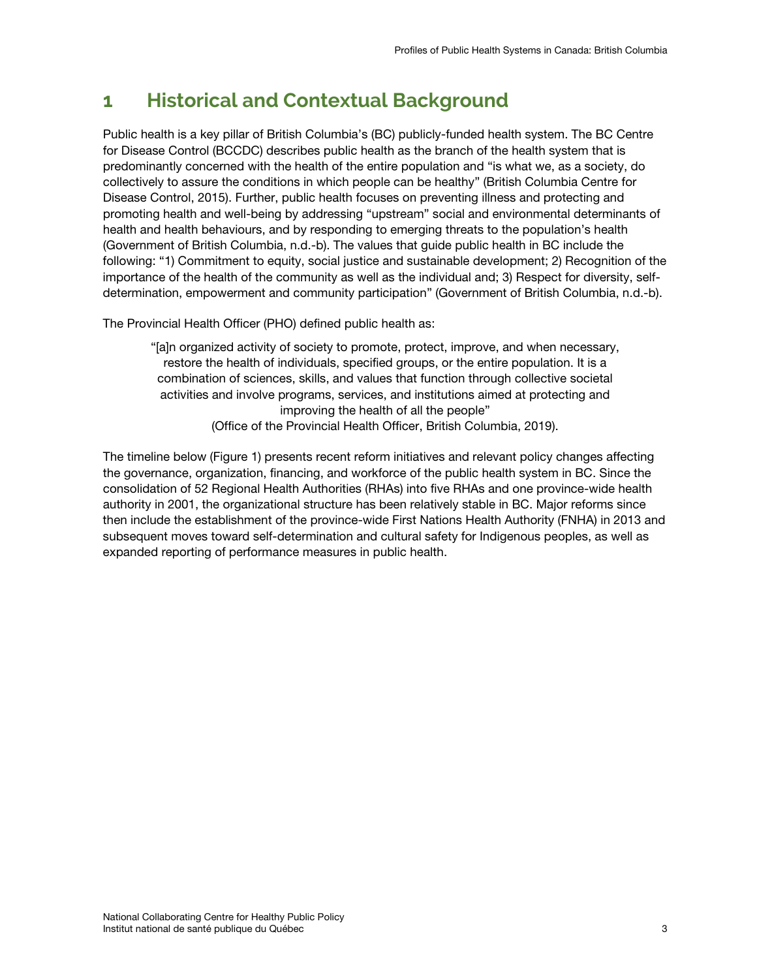# <span id="page-12-0"></span>**1 Historical and Contextual Background**

Public health is a key pillar of British Columbia's (BC) publicly-funded health system. The BC Centre for Disease Control (BCCDC) describes public health as the branch of the health system that is predominantly concerned with the health of the entire population and "is what we, as a society, do collectively to assure the conditions in which people can be healthy" (British Columbia Centre for Disease Control, 2015). Further, public health focuses on preventing illness and protecting and promoting health and well-being by addressing "upstream" social and environmental determinants of health and health behaviours, and by responding to emerging threats to the population's health (Government of British Columbia, n.d.-b). The values that guide public health in BC include the following: "1) Commitment to equity, social justice and sustainable development; 2) Recognition of the importance of the health of the community as well as the individual and; 3) Respect for diversity, selfdetermination, empowerment and community participation" (Government of British Columbia, n.d.-b).

The Provincial Health Officer (PHO) defined public health as:

"[a]n organized activity of society to promote, protect, improve, and when necessary, restore the health of individuals, specified groups, or the entire population. It is a combination of sciences, skills, and values that function through collective societal activities and involve programs, services, and institutions aimed at protecting and improving the health of all the people" (Office of the Provincial Health Officer, British Columbia, 2019).

The timeline below (Figure 1) presents recent reform initiatives and relevant policy changes affecting the governance, organization, financing, and workforce of the public health system in BC. Since the consolidation of 52 Regional Health Authorities (RHAs) into five RHAs and one province-wide health authority in 2001, the organizational structure has been relatively stable in BC. Major reforms since then include the establishment of the province-wide First Nations Health Authority (FNHA) in 2013 and subsequent moves toward self-determination and cultural safety for Indigenous peoples, as well as expanded reporting of performance measures in public health.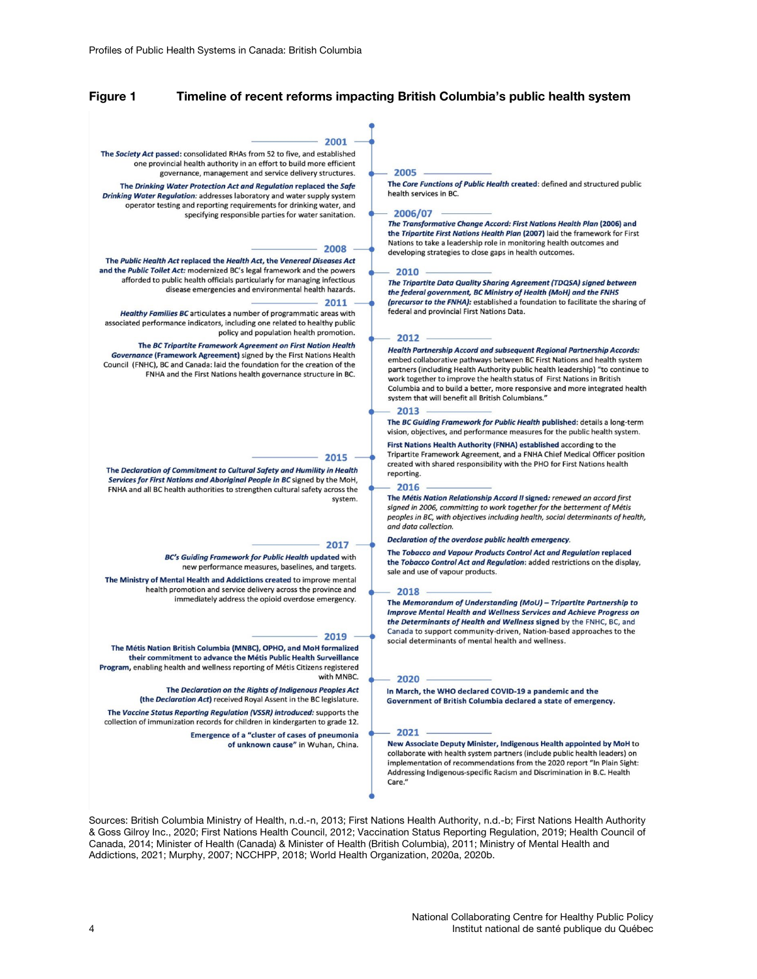#### Figure 1 Timeline of recent reforms impacting British Columbia's public health system

#### $2001$

The Society Act passed: consolidated RHAs from 52 to five, and established one provincial health authority in an effort to build more efficient governance, management and service delivery structures.

The Drinking Water Protection Act and Regulation replaced the Safe Drinking Water Regulation: addresses laboratory and water supply system operator testing and reporting requirements for drinking water, and specifying responsible parties for water sanitation.

#### 2008

The Public Health Act replaced the Health Act, the Venereal Diseases Act and the Public Toilet Act: modernized BC's legal framework and the powers afforded to public health officials particularly for managing infectious disease emergencies and environmental health hazards.

#### 2011

Healthy Families BC articulates a number of programmatic areas with associated performance indicators, including one related to healthy public policy and population health promotion.

The BC Tripartite Framework Agreement on First Nation Health Governance (Framework Agreement) signed by the First Nations Health Council (FNHC), BC and Canada: laid the foundation for the creation of the FNHA and the First Nations health governance structure in BC.

#### 2015

The Declaration of Commitment to Cultural Safety and Humility in Health Services for First Nations and Aboriginal People in BC signed by the MoH, FNHA and all BC health authorities to strengthen cultural safety across the system.

#### 2017

BC's Guiding Framework for Public Health updated with new performance measures, baselines, and targets.

The Ministry of Mental Health and Addictions created to improve mental health promotion and service delivery across the province and immediately address the opioid overdose emergency.

#### 2019

The Métis Nation British Columbia (MNBC), OPHO, and MoH formalized their commitment to advance the Métis Public Health Surveillance Program, enabling health and wellness reporting of Métis Citizens registered with MNBC.

> The Declaration on the Rights of Indigenous Peoples Act (the Declaration Act) received Royal Assent in the BC legislature.

The Vaccine Status Reporting Regulation (VSSR) introduced: supports the collection of immunization records for children in kindergarten to grade 12.

> **Emergence of a "cluster of cases of pneumonia** of unknown cause" in Wuhan, China.

#### 2005

The Core Functions of Public Health created: defined and structured public health services in BC.

#### 2006/07

The Transformative Change Accord: First Nations Health Plan (2006) and the Tripartite First Nations Health Plan (2007) laid the framework for First Nations to take a leadership role in monitoring health outcomes and developing strategies to close gaps in health outcomes.

#### 2010

The Tripartite Data Quality Sharing Agreement (TDQSA) signed between the federal government, BC Ministry of Health (MoH) and the FNHS (precursor to the FNHA): established a foundation to facilitate the sharing of ..<br>federal and provincial First Nations Data.

#### $2012$

Health Partnership Accord and subsequent Regional Partnership Accords: embed collaborative pathways between BC First Nations and health system partners (including Health Authority public health leadership) "to continue to work together to improve the health status of First Nations in British Columbia and to build a better, more responsive and more integrated health system that will benefit all British Columbians."

#### 2013

The BC Guiding Framework for Public Health published: details a long-term vision, objectives, and performance measures for the public health system.

First Nations Health Authority (FNHA) established according to the Tripartite Framework Agreement, and a FNHA Chief Medical Officer position created with shared responsibility with the PHO for First Nations health reporting.

#### 2016

The Métis Nation Relationship Accord II signed: renewed an accord first signed in 2006, committing to work together for the betterment of Métis peoples in BC, with objectives including health, social determinants of health, and data collection.

#### Declaration of the overdose public health emergency.

The Tobacco and Vapour Products Control Act and Regulation replaced the Tobacco Control Act and Regulation: added restrictions on the display, sale and use of vapour products.

#### 2018

The Memorandum of Understanding (MoU) - Tripartite Partnership to **Improve Mental Health and Wellness Services and Achieve Progress on** the Determinants of Health and Wellness signed by the FNHC, BC, and Canada to support community-driven, Nation-based approaches to the social determinants of mental health and wellness.

#### 2020

In March, the WHO declared COVID-19 a pandemic and the Government of British Columbia declared a state of emergency.

#### 2021

New Associate Deputy Minister, Indigenous Health appointed by MoH to collaborate with health system partners (include public health leaders) on implementation of recommendations from the 2020 report "In Plain Sight: Addressing Indigenous-specific Racism and Discrimination in B.C. Health Care."

Sources: British Columbia Ministry of Health, n.d.-n, 2013; First Nations Health Authority, n.d.-b; First Nations Health Authority & Goss Gilroy Inc., 2020; First Nations Health Council, 2012; Vaccination Status Reporting Regulation, 2019; Health Council of Canada, 2014; Minister of Health (Canada) & Minister of Health (British Columbia), 2011; Ministry of Mental Health and Addictions, 2021; Murphy, 2007; NCCHPP, 2018; World Health Organization, 2020a, 2020b.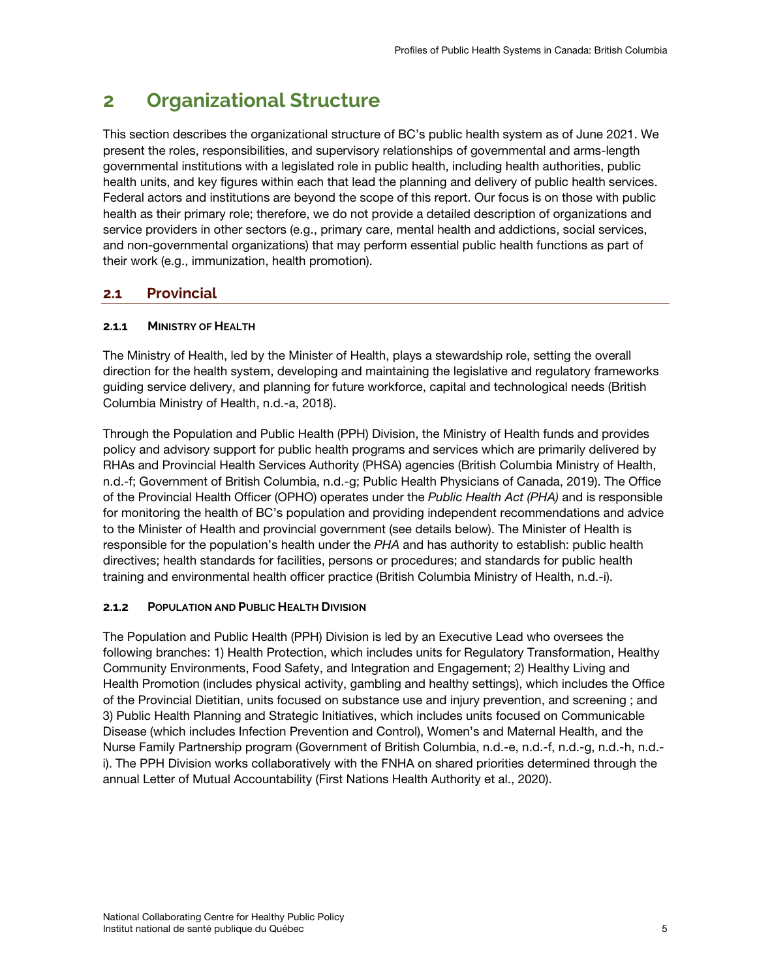# <span id="page-14-0"></span>**2 Organizational Structure**

This section describes the organizational structure of BC's public health system as of June 2021. We present the roles, responsibilities, and supervisory relationships of governmental and arms-length governmental institutions with a legislated role in public health, including health authorities, public health units, and key figures within each that lead the planning and delivery of public health services. Federal actors and institutions are beyond the scope of this report. Our focus is on those with public health as their primary role; therefore, we do not provide a detailed description of organizations and service providers in other sectors (e.g., primary care, mental health and addictions, social services, and non-governmental organizations) that may perform essential public health functions as part of their work (e.g., immunization, health promotion).

# <span id="page-14-1"></span>**2.1 Provincial**

## <span id="page-14-2"></span>**2.1.1 MINISTRY OF HEALTH**

The Ministry of Health, led by the Minister of Health, plays a stewardship role, setting the overall direction for the health system, developing and maintaining the legislative and regulatory frameworks guiding service delivery, and planning for future workforce, capital and technological needs (British Columbia Ministry of Health, n.d.-a, 2018).

Through the Population and Public Health (PPH) Division, the Ministry of Health funds and provides policy and advisory support for public health programs and services which are primarily delivered by RHAs and Provincial Health Services Authority (PHSA) agencies (British Columbia Ministry of Health, n.d.-f; Government of British Columbia, n.d.-g; Public Health Physicians of Canada, 2019). The Office of the Provincial Health Officer (OPHO) operates under the *Public Health Act (PHA)* and is responsible for monitoring the health of BC's population and providing independent recommendations and advice to the Minister of Health and provincial government (see details below). The Minister of Health is responsible for the population's health under the *PHA* and has authority to establish: public health directives; health standards for facilities, persons or procedures; and standards for public health training and environmental health officer practice (British Columbia Ministry of Health, n.d.-i).

## <span id="page-14-3"></span>**2.1.2 POPULATION AND PUBLIC HEALTH DIVISION**

<span id="page-14-4"></span>The Population and Public Health (PPH) Division is led by an Executive Lead who oversees the following branches: 1) Health Protection, which includes units for Regulatory Transformation, Healthy Community Environments, Food Safety, and Integration and Engagement; 2) Healthy Living and Health Promotion (includes physical activity, gambling and healthy settings), which includes the Office of the Provincial Dietitian, units focused on substance use and injury prevention, and screening ; and 3) Public Health Planning and Strategic Initiatives, which includes units focused on Communicable Disease (which includes Infection Prevention and Control), Women's and Maternal Health, and the Nurse Family Partnership program (Government of British Columbia, n.d.-e, n.d.-f, n.d.-g, n.d.-h, n.d. i). The PPH Division works collaboratively with the FNHA on shared priorities determined through the annual Letter of Mutual Accountability (First Nations Health Authority et al., 2020).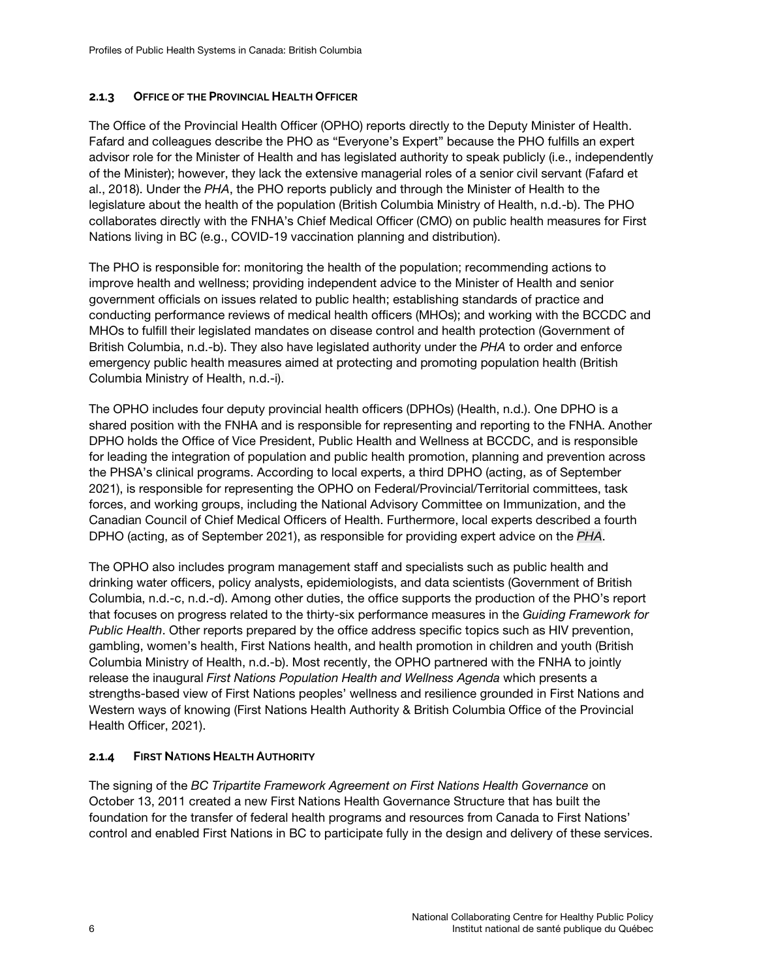## **2.1.3 OFFICE OF THE PROVINCIAL HEALTH OFFICER**

The Office of the Provincial Health Officer (OPHO) reports directly to the Deputy Minister of Health. Fafard and colleagues describe the PHO as "Everyone's Expert" because the PHO fulfills an expert advisor role for the Minister of Health and has legislated authority to speak publicly (i.e., independently of the Minister); however, they lack the extensive managerial roles of a senior civil servant (Fafard et al., 2018). Under the *PHA*, the PHO reports publicly and through the Minister of Health to the legislature about the health of the population (British Columbia Ministry of Health, n.d.-b). The PHO collaborates directly with the FNHA's Chief Medical Officer (CMO) on public health measures for First Nations living in BC (e.g., COVID-19 vaccination planning and distribution).

The PHO is responsible for: monitoring the health of the population; recommending actions to improve health and wellness; providing independent advice to the Minister of Health and senior government officials on issues related to public health; establishing standards of practice and conducting performance reviews of medical health officers (MHOs); and working with the BCCDC and MHOs to fulfill their legislated mandates on disease control and health protection (Government of British Columbia, n.d.-b). They also have legislated authority under the *PHA* to order and enforce emergency public health measures aimed at protecting and promoting population health (British Columbia Ministry of Health, n.d.-i).

The OPHO includes four deputy provincial health officers (DPHOs) (Health, n.d.). One DPHO is a shared position with the FNHA and is responsible for representing and reporting to the FNHA. Another DPHO holds the Office of Vice President, Public Health and Wellness at BCCDC, and is responsible for leading the integration of population and public health promotion, planning and prevention across the PHSA's clinical programs. According to local experts, a third DPHO (acting, as of September 2021), is responsible for representing the OPHO on Federal/Provincial/Territorial committees, task forces, and working groups, including the National Advisory Committee on Immunization, and the Canadian Council of Chief Medical Officers of Health. Furthermore, local experts described a fourth DPHO (acting, as of September 2021), as responsible for providing expert advice on the *PHA*.

The OPHO also includes program management staff and specialists such as public health and drinking water officers, policy analysts, epidemiologists, and data scientists (Government of British Columbia, n.d.-c, n.d.-d). Among other duties, the office supports the production of the PHO's report that focuses on progress related to the thirty-six performance measures in the *Guiding Framework for Public Health*. Other reports prepared by the office address specific topics such as HIV prevention, gambling, women's health, First Nations health, and health promotion in children and youth (British Columbia Ministry of Health, n.d.-b). Most recently, the OPHO partnered with the FNHA to jointly release the inaugural *First Nations Population Health and Wellness Agenda* which presents a strengths-based view of First Nations peoples' wellness and resilience grounded in First Nations and Western ways of knowing (First Nations Health Authority & British Columbia Office of the Provincial Health Officer, 2021).

## <span id="page-15-0"></span>**2.1.4 FIRST NATIONS HEALTH AUTHORITY**

The signing of the *BC Tripartite Framework Agreement on First Nations Health Governance* on October 13, 2011 created a new First Nations Health Governance Structure that has built the foundation for the transfer of federal health programs and resources from Canada to First Nations' control and enabled First Nations in BC to participate fully in the design and delivery of these services.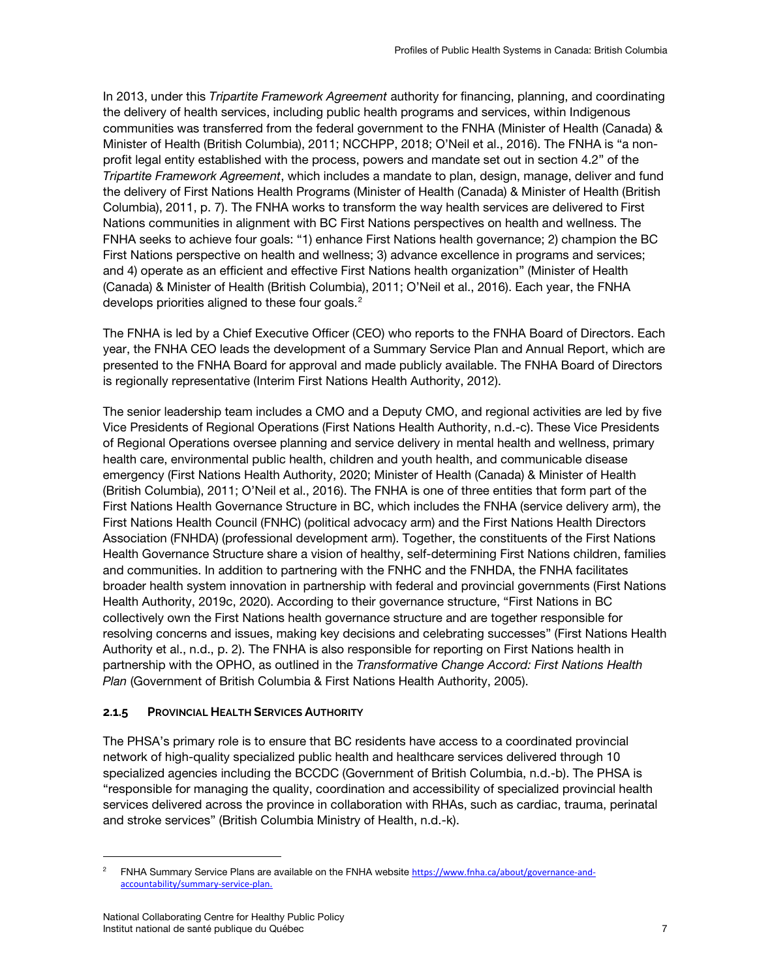In 2013, under this *Tripartite Framework Agreement* authority for financing, planning, and coordinating the delivery of health services, including public health programs and services, within Indigenous communities was transferred from the federal government to the FNHA (Minister of Health (Canada) & Minister of Health (British Columbia), 2011; NCCHPP, 2018; O'Neil et al., 2016). The FNHA is "a nonprofit legal entity established with the process, powers and mandate set out in section 4.2" of the *Tripartite Framework Agreement*, which includes a mandate to plan, design, manage, deliver and fund the delivery of First Nations Health Programs (Minister of Health (Canada) & Minister of Health (British Columbia), 2011, p. 7). The FNHA works to transform the way health services are delivered to First Nations communities in alignment with BC First Nations perspectives on health and wellness. The FNHA seeks to achieve four goals: "1) enhance First Nations health governance; 2) champion the BC First Nations perspective on health and wellness; 3) advance excellence in programs and services; and 4) operate as an efficient and effective First Nations health organization" (Minister of Health (Canada) & Minister of Health (British Columbia), 2011; O'Neil et al., 2016). Each year, the FNHA develops priorities aligned to these four goals. [2](#page-16-1)

The FNHA is led by a Chief Executive Officer (CEO) who reports to the FNHA Board of Directors. Each year, the FNHA CEO leads the development of a Summary Service Plan and Annual Report, which are presented to the FNHA Board for approval and made publicly available. The FNHA Board of Directors is regionally representative (Interim First Nations Health Authority, 2012).

The senior leadership team includes a CMO and a Deputy CMO, and regional activities are led by five Vice Presidents of Regional Operations (First Nations Health Authority, n.d.-c). These Vice Presidents of Regional Operations oversee planning and service delivery in mental health and wellness, primary health care, environmental public health, children and youth health, and communicable disease emergency (First Nations Health Authority, 2020; Minister of Health (Canada) & Minister of Health (British Columbia), 2011; O'Neil et al., 2016). The FNHA is one of three entities that form part of the First Nations Health Governance Structure in BC, which includes the FNHA (service delivery arm), the First Nations Health Council (FNHC) (political advocacy arm) and the First Nations Health Directors Association (FNHDA) (professional development arm). Together, the constituents of the First Nations Health Governance Structure share a vision of healthy, self-determining First Nations children, families and communities. In addition to partnering with the FNHC and the FNHDA, the FNHA facilitates broader health system innovation in partnership with federal and provincial governments (First Nations Health Authority, 2019c, 2020). According to their governance structure, "First Nations in BC collectively own the First Nations health governance structure and are together responsible for resolving concerns and issues, making key decisions and celebrating successes" (First Nations Health Authority et al., n.d., p. 2). The FNHA is also responsible for reporting on First Nations health in partnership with the OPHO, as outlined in the *Transformative Change Accord: First Nations Health Plan* (Government of British Columbia & First Nations Health Authority, 2005).

## <span id="page-16-0"></span>**2.1.5 PROVINCIAL HEALTH SERVICES AUTHORITY**

The PHSA's primary role is to ensure that BC residents have access to a coordinated provincial network of high-quality specialized public health and healthcare services delivered through 10 specialized agencies including the BCCDC (Government of British Columbia, n.d.-b). The PHSA is "responsible for managing the quality, coordination and accessibility of specialized provincial health services delivered across the province in collaboration with RHAs, such as cardiac, trauma, perinatal and stroke services" (British Columbia Ministry of Health, n.d.-k).

 $\overline{a}$ 

<span id="page-16-1"></span><sup>2</sup> FNHA Summary Service Plans are available on the FNHA website [https://www.fnha.ca/about/governance-and](https://www.fnha.ca/about/governance-and-accountability/summary-service-plan)[accountability/summary-service-plan.](https://www.fnha.ca/about/governance-and-accountability/summary-service-plan)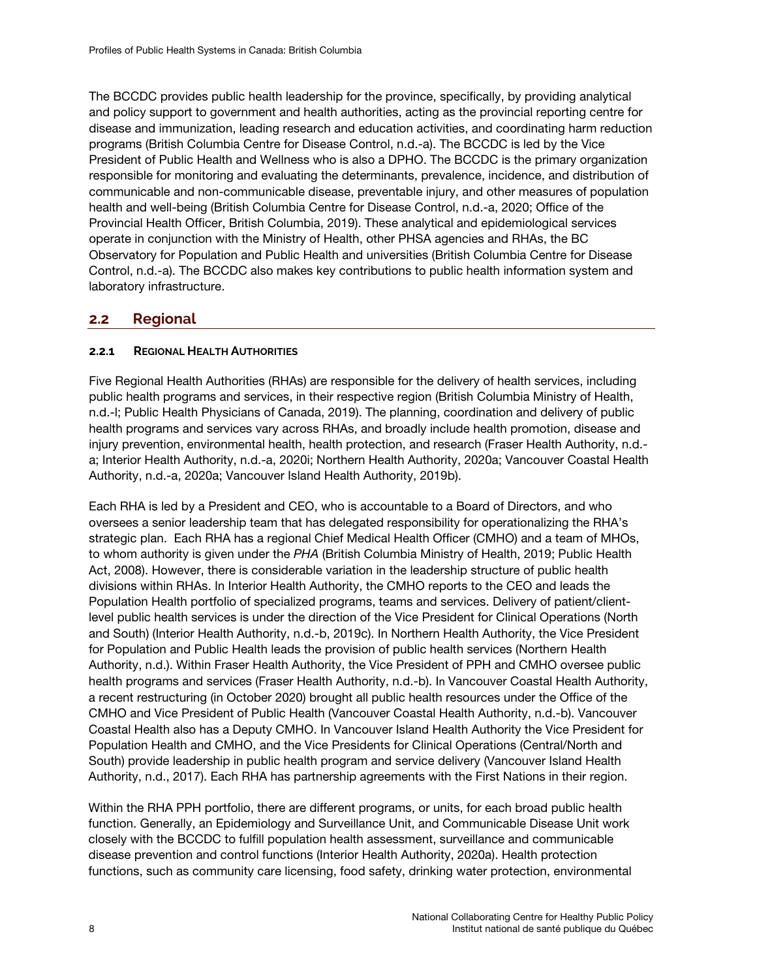The BCCDC provides public health leadership for the province, specifically, by providing analytical and policy support to government and health authorities, acting as the provincial reporting centre for disease and immunization, leading research and education activities, and coordinating harm reduction programs (British Columbia Centre for Disease Control, n.d.-a). The BCCDC is led by the Vice President of Public Health and Wellness who is also a DPHO. The BCCDC is the primary organization responsible for monitoring and evaluating the determinants, prevalence, incidence, and distribution of communicable and non-communicable disease, preventable injury, and other measures of population health and well-being (British Columbia Centre for Disease Control, n.d.-a, 2020; Office of the Provincial Health Officer, British Columbia, 2019). These analytical and epidemiological services operate in conjunction with the Ministry of Health, other PHSA agencies and RHAs, the BC Observatory for Population and Public Health and universities (British Columbia Centre for Disease Control, n.d.-a). The BCCDC also makes key contributions to public health information system and laboratory infrastructure.

# <span id="page-17-0"></span>**2.2 Regional**

## <span id="page-17-1"></span>**2.2.1 REGIONAL HEALTH AUTHORITIES**

Five Regional Health Authorities (RHAs) are responsible for the delivery of health services, including public health programs and services, in their respective region (British Columbia Ministry of Health, n.d.-l; Public Health Physicians of Canada, 2019). The planning, coordination and delivery of public health programs and services vary across RHAs, and broadly include health promotion, disease and injury prevention, environmental health, health protection, and research (Fraser Health Authority, n.d. a; Interior Health Authority, n.d.-a, 2020i; Northern Health Authority, 2020a; Vancouver Coastal Health Authority, n.d.-a, 2020a; Vancouver Island Health Authority, 2019b).

Each RHA is led by a President and CEO, who is accountable to a Board of Directors, and who oversees a senior leadership team that has delegated responsibility for operationalizing the RHA's strategic plan. Each RHA has a regional Chief Medical Health Officer (CMHO) and a team of MHOs, to whom authority is given under the *PHA* (British Columbia Ministry of Health, 2019; Public Health Act, 2008). However, there is considerable variation in the leadership structure of public health divisions within RHAs. In Interior Health Authority, the CMHO reports to the CEO and leads the Population Health portfolio of specialized programs, teams and services. Delivery of patient/clientlevel public health services is under the direction of the Vice President for Clinical Operations (North and South) (Interior Health Authority, n.d.-b, 2019c). In Northern Health Authority, the Vice President for Population and Public Health leads the provision of public health services (Northern Health Authority, n.d.). Within Fraser Health Authority, the Vice President of PPH and CMHO oversee public health programs and services (Fraser Health Authority, n.d.-b). In Vancouver Coastal Health Authority, a recent restructuring (in October 2020) brought all public health resources under the Office of the CMHO and Vice President of Public Health (Vancouver Coastal Health Authority, n.d.-b). Vancouver Coastal Health also has a Deputy CMHO. In Vancouver Island Health Authority the Vice President for Population Health and CMHO, and the Vice Presidents for Clinical Operations (Central/North and South) provide leadership in public health program and service delivery (Vancouver Island Health Authority, n.d., 2017). Each RHA has partnership agreements with the First Nations in their region.

Within the RHA PPH portfolio, there are different programs, or units, for each broad public health function. Generally, an Epidemiology and Surveillance Unit, and Communicable Disease Unit work closely with the BCCDC to fulfill population health assessment, surveillance and communicable disease prevention and control functions (Interior Health Authority, 2020a). Health protection functions, such as community care licensing, food safety, drinking water protection, environmental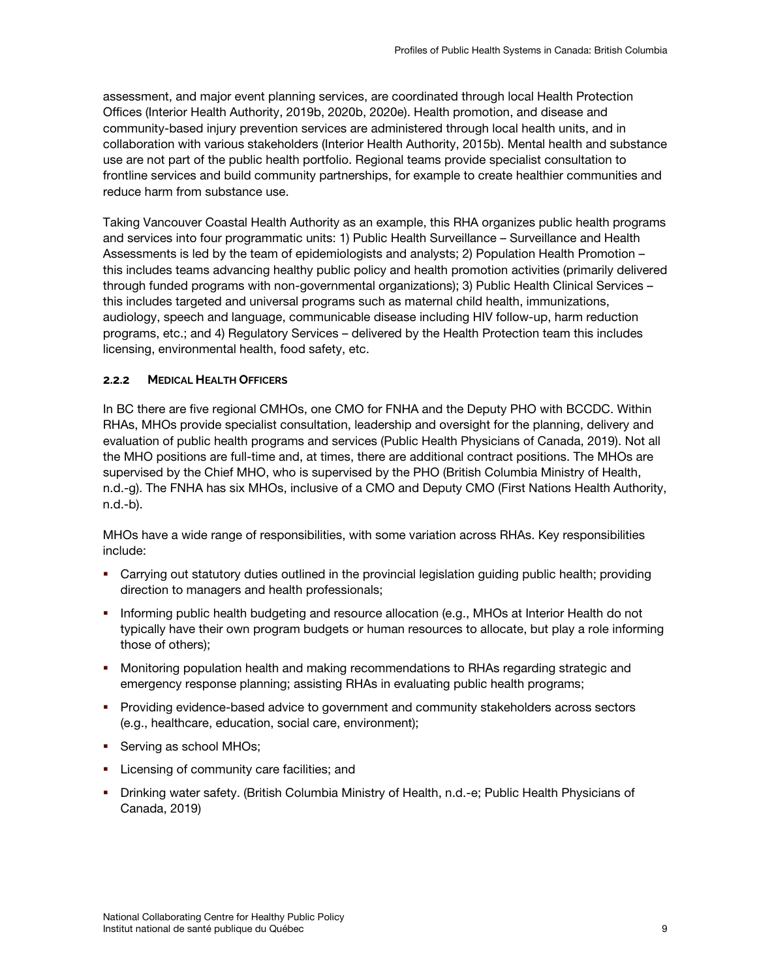assessment, and major event planning services, are coordinated through local Health Protection Offices (Interior Health Authority, 2019b, 2020b, 2020e). Health promotion, and disease and community-based injury prevention services are administered through local health units, and in collaboration with various stakeholders (Interior Health Authority, 2015b). Mental health and substance use are not part of the public health portfolio. Regional teams provide specialist consultation to frontline services and build community partnerships, for example to create healthier communities and reduce harm from substance use.

Taking Vancouver Coastal Health Authority as an example, this RHA organizes public health programs and services into four programmatic units: 1) Public Health Surveillance – Surveillance and Health Assessments is led by the team of epidemiologists and analysts; 2) Population Health Promotion – this includes teams advancing healthy public policy and health promotion activities (primarily delivered through funded programs with non-governmental organizations); 3) Public Health Clinical Services – this includes targeted and universal programs such as maternal child health, immunizations, audiology, speech and language, communicable disease including HIV follow-up, harm reduction programs, etc.; and 4) Regulatory Services – delivered by the Health Protection team this includes licensing, environmental health, food safety, etc.

### <span id="page-18-0"></span>**2.2.2 MEDICAL HEALTH OFFICERS**

In BC there are five regional CMHOs, one CMO for FNHA and the Deputy PHO with BCCDC. Within RHAs, MHOs provide specialist consultation, leadership and oversight for the planning, delivery and evaluation of public health programs and services (Public Health Physicians of Canada, 2019). Not all the MHO positions are full-time and, at times, there are additional contract positions. The MHOs are supervised by the Chief MHO, who is supervised by the PHO (British Columbia Ministry of Health, n.d.-g). The FNHA has six MHOs, inclusive of a CMO and Deputy CMO (First Nations Health Authority, n.d.-b).

MHOs have a wide range of responsibilities, with some variation across RHAs. Key responsibilities include:

- Carrying out statutory duties outlined in the provincial legislation guiding public health; providing direction to managers and health professionals;
- Informing public health budgeting and resource allocation (e.g., MHOs at Interior Health do not typically have their own program budgets or human resources to allocate, but play a role informing those of others);
- **•** Monitoring population health and making recommendations to RHAs regarding strategic and emergency response planning; assisting RHAs in evaluating public health programs;
- **Providing evidence-based advice to government and community stakeholders across sectors** (e.g., healthcare, education, social care, environment);
- Serving as school MHOs;
- **EXEC** Licensing of community care facilities; and
- Drinking water safety. (British Columbia Ministry of Health, n.d.-e; Public Health Physicians of Canada, 2019)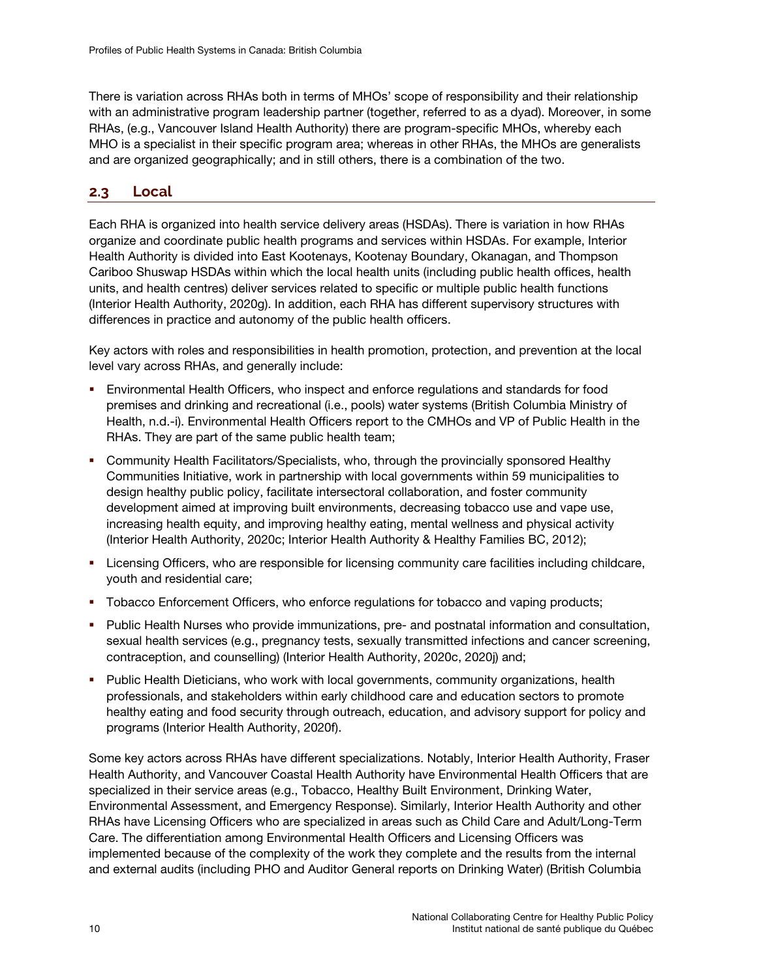There is variation across RHAs both in terms of MHOs' scope of responsibility and their relationship with an administrative program leadership partner (together, referred to as a dyad). Moreover, in some RHAs, (e.g., Vancouver Island Health Authority) there are program-specific MHOs, whereby each MHO is a specialist in their specific program area; whereas in other RHAs, the MHOs are generalists and are organized geographically; and in still others, there is a combination of the two.

# <span id="page-19-0"></span>**2.3 Local**

Each RHA is organized into health service delivery areas (HSDAs). There is variation in how RHAs organize and coordinate public health programs and services within HSDAs. For example, Interior Health Authority is divided into East Kootenays, Kootenay Boundary, Okanagan, and Thompson Cariboo Shuswap HSDAs within which the local health units (including public health offices, health units, and health centres) deliver services related to specific or multiple public health functions (Interior Health Authority, 2020g). In addition, each RHA has different supervisory structures with differences in practice and autonomy of the public health officers.

Key actors with roles and responsibilities in health promotion, protection, and prevention at the local level vary across RHAs, and generally include:

- Environmental Health Officers, who inspect and enforce regulations and standards for food premises and drinking and recreational (i.e., pools) water systems (British Columbia Ministry of Health, n.d.-i). Environmental Health Officers report to the CMHOs and VP of Public Health in the RHAs. They are part of the same public health team;
- Community Health Facilitators/Specialists, who, through the provincially sponsored Healthy Communities Initiative, work in partnership with local governments within 59 municipalities to design healthy public policy, facilitate intersectoral collaboration, and foster community development aimed at improving built environments, decreasing tobacco use and vape use, increasing health equity, and improving healthy eating, mental wellness and physical activity (Interior Health Authority, 2020c; Interior Health Authority & Healthy Families BC, 2012);
- Licensing Officers, who are responsible for licensing community care facilities including childcare, youth and residential care;
- Tobacco Enforcement Officers, who enforce regulations for tobacco and vaping products;
- **Public Health Nurses who provide immunizations, pre- and postnatal information and consultation,** sexual health services (e.g., pregnancy tests, sexually transmitted infections and cancer screening, contraception, and counselling) (Interior Health Authority, 2020c, 2020j) and;
- **Public Health Dieticians, who work with local governments, community organizations, health** professionals, and stakeholders within early childhood care and education sectors to promote healthy eating and food security through outreach, education, and advisory support for policy and programs (Interior Health Authority, 2020f).

Some key actors across RHAs have different specializations. Notably, Interior Health Authority, Fraser Health Authority, and Vancouver Coastal Health Authority have Environmental Health Officers that are specialized in their service areas (e.g., Tobacco, Healthy Built Environment, Drinking Water, Environmental Assessment, and Emergency Response). Similarly, Interior Health Authority and other RHAs have Licensing Officers who are specialized in areas such as Child Care and Adult/Long-Term Care. The differentiation among Environmental Health Officers and Licensing Officers was implemented because of the complexity of the work they complete and the results from the internal and external audits (including PHO and Auditor General reports on Drinking Water) (British Columbia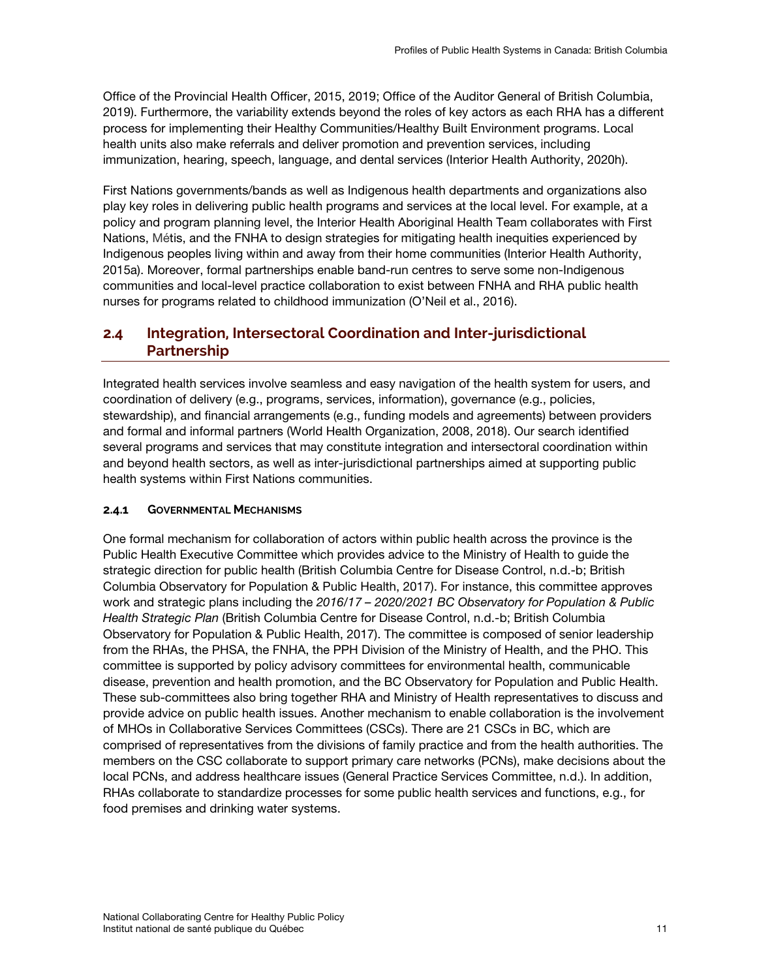Office of the Provincial Health Officer, 2015, 2019; Office of the Auditor General of British Columbia, 2019). Furthermore, the variability extends beyond the roles of key actors as each RHA has a different process for implementing their Healthy Communities/Healthy Built Environment programs. Local health units also make referrals and deliver promotion and prevention services, including immunization, hearing, speech, language, and dental services (Interior Health Authority, 2020h).

First Nations governments/bands as well as Indigenous health departments and organizations also play key roles in delivering public health programs and services at the local level. For example, at a policy and program planning level, the Interior Health Aboriginal Health Team collaborates with First Nations, Métis, and the FNHA to design strategies for mitigating health inequities experienced by Indigenous peoples living within and away from their home communities (Interior Health Authority, 2015a). Moreover, formal partnerships enable band-run centres to serve some non-Indigenous communities and local-level practice collaboration to exist between FNHA and RHA public health nurses for programs related to childhood immunization (O'Neil et al., 2016).

# <span id="page-20-0"></span>**2.4 Integration, Intersectoral Coordination and Inter-jurisdictional Partnership**

Integrated health services involve seamless and easy navigation of the health system for users, and coordination of delivery (e.g., programs, services, information), governance (e.g., policies, stewardship), and financial arrangements (e.g., funding models and agreements) between providers and formal and informal partners (World Health Organization, 2008, 2018). Our search identified several programs and services that may constitute integration and intersectoral coordination within and beyond health sectors, as well as inter-jurisdictional partnerships aimed at supporting public health systems within First Nations communities.

### <span id="page-20-1"></span>**2.4.1 GOVERNMENTAL MECHANISMS**

One formal mechanism for collaboration of actors within public health across the province is the Public Health Executive Committee which provides advice to the Ministry of Health to guide the strategic direction for public health (British Columbia Centre for Disease Control, n.d.-b; British Columbia Observatory for Population & Public Health, 2017). For instance, this committee approves work and strategic plans including the *2016/17 – 2020/2021 BC Observatory for Population & Public Health Strategic Plan* (British Columbia Centre for Disease Control, n.d.-b; British Columbia Observatory for Population & Public Health, 2017). The committee is composed of senior leadership from the RHAs, the PHSA, the FNHA, the PPH Division of the Ministry of Health, and the PHO. This committee is supported by policy advisory committees for environmental health, communicable disease, prevention and health promotion, and the BC Observatory for Population and Public Health. These sub-committees also bring together RHA and Ministry of Health representatives to discuss and provide advice on public health issues. Another mechanism to enable collaboration is the involvement of MHOs in Collaborative Services Committees (CSCs). There are 21 CSCs in BC, which are comprised of representatives from the divisions of family practice and from the health authorities. The members on the CSC collaborate to support primary care networks (PCNs), make decisions about the local PCNs, and address healthcare issues (General Practice Services Committee, n.d.). In addition, RHAs collaborate to standardize processes for some public health services and functions, e.g., for food premises and drinking water systems.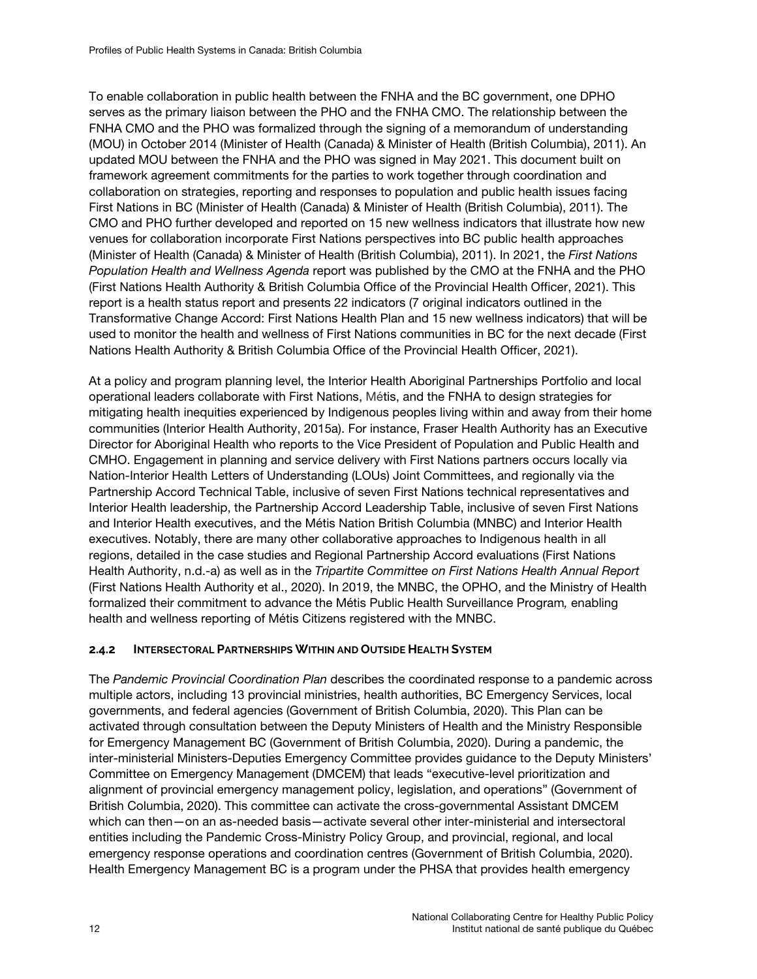To enable collaboration in public health between the FNHA and the BC government, one DPHO serves as the primary liaison between the PHO and the FNHA CMO. The relationship between the FNHA CMO and the PHO was formalized through the signing of a memorandum of understanding (MOU) in October 2014 (Minister of Health (Canada) & Minister of Health (British Columbia), 2011). An updated MOU between the FNHA and the PHO was signed in May 2021. This document built on framework agreement commitments for the parties to work together through coordination and collaboration on strategies, reporting and responses to population and public health issues facing First Nations in BC (Minister of Health (Canada) & Minister of Health (British Columbia), 2011). The CMO and PHO further developed and reported on 15 new wellness indicators that illustrate how new venues for collaboration incorporate First Nations perspectives into BC public health approaches (Minister of Health (Canada) & Minister of Health (British Columbia), 2011). In 2021, the *First Nations Population Health and Wellness Agenda* report was published by the CMO at the FNHA and the PHO (First Nations Health Authority & British Columbia Office of the Provincial Health Officer, 2021). This report is a health status report and presents 22 indicators (7 original indicators outlined in the Transformative Change Accord: First Nations Health Plan and 15 new wellness indicators) that will be used to monitor the health and wellness of First Nations communities in BC for the next decade (First Nations Health Authority & British Columbia Office of the Provincial Health Officer, 2021).

At a policy and program planning level, the Interior Health Aboriginal Partnerships Portfolio and local operational leaders collaborate with First Nations, Métis, and the FNHA to design strategies for mitigating health inequities experienced by Indigenous peoples living within and away from their home communities (Interior Health Authority, 2015a). For instance, Fraser Health Authority has an Executive Director for Aboriginal Health who reports to the Vice President of Population and Public Health and CMHO. Engagement in planning and service delivery with First Nations partners occurs locally via Nation-Interior Health Letters of Understanding (LOUs) Joint Committees, and regionally via the Partnership Accord Technical Table, inclusive of seven First Nations technical representatives and Interior Health leadership, the Partnership Accord Leadership Table, inclusive of seven First Nations and Interior Health executives, and the Métis Nation British Columbia (MNBC) and Interior Health executives. Notably, there are many other collaborative approaches to Indigenous health in all regions, detailed in the case studies and Regional Partnership Accord evaluations (First Nations Health Authority, n.d.-a) as well as in the *Tripartite Committee on First Nations Health Annual Report* (First Nations Health Authority et al., 2020). In 2019, the MNBC, the OPHO, and the Ministry of Health formalized their commitment to advance the Métis Public Health Surveillance Program*,* enabling health and wellness reporting of Métis Citizens registered with the MNBC.

## <span id="page-21-0"></span>**2.4.2 INTERSECTORAL PARTNERSHIPS WITHIN AND OUTSIDE HEALTH SYSTEM**

The *Pandemic Provincial Coordination Plan* describes the coordinated response to a pandemic across multiple actors, including 13 provincial ministries, health authorities, BC Emergency Services, local governments, and federal agencies (Government of British Columbia, 2020). This Plan can be activated through consultation between the Deputy Ministers of Health and the Ministry Responsible for Emergency Management BC (Government of British Columbia, 2020). During a pandemic, the inter-ministerial Ministers-Deputies Emergency Committee provides guidance to the Deputy Ministers' Committee on Emergency Management (DMCEM) that leads "executive-level prioritization and alignment of provincial emergency management policy, legislation, and operations" (Government of British Columbia, 2020). This committee can activate the cross-governmental Assistant DMCEM which can then—on an as-needed basis—activate several other inter-ministerial and intersectoral entities including the Pandemic Cross-Ministry Policy Group, and provincial, regional, and local emergency response operations and coordination centres (Government of British Columbia, 2020). Health Emergency Management BC is a program under the PHSA that provides health emergency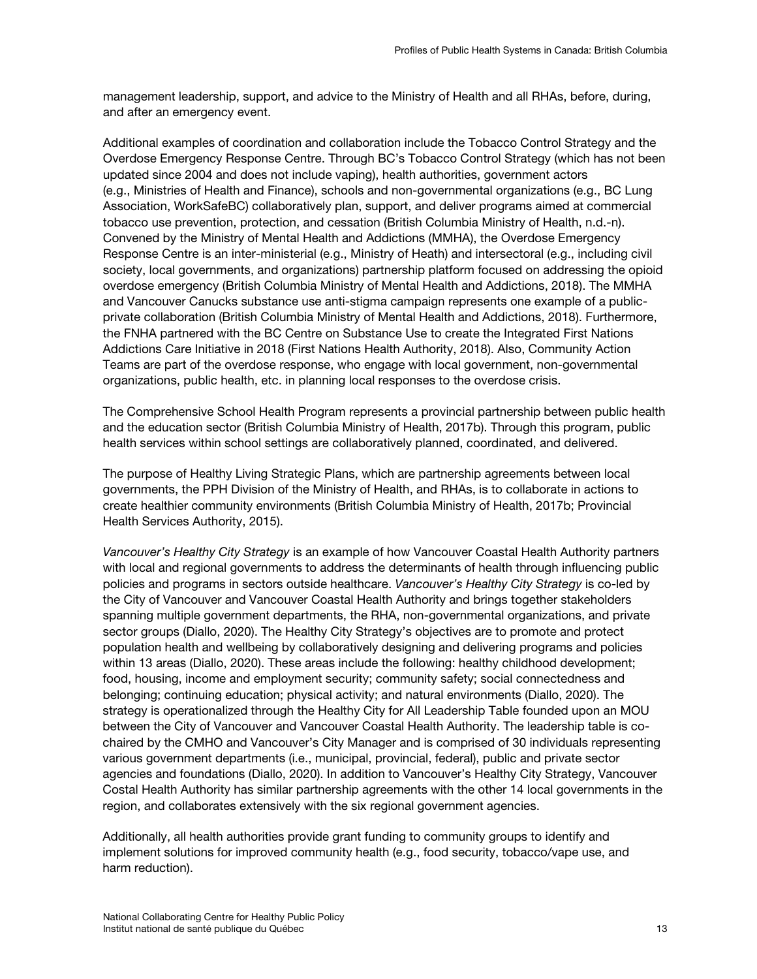management leadership, support, and advice to the Ministry of Health and all RHAs, before, during, and after an emergency event.

Additional examples of coordination and collaboration include the Tobacco Control Strategy and the Overdose Emergency Response Centre. Through BC's Tobacco Control Strategy (which has not been updated since 2004 and does not include vaping), health authorities, government actors (e.g., Ministries of Health and Finance), schools and non-governmental organizations (e.g., BC Lung Association, WorkSafeBC) collaboratively plan, support, and deliver programs aimed at commercial tobacco use prevention, protection, and cessation (British Columbia Ministry of Health, n.d.-n). Convened by the Ministry of Mental Health and Addictions (MMHA), the Overdose Emergency Response Centre is an inter-ministerial (e.g., Ministry of Heath) and intersectoral (e.g., including civil society, local governments, and organizations) partnership platform focused on addressing the opioid overdose emergency (British Columbia Ministry of Mental Health and Addictions, 2018). The MMHA and Vancouver Canucks substance use anti-stigma campaign represents one example of a publicprivate collaboration (British Columbia Ministry of Mental Health and Addictions, 2018). Furthermore, the FNHA partnered with the BC Centre on Substance Use to create the Integrated First Nations Addictions Care Initiative in 2018 (First Nations Health Authority, 2018). Also, Community Action Teams are part of the overdose response, who engage with local government, non-governmental organizations, public health, etc. in planning local responses to the overdose crisis.

The Comprehensive School Health Program represents a provincial partnership between public health and the education sector (British Columbia Ministry of Health, 2017b). Through this program, public health services within school settings are collaboratively planned, coordinated, and delivered.

The purpose of Healthy Living Strategic Plans, which are partnership agreements between local governments, the PPH Division of the Ministry of Health, and RHAs, is to collaborate in actions to create healthier community environments (British Columbia Ministry of Health, 2017b; Provincial Health Services Authority, 2015).

*Vancouver's Healthy City Strategy* is an example of how Vancouver Coastal Health Authority partners with local and regional governments to address the determinants of health through influencing public policies and programs in sectors outside healthcare. *Vancouver's Healthy City Strategy* is co-led by the City of Vancouver and Vancouver Coastal Health Authority and brings together stakeholders spanning multiple government departments, the RHA, non-governmental organizations, and private sector groups (Diallo, 2020). The Healthy City Strategy's objectives are to promote and protect population health and wellbeing by collaboratively designing and delivering programs and policies within 13 areas (Diallo, 2020). These areas include the following: healthy childhood development; food, housing, income and employment security; community safety; social connectedness and belonging; continuing education; physical activity; and natural environments (Diallo, 2020). The strategy is operationalized through the Healthy City for All Leadership Table founded upon an MOU between the City of Vancouver and Vancouver Coastal Health Authority. The leadership table is cochaired by the CMHO and Vancouver's City Manager and is comprised of 30 individuals representing various government departments (i.e., municipal, provincial, federal), public and private sector agencies and foundations (Diallo, 2020). In addition to Vancouver's Healthy City Strategy, Vancouver Costal Health Authority has similar partnership agreements with the other 14 local governments in the region, and collaborates extensively with the six regional government agencies.

Additionally, all health authorities provide grant funding to community groups to identify and implement solutions for improved community health (e.g., food security, tobacco/vape use, and harm reduction).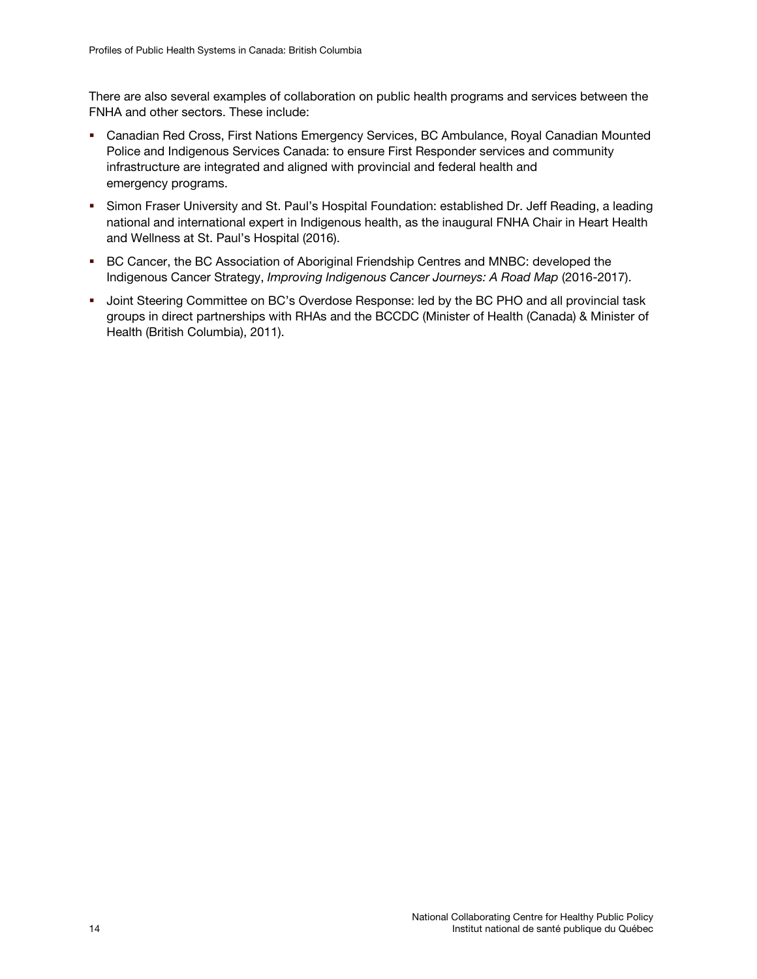There are also several examples of collaboration on public health programs and services between the FNHA and other sectors. These include:

- Canadian Red Cross, First Nations Emergency Services, BC Ambulance, Royal Canadian Mounted Police and Indigenous Services Canada: to ensure First Responder services and community infrastructure are integrated and aligned with provincial and federal health and emergency programs.
- **Simon Fraser University and St. Paul's Hospital Foundation: established Dr. Jeff Reading, a leading** national and international expert in Indigenous health, as the inaugural FNHA Chair in Heart Health and Wellness at St. Paul's Hospital (2016).
- **BC Cancer, the BC Association of Aboriginal Friendship Centres and MNBC: developed the** Indigenous Cancer Strategy, *Improving Indigenous Cancer Journeys: A Road Map* (2016-2017).
- **Joint Steering Committee on BC's Overdose Response: led by the BC PHO and all provincial task** groups in direct partnerships with RHAs and the BCCDC (Minister of Health (Canada) & Minister of Health (British Columbia), 2011).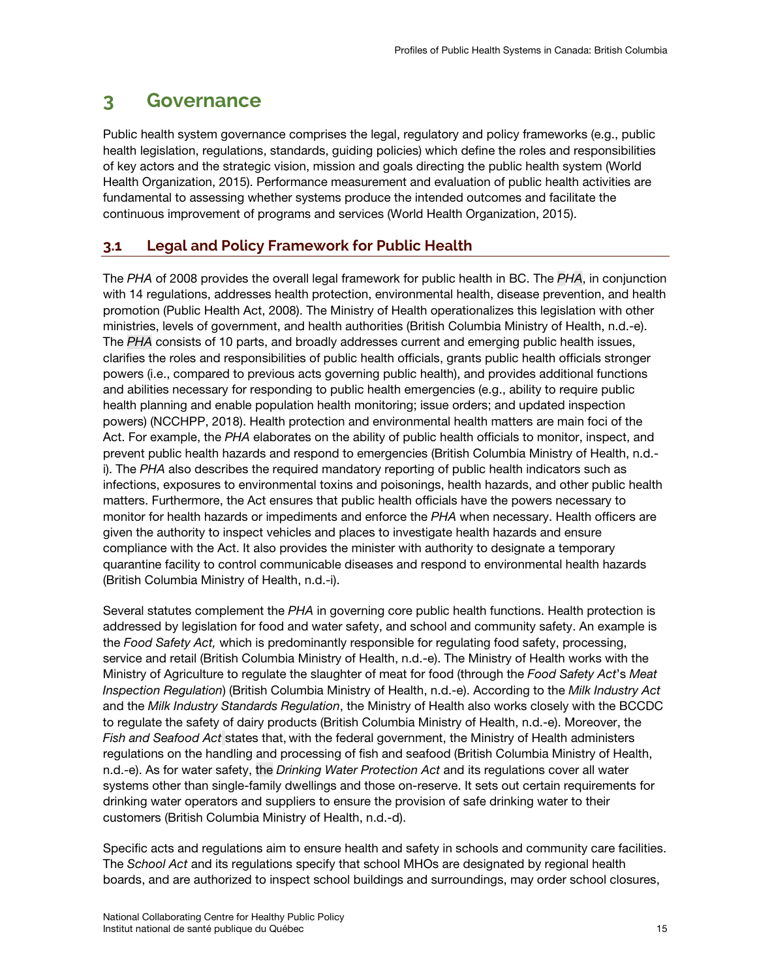# <span id="page-24-0"></span>**3 Governance**

Public health system governance comprises the legal, regulatory and policy frameworks (e.g., public health legislation, regulations, standards, guiding policies) which define the roles and responsibilities of key actors and the strategic vision, mission and goals directing the public health system (World Health Organization, 2015). Performance measurement and evaluation of public health activities are fundamental to assessing whether systems produce the intended outcomes and facilitate the continuous improvement of programs and services (World Health Organization, 2015).

# <span id="page-24-1"></span>**3.1 Legal and Policy Framework for Public Health**

The *PHA* of 2008 provides the overall legal framework for public health in BC. The *PHA*, in conjunction with 14 regulations, addresses health protection, environmental health, disease prevention, and health promotion (Public Health Act, 2008). The Ministry of Health operationalizes this legislation with other ministries, levels of government, and health authorities (British Columbia Ministry of Health, n.d.-e). The *PHA* consists of 10 parts, and broadly addresses current and emerging public health issues, clarifies the roles and responsibilities of public health officials, grants public health officials stronger powers (i.e., compared to previous acts governing public health), and provides additional functions and abilities necessary for responding to public health emergencies (e.g., ability to require public health planning and enable population health monitoring; issue orders; and updated inspection powers) (NCCHPP, 2018). Health protection and environmental health matters are main foci of the Act. For example, the *PHA* elaborates on the ability of public health officials to monitor, inspect, and prevent public health hazards and respond to emergencies (British Columbia Ministry of Health, n.d. i). The *PHA* also describes the required mandatory reporting of public health indicators such as infections, exposures to environmental toxins and poisonings, health hazards, and other public health matters. Furthermore, the Act ensures that public health officials have the powers necessary to monitor for health hazards or impediments and enforce the *PHA* when necessary. Health officers are given the authority to inspect vehicles and places to investigate health hazards and ensure compliance with the Act. It also provides the minister with authority to designate a temporary quarantine facility to control communicable diseases and respond to environmental health hazards (British Columbia Ministry of Health, n.d.-i).

Several statutes complement the *PHA* in governing core public health functions. Health protection is addressed by legislation for food and water safety, and school and community safety. An example is the *Food Safety Act,* which is predominantly responsible for regulating food safety, processing, service and retail (British Columbia Ministry of Health, n.d.-e). The Ministry of Health works with the Ministry of Agriculture to regulate the slaughter of meat for food (through the *Food Safety Act*'s *Meat Inspection Regulation*) (British Columbia Ministry of Health, n.d.-e). According to the *Milk Industry Act* and the *Milk Industry Standards Regulation*, the Ministry of Health also works closely with the BCCDC to regulate the safety of dairy products (British Columbia Ministry of Health, n.d.-e). Moreover, the *Fish and Seafood Act* states that, with the federal government, the Ministry of Health administers regulations on the handling and processing of fish and seafood (British Columbia Ministry of Health, n.d.-e). As for water safety, the *Drinking Water Protection Act* and its regulations cover all water systems other than single-family dwellings and those on-reserve. It sets out certain requirements for drinking water operators and suppliers to ensure the provision of safe drinking water to their customers (British Columbia Ministry of Health, n.d.-d).

Specific acts and regulations aim to ensure health and safety in schools and community care facilities. The *School Act* and its regulations specify that school MHOs are designated by regional health boards, and are authorized to inspect school buildings and surroundings, may order school closures,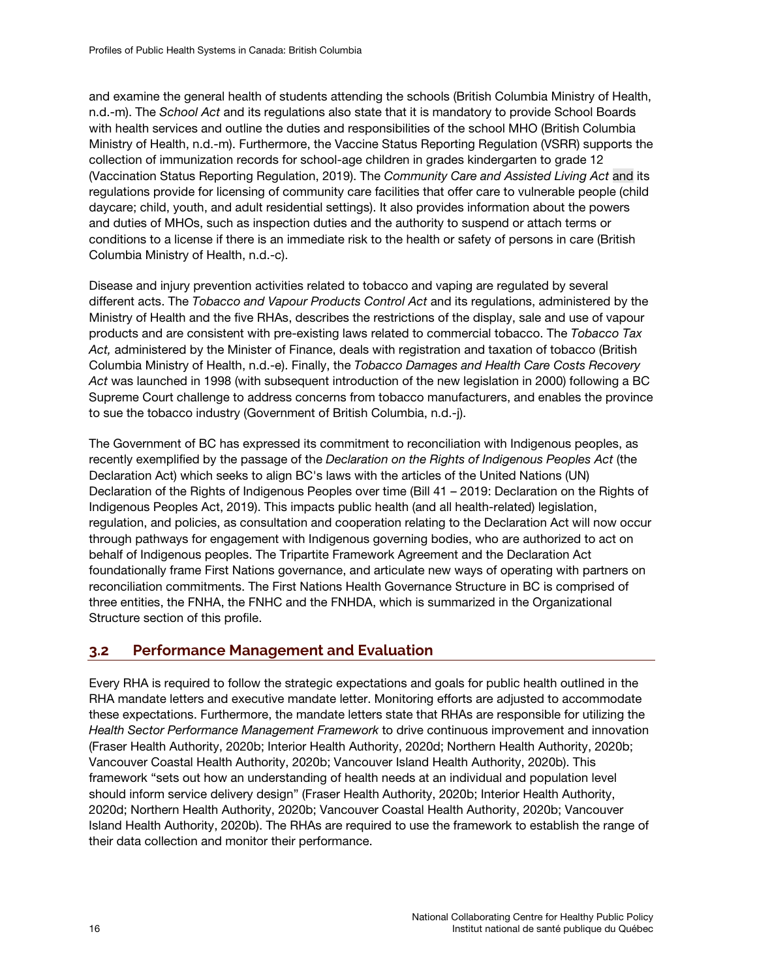and examine the general health of students attending the schools (British Columbia Ministry of Health, n.d.-m). The *School Act* and its regulations also state that it is mandatory to provide School Boards with health services and outline the duties and responsibilities of the school MHO (British Columbia Ministry of Health, n.d.-m). Furthermore, the Vaccine Status Reporting Regulation (VSRR) supports the collection of immunization records for school-age children in grades kindergarten to grade 12 (Vaccination Status Reporting Regulation, 2019). The *Community Care and Assisted Living Act* and its regulations provide for licensing of community care facilities that offer care to vulnerable people (child daycare; child, youth, and adult residential settings). It also provides information about the powers and duties of MHOs, such as inspection duties and the authority to suspend or attach terms or conditions to a license if there is an immediate risk to the health or safety of persons in care (British Columbia Ministry of Health, n.d.-c).

Disease and injury prevention activities related to tobacco and vaping are regulated by several different acts. The *Tobacco and Vapour Products Control Act* and its regulations, administered by the Ministry of Health and the five RHAs, describes the restrictions of the display, sale and use of vapour products and are consistent with pre-existing laws related to commercial tobacco. The *Tobacco Tax Act,* administered by the Minister of Finance, deals with registration and taxation of tobacco (British Columbia Ministry of Health, n.d.-e). Finally, the *Tobacco Damages and Health Care Costs Recovery Act* was launched in 1998 (with subsequent introduction of the new legislation in 2000) following a BC Supreme Court challenge to address concerns from tobacco manufacturers, and enables the province to sue the tobacco industry (Government of British Columbia, n.d.-j).

The Government of BC has expressed its commitment to reconciliation with Indigenous peoples, as recently exemplified by the passage of the *Declaration on the Rights of Indigenous Peoples Act* (the Declaration Act) which seeks to align BC's laws with the articles of the United Nations (UN) Declaration of the Rights of Indigenous Peoples over time (Bill 41 – 2019: Declaration on the Rights of Indigenous Peoples Act, 2019). This impacts public health (and all health-related) legislation, regulation, and policies, as consultation and cooperation relating to the Declaration Act will now occur through pathways for engagement with Indigenous governing bodies, who are authorized to act on behalf of Indigenous peoples. The Tripartite Framework Agreement and the Declaration Act foundationally frame First Nations governance, and articulate new ways of operating with partners on reconciliation commitments. The First Nations Health Governance Structure in BC is comprised of three entities, the FNHA, the FNHC and the FNHDA, which is summarized in the Organizational Structure section of this profile.

# <span id="page-25-0"></span>**3.2 Performance Management and Evaluation**

Every RHA is required to follow the strategic expectations and goals for public health outlined in the RHA mandate letters and executive mandate letter. Monitoring efforts are adjusted to accommodate these expectations. Furthermore, the mandate letters state that RHAs are responsible for utilizing the *Health Sector Performance Management Framework* to drive continuous improvement and innovation (Fraser Health Authority, 2020b; Interior Health Authority, 2020d; Northern Health Authority, 2020b; Vancouver Coastal Health Authority, 2020b; Vancouver Island Health Authority, 2020b). This framework "sets out how an understanding of health needs at an individual and population level should inform service delivery design" (Fraser Health Authority, 2020b; Interior Health Authority, 2020d; Northern Health Authority, 2020b; Vancouver Coastal Health Authority, 2020b; Vancouver Island Health Authority, 2020b). The RHAs are required to use the framework to establish the range of their data collection and monitor their performance.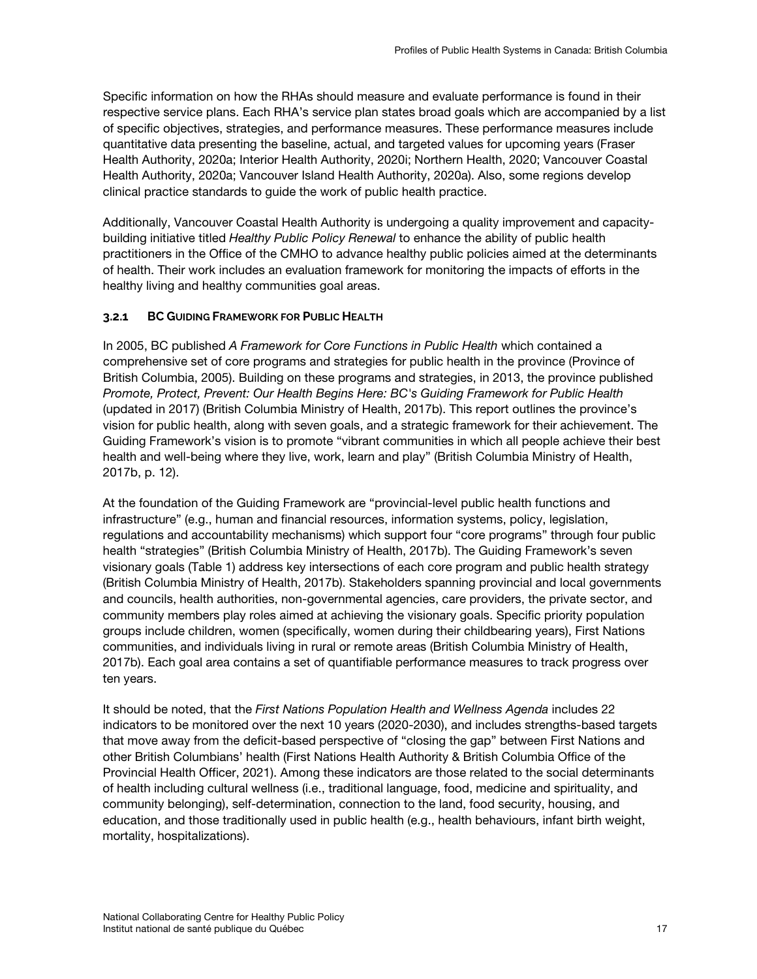Specific information on how the RHAs should measure and evaluate performance is found in their respective service plans. Each RHA's service plan states broad goals which are accompanied by a list of specific objectives, strategies, and performance measures. These performance measures include quantitative data presenting the baseline, actual, and targeted values for upcoming years (Fraser Health Authority, 2020a; Interior Health Authority, 2020i; Northern Health, 2020; Vancouver Coastal Health Authority, 2020a; Vancouver Island Health Authority, 2020a). Also, some regions develop clinical practice standards to guide the work of public health practice.

Additionally, Vancouver Coastal Health Authority is undergoing a quality improvement and capacitybuilding initiative titled *Healthy Public Policy Renewal* to enhance the ability of public health practitioners in the Office of the CMHO to advance healthy public policies aimed at the determinants of health. Their work includes an evaluation framework for monitoring the impacts of efforts in the healthy living and healthy communities goal areas.

## <span id="page-26-0"></span>**3.2.1 BC GUIDING FRAMEWORK FOR PUBLIC HEALTH**

In 2005, BC published *A Framework for Core Functions in Public Health* which contained a comprehensive set of core programs and strategies for public health in the province (Province of British Columbia, 2005). Building on these programs and strategies, in 2013, the province published *Promote, Protect, Prevent: Our Health Begins Here: BC's Guiding Framework for Public Health* (updated in 2017) (British Columbia Ministry of Health, 2017b). This report outlines the province's vision for public health, along with seven goals, and a strategic framework for their achievement. The Guiding Framework's vision is to promote "vibrant communities in which all people achieve their best health and well-being where they live, work, learn and play" (British Columbia Ministry of Health, 2017b, p. 12).

At the foundation of the Guiding Framework are "provincial-level public health functions and infrastructure" (e.g., human and financial resources, information systems, policy, legislation, regulations and accountability mechanisms) which support four "core programs" through four public health "strategies" (British Columbia Ministry of Health, 2017b). The Guiding Framework's seven visionary goals (Table 1) address key intersections of each core program and public health strategy (British Columbia Ministry of Health, 2017b). Stakeholders spanning provincial and local governments and councils, health authorities, non-governmental agencies, care providers, the private sector, and community members play roles aimed at achieving the visionary goals. Specific priority population groups include children, women (specifically, women during their childbearing years), First Nations communities, and individuals living in rural or remote areas (British Columbia Ministry of Health, 2017b). Each goal area contains a set of quantifiable performance measures to track progress over ten years.

It should be noted, that the *First Nations Population Health and Wellness Agenda* includes 22 indicators to be monitored over the next 10 years (2020-2030), and includes strengths-based targets that move away from the deficit-based perspective of "closing the gap" between First Nations and other British Columbians' health (First Nations Health Authority & British Columbia Office of the Provincial Health Officer, 2021). Among these indicators are those related to the social determinants of health including cultural wellness (i.e., traditional language, food, medicine and spirituality, and community belonging), self-determination, connection to the land, food security, housing, and education, and those traditionally used in public health (e.g., health behaviours, infant birth weight, mortality, hospitalizations).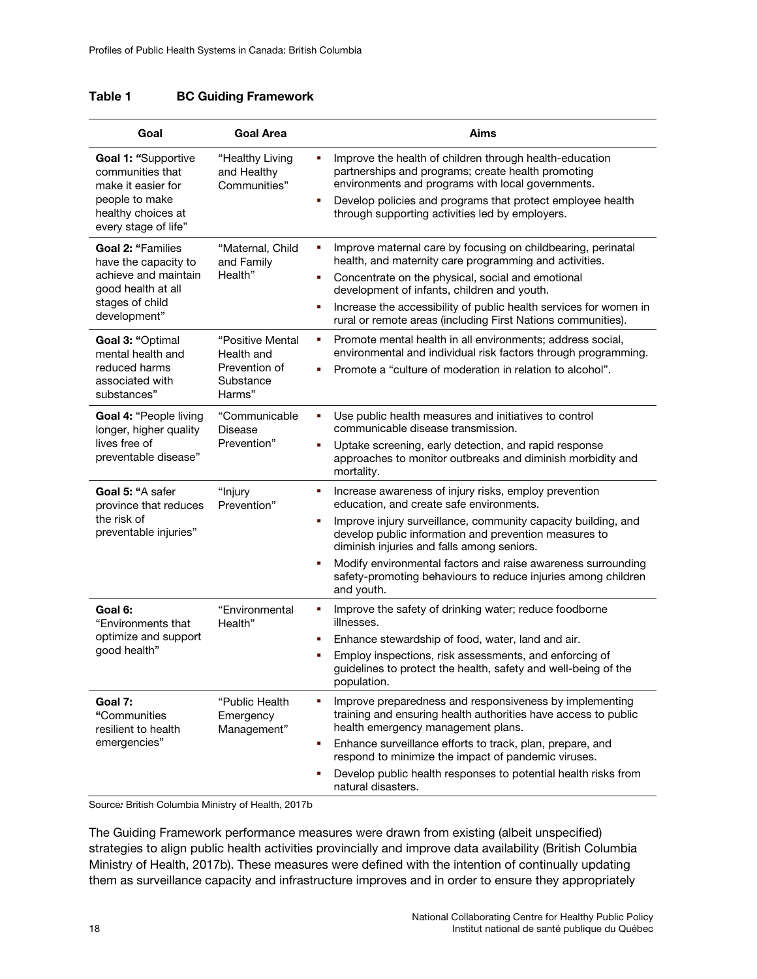| <b>BC Guiding Framework</b> | Table 1 |  |  |
|-----------------------------|---------|--|--|
|-----------------------------|---------|--|--|

| Goal                                                                                                                              | <b>Goal Area</b>                                                                                                                                                                                                                                                                             | <b>Aims</b>                                                                                                                                                                                                                                                                                                                                                                                                                             |  |
|-----------------------------------------------------------------------------------------------------------------------------------|----------------------------------------------------------------------------------------------------------------------------------------------------------------------------------------------------------------------------------------------------------------------------------------------|-----------------------------------------------------------------------------------------------------------------------------------------------------------------------------------------------------------------------------------------------------------------------------------------------------------------------------------------------------------------------------------------------------------------------------------------|--|
| Goal 1: "Supportive<br>communities that<br>make it easier for<br>people to make<br>healthy choices at<br>every stage of life"     | "Healthy Living<br>and Healthy<br>Communities"                                                                                                                                                                                                                                               | Improve the health of children through health-education<br>٠<br>partnerships and programs; create health promoting<br>environments and programs with local governments.<br>Develop policies and programs that protect employee health<br>٠<br>through supporting activities led by employers.                                                                                                                                           |  |
| <b>Goal 2: "Families</b><br>have the capacity to<br>achieve and maintain<br>good health at all<br>stages of child<br>development" | "Maternal, Child<br>and Family<br>Health"                                                                                                                                                                                                                                                    | Improve maternal care by focusing on childbearing, perinatal<br>٠<br>health, and maternity care programming and activities.<br>Concentrate on the physical, social and emotional<br>٠<br>development of infants, children and youth.<br>Increase the accessibility of public health services for women in<br>٠<br>rural or remote areas (including First Nations communities).                                                          |  |
| Goal 3: "Optimal<br>mental health and<br>reduced harms<br>associated with<br>substances"                                          | "Positive Mental<br>Health and<br>Prevention of<br>Substance<br>Harms"                                                                                                                                                                                                                       | Promote mental health in all environments; address social,<br>٠<br>environmental and individual risk factors through programming.<br>Promote a "culture of moderation in relation to alcohol".<br>n,                                                                                                                                                                                                                                    |  |
| Goal 4: "People living<br>longer, higher quality<br>lives free of<br>preventable disease"                                         | Use public health measures and initiatives to control<br>"Communicable<br>٠<br>communicable disease transmission.<br><b>Disease</b><br>Prevention"<br>Uptake screening, early detection, and rapid response<br>٠<br>approaches to monitor outbreaks and diminish morbidity and<br>mortality. |                                                                                                                                                                                                                                                                                                                                                                                                                                         |  |
| Goal 5: "A safer<br>province that reduces<br>the risk of<br>preventable injuries"                                                 | "Injury<br>Prevention"                                                                                                                                                                                                                                                                       | Increase awareness of injury risks, employ prevention<br>٠<br>education, and create safe environments.<br>Improve injury surveillance, community capacity building, and<br>٠<br>develop public information and prevention measures to<br>diminish injuries and falls among seniors.<br>Modify environmental factors and raise awareness surrounding<br>п<br>safety-promoting behaviours to reduce injuries among children<br>and youth. |  |
| Goal 6:<br>"Environments that<br>optimize and support<br>good health"                                                             | "Environmental<br>Health"                                                                                                                                                                                                                                                                    | Improve the safety of drinking water; reduce foodborne<br>٠<br>illnesses.<br>Enhance stewardship of food, water, land and air.<br>F<br>Employ inspections, risk assessments, and enforcing of<br>٠<br>guidelines to protect the health, safety and well-being of the<br>population.                                                                                                                                                     |  |
| Goal 7:<br>"Communities<br>resilient to health<br>emergencies"                                                                    | "Public Health<br>Emergency<br>Management"                                                                                                                                                                                                                                                   | Improve preparedness and responsiveness by implementing<br>٠<br>training and ensuring health authorities have access to public<br>health emergency management plans.<br>Enhance surveillance efforts to track, plan, prepare, and<br>٠<br>respond to minimize the impact of pandemic viruses.<br>Develop public health responses to potential health risks from<br>п<br>natural disasters.                                              |  |

Source*:* British Columbia Ministry of Health, 2017b

The Guiding Framework performance measures were drawn from existing (albeit unspecified) strategies to align public health activities provincially and improve data availability (British Columbia Ministry of Health, 2017b). These measures were defined with the intention of continually updating them as surveillance capacity and infrastructure improves and in order to ensure they appropriately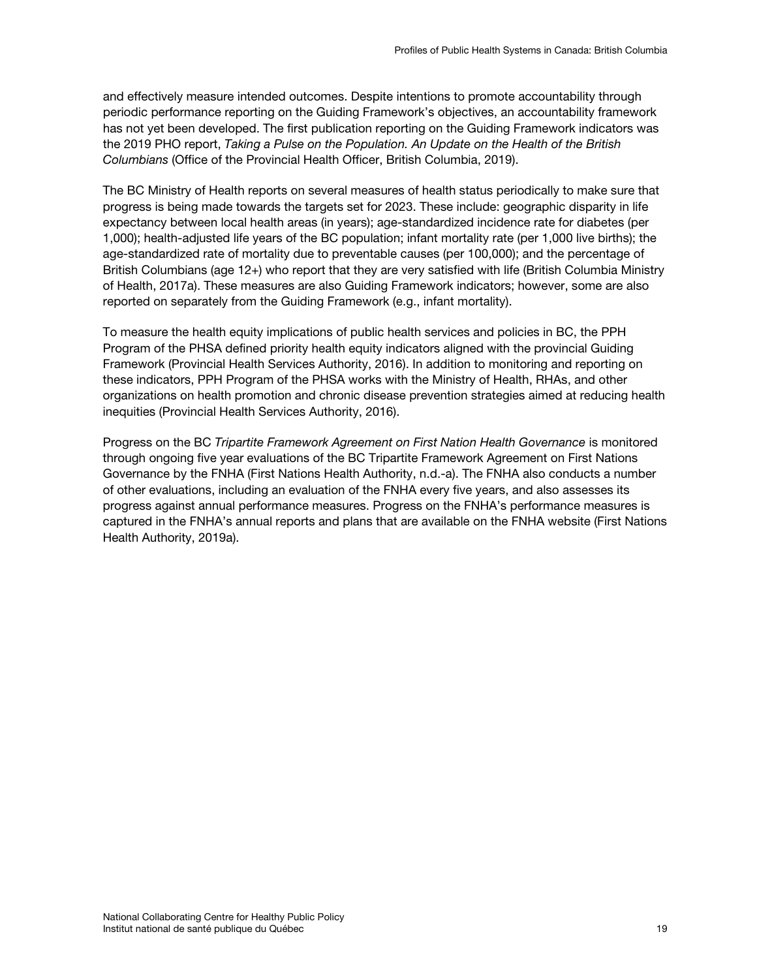and effectively measure intended outcomes. Despite intentions to promote accountability through periodic performance reporting on the Guiding Framework's objectives, an accountability framework has not yet been developed. The first publication reporting on the Guiding Framework indicators was the 2019 PHO report, *Taking a Pulse on the Population. An Update on the Health of the British Columbians* (Office of the Provincial Health Officer, British Columbia, 2019).

The BC Ministry of Health reports on several measures of health status periodically to make sure that progress is being made towards the targets set for 2023. These include: geographic disparity in life expectancy between local health areas (in years); age-standardized incidence rate for diabetes (per 1,000); health-adjusted life years of the BC population; infant mortality rate (per 1,000 live births); the age-standardized rate of mortality due to preventable causes (per 100,000); and the percentage of British Columbians (age 12+) who report that they are very satisfied with life (British Columbia Ministry of Health, 2017a). These measures are also Guiding Framework indicators; however, some are also reported on separately from the Guiding Framework (e.g., infant mortality).

To measure the health equity implications of public health services and policies in BC, the PPH Program of the PHSA defined priority health equity indicators aligned with the provincial Guiding Framework (Provincial Health Services Authority, 2016). In addition to monitoring and reporting on these indicators, PPH Program of the PHSA works with the Ministry of Health, RHAs, and other organizations on health promotion and chronic disease prevention strategies aimed at reducing health inequities (Provincial Health Services Authority, 2016).

Progress on the BC *Tripartite Framework Agreement on First Nation Health Governance* is monitored through ongoing five year evaluations of the BC Tripartite Framework Agreement on First Nations Governance by the FNHA (First Nations Health Authority, n.d.-a). The FNHA also conducts a number of other evaluations, including an evaluation of the FNHA every five years, and also assesses its progress against annual performance measures. Progress on the FNHA's performance measures is captured in the FNHA's annual reports and plans that are available on the FNHA website (First Nations Health Authority, 2019a).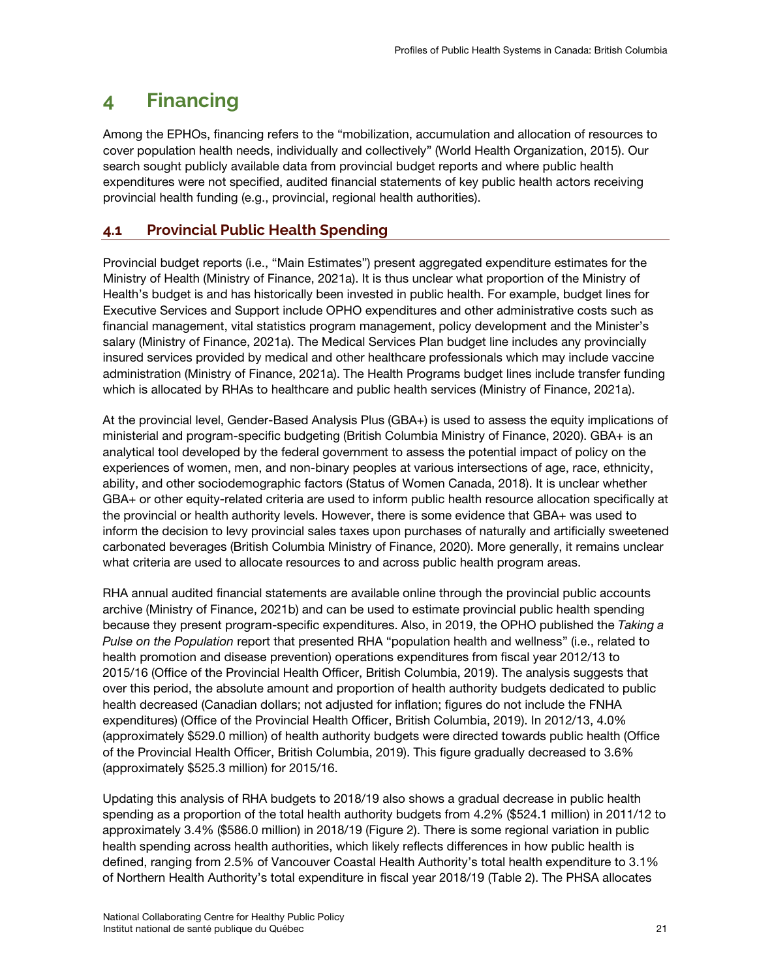# <span id="page-30-0"></span>**4 Financing**

Among the EPHOs, financing refers to the "mobilization, accumulation and allocation of resources to cover population health needs, individually and collectively" (World Health Organization, 2015). Our search sought publicly available data from provincial budget reports and where public health expenditures were not specified, audited financial statements of key public health actors receiving provincial health funding (e.g., provincial, regional health authorities).

# <span id="page-30-1"></span>**4.1 Provincial Public Health Spending**

Provincial budget reports (i.e., "Main Estimates") present aggregated expenditure estimates for the Ministry of Health (Ministry of Finance, 2021a). It is thus unclear what proportion of the Ministry of Health's budget is and has historically been invested in public health. For example, budget lines for Executive Services and Support include OPHO expenditures and other administrative costs such as financial management, vital statistics program management, policy development and the Minister's salary (Ministry of Finance, 2021a). The Medical Services Plan budget line includes any provincially insured services provided by medical and other healthcare professionals which may include vaccine administration (Ministry of Finance, 2021a). The Health Programs budget lines include transfer funding which is allocated by RHAs to healthcare and public health services (Ministry of Finance, 2021a).

At the provincial level, Gender-Based Analysis Plus (GBA+) is used to assess the equity implications of ministerial and program-specific budgeting (British Columbia Ministry of Finance, 2020). GBA+ is an analytical tool developed by the federal government to assess the potential impact of policy on the experiences of women, men, and non-binary peoples at various intersections of age, race, ethnicity, ability, and other sociodemographic factors (Status of Women Canada, 2018). It is unclear whether GBA+ or other equity-related criteria are used to inform public health resource allocation specifically at the provincial or health authority levels. However, there is some evidence that GBA+ was used to inform the decision to levy provincial sales taxes upon purchases of naturally and artificially sweetened carbonated beverages (British Columbia Ministry of Finance, 2020). More generally, it remains unclear what criteria are used to allocate resources to and across public health program areas.

RHA annual audited financial statements are available online through the provincial public accounts archive (Ministry of Finance, 2021b) and can be used to estimate provincial public health spending because they present program-specific expenditures. Also, in 2019, the OPHO published the *Taking a Pulse on the Population* report that presented RHA "population health and wellness" (i.e., related to health promotion and disease prevention) operations expenditures from fiscal year 2012/13 to 2015/16 (Office of the Provincial Health Officer, British Columbia, 2019). The analysis suggests that over this period, the absolute amount and proportion of health authority budgets dedicated to public health decreased (Canadian dollars; not adjusted for inflation; figures do not include the FNHA expenditures) (Office of the Provincial Health Officer, British Columbia, 2019). In 2012/13, 4.0% (approximately \$529.0 million) of health authority budgets were directed towards public health (Office of the Provincial Health Officer, British Columbia, 2019). This figure gradually decreased to 3.6% (approximately \$525.3 million) for 2015/16.

Updating this analysis of RHA budgets to 2018/19 also shows a gradual decrease in public health spending as a proportion of the total health authority budgets from 4.2% (\$524.1 million) in 2011/12 to approximately 3.4% (\$586.0 million) in 2018/19 (Figure 2). There is some regional variation in public health spending across health authorities, which likely reflects differences in how public health is defined, ranging from 2.5% of Vancouver Coastal Health Authority's total health expenditure to 3.1% of Northern Health Authority's total expenditure in fiscal year 2018/19 (Table 2). The PHSA allocates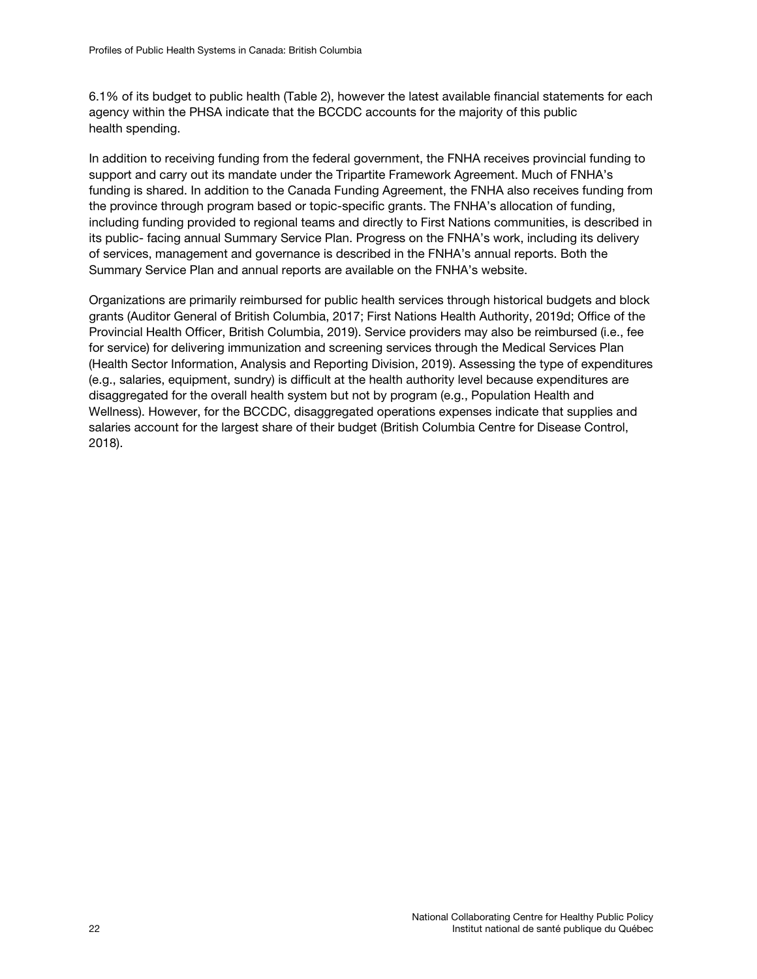6.1% of its budget to public health (Table 2), however the latest available financial statements for each agency within the PHSA indicate that the BCCDC accounts for the majority of this public health spending.

In addition to receiving funding from the federal government, the FNHA receives provincial funding to support and carry out its mandate under the Tripartite Framework Agreement. Much of FNHA's funding is shared. In addition to the Canada Funding Agreement, the FNHA also receives funding from the province through program based or topic-specific grants. The FNHA's allocation of funding, including funding provided to regional teams and directly to First Nations communities, is described in its public- facing annual Summary Service Plan. Progress on the FNHA's work, including its delivery of services, management and governance is described in the FNHA's annual reports. Both the Summary Service Plan and annual reports are available on the FNHA's website.

Organizations are primarily reimbursed for public health services through historical budgets and block grants (Auditor General of British Columbia, 2017; First Nations Health Authority, 2019d; Office of the Provincial Health Officer, British Columbia, 2019). Service providers may also be reimbursed (i.e., fee for service) for delivering immunization and screening services through the Medical Services Plan (Health Sector Information, Analysis and Reporting Division, 2019). Assessing the type of expenditures (e.g., salaries, equipment, sundry) is difficult at the health authority level because expenditures are disaggregated for the overall health system but not by program (e.g., Population Health and Wellness). However, for the BCCDC, disaggregated operations expenses indicate that supplies and salaries account for the largest share of their budget (British Columbia Centre for Disease Control, 2018).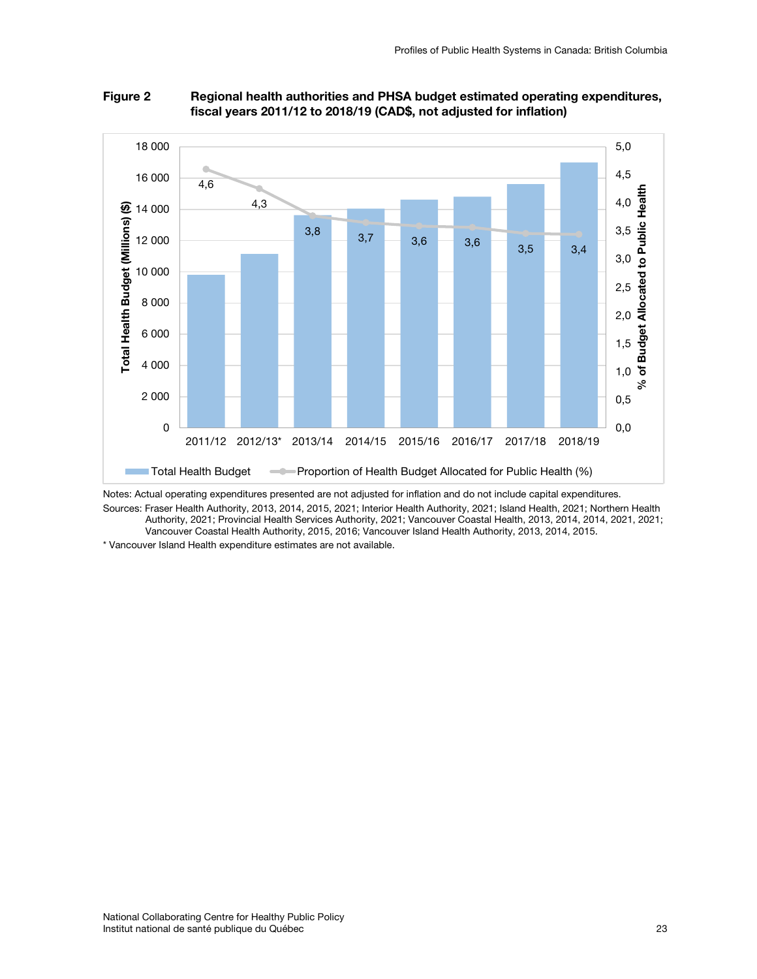

## Figure 2 Regional health authorities and PHSA budget estimated operating expenditures, fiscal years 2011/12 to 2018/19 (CAD\$, not adjusted for inflation)

Notes: Actual operating expenditures presented are not adjusted for inflation and do not include capital expenditures.

Sources: Fraser Health Authority, 2013, 2014, 2015, 2021; Interior Health Authority, 2021; Island Health, 2021; Northern Health Authority, 2021; Provincial Health Services Authority, 2021; Vancouver Coastal Health, 2013, 2014, 2014, 2021, 2021;

Vancouver Coastal Health Authority, 2015, 2016; Vancouver Island Health Authority, 2013, 2014, 2015.

\* Vancouver Island Health expenditure estimates are not available.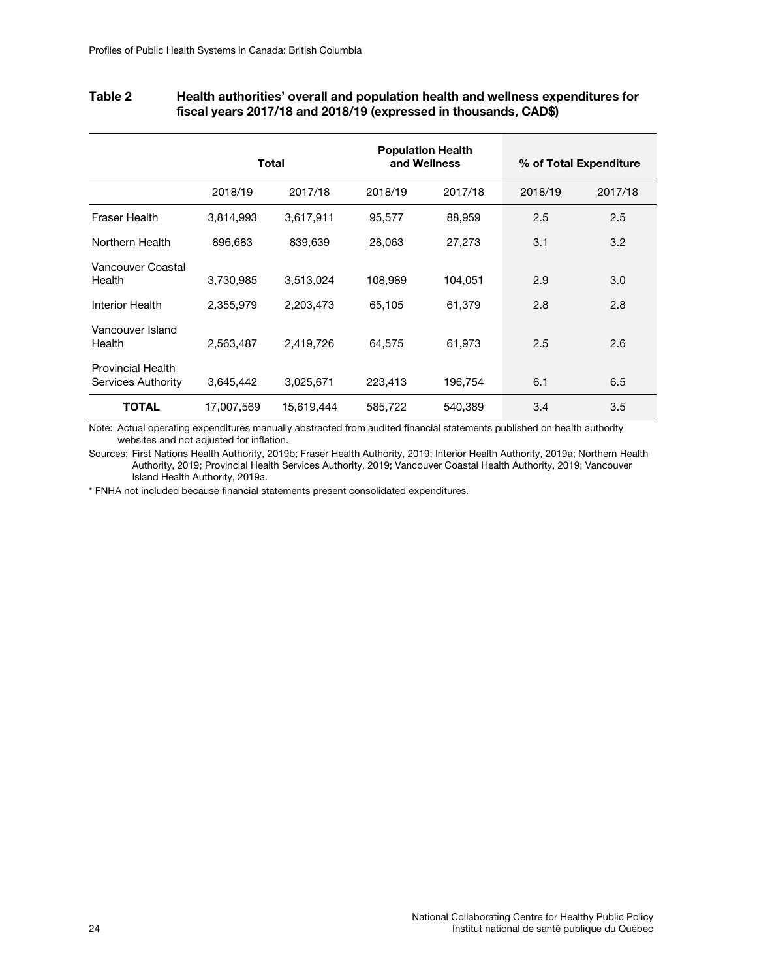|                                                | Total      |            | <b>Population Health</b><br>and Wellness |         | % of Total Expenditure |         |
|------------------------------------------------|------------|------------|------------------------------------------|---------|------------------------|---------|
|                                                | 2018/19    | 2017/18    | 2018/19                                  | 2017/18 | 2018/19                | 2017/18 |
| <b>Fraser Health</b>                           | 3,814,993  | 3,617,911  | 95,577                                   | 88,959  | 2.5                    | 2.5     |
| Northern Health                                | 896,683    | 839,639    | 28,063                                   | 27,273  | 3.1                    | 3.2     |
| Vancouver Coastal<br>Health                    | 3,730,985  | 3,513,024  | 108,989                                  | 104,051 | 2.9                    | 3.0     |
| <b>Interior Health</b>                         | 2,355,979  | 2,203,473  | 65,105                                   | 61,379  | 2.8                    | 2.8     |
| Vancouver Island<br>Health                     | 2,563,487  | 2,419,726  | 64,575                                   | 61,973  | 2.5                    | 2.6     |
| <b>Provincial Health</b><br>Services Authority | 3,645,442  | 3,025,671  | 223,413                                  | 196,754 | 6.1                    | 6.5     |
| <b>TOTAL</b>                                   | 17,007,569 | 15.619.444 | 585,722                                  | 540.389 | 3.4                    | 3.5     |

## Table 2 Health authorities' overall and population health and wellness expenditures for fiscal years 2017/18 and 2018/19 (expressed in thousands, CAD\$)

Note: Actual operating expenditures manually abstracted from audited financial statements published on health authority websites and not adjusted for inflation.

Sources: First Nations Health Authority, 2019b; Fraser Health Authority, 2019; Interior Health Authority, 2019a; Northern Health Authority, 2019; Provincial Health Services Authority, 2019; Vancouver Coastal Health Authority, 2019; Vancouver Island Health Authority, 2019a.

\* FNHA not included because financial statements present consolidated expenditures.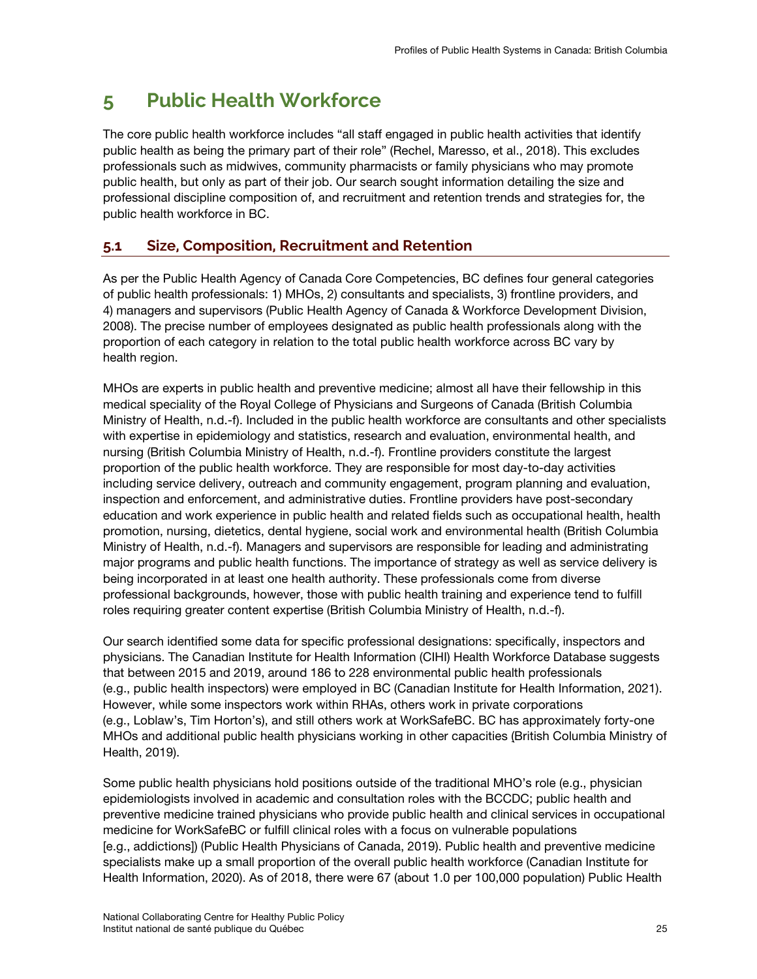# <span id="page-34-0"></span>**5 Public Health Workforce**

The core public health workforce includes "all staff engaged in public health activities that identify public health as being the primary part of their role" (Rechel, Maresso, et al., 2018). This excludes professionals such as midwives, community pharmacists or family physicians who may promote public health, but only as part of their job. Our search sought information detailing the size and professional discipline composition of, and recruitment and retention trends and strategies for, the public health workforce in BC.

# <span id="page-34-1"></span>**5.1 Size, Composition, Recruitment and Retention**

As per the Public Health Agency of Canada Core Competencies, BC defines four general categories of public health professionals: 1) MHOs, 2) consultants and specialists, 3) frontline providers, and 4) managers and supervisors (Public Health Agency of Canada & Workforce Development Division, 2008). The precise number of employees designated as public health professionals along with the proportion of each category in relation to the total public health workforce across BC vary by health region.

MHOs are experts in public health and preventive medicine; almost all have their fellowship in this medical speciality of the Royal College of Physicians and Surgeons of Canada (British Columbia Ministry of Health, n.d.-f). Included in the public health workforce are consultants and other specialists with expertise in epidemiology and statistics, research and evaluation, environmental health, and nursing (British Columbia Ministry of Health, n.d.-f). Frontline providers constitute the largest proportion of the public health workforce. They are responsible for most day-to-day activities including service delivery, outreach and community engagement, program planning and evaluation, inspection and enforcement, and administrative duties. Frontline providers have post-secondary education and work experience in public health and related fields such as occupational health, health promotion, nursing, dietetics, dental hygiene, social work and environmental health (British Columbia Ministry of Health, n.d.-f). Managers and supervisors are responsible for leading and administrating major programs and public health functions. The importance of strategy as well as service delivery is being incorporated in at least one health authority. These professionals come from diverse professional backgrounds, however, those with public health training and experience tend to fulfill roles requiring greater content expertise (British Columbia Ministry of Health, n.d.-f).

Our search identified some data for specific professional designations: specifically, inspectors and physicians. The Canadian Institute for Health Information (CIHI) Health Workforce Database suggests that between 2015 and 2019, around 186 to 228 environmental public health professionals (e.g., public health inspectors) were employed in BC (Canadian Institute for Health Information, 2021). However, while some inspectors work within RHAs, others work in private corporations (e.g., Loblaw's, Tim Horton's), and still others work at WorkSafeBC. BC has approximately forty-one MHOs and additional public health physicians working in other capacities (British Columbia Ministry of Health, 2019).

Some public health physicians hold positions outside of the traditional MHO's role (e.g., physician epidemiologists involved in academic and consultation roles with the BCCDC; public health and preventive medicine trained physicians who provide public health and clinical services in occupational medicine for WorkSafeBC or fulfill clinical roles with a focus on vulnerable populations [e.g., addictions]) (Public Health Physicians of Canada, 2019). Public health and preventive medicine specialists make up a small proportion of the overall public health workforce (Canadian Institute for Health Information, 2020). As of 2018, there were 67 (about 1.0 per 100,000 population) Public Health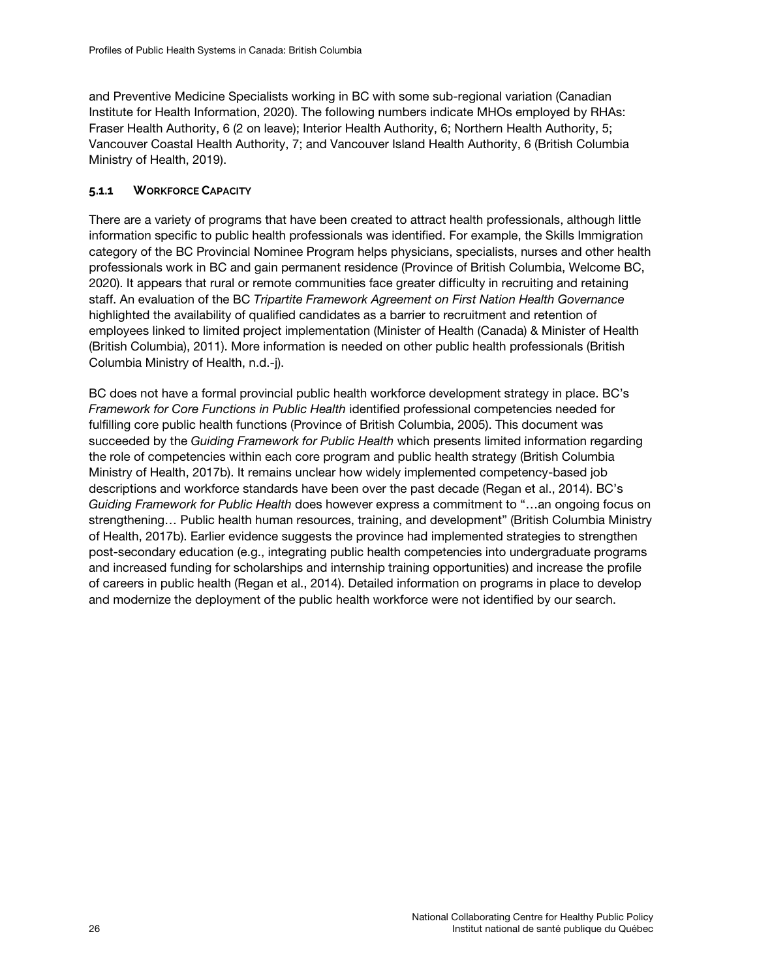and Preventive Medicine Specialists working in BC with some sub-regional variation (Canadian Institute for Health Information, 2020). The following numbers indicate MHOs employed by RHAs: Fraser Health Authority, 6 (2 on leave); Interior Health Authority, 6; Northern Health Authority, 5; Vancouver Coastal Health Authority, 7; and Vancouver Island Health Authority, 6 (British Columbia Ministry of Health, 2019).

## <span id="page-35-0"></span>**5.1.1 WORKFORCE CAPACITY**

There are a variety of programs that have been created to attract health professionals, although little information specific to public health professionals was identified. For example, the Skills Immigration category of the BC Provincial Nominee Program helps physicians, specialists, nurses and other health professionals work in BC and gain permanent residence (Province of British Columbia, Welcome BC, 2020). It appears that rural or remote communities face greater difficulty in recruiting and retaining staff. An evaluation of the BC *Tripartite Framework Agreement on First Nation Health Governance* highlighted the availability of qualified candidates as a barrier to recruitment and retention of employees linked to limited project implementation (Minister of Health (Canada) & Minister of Health (British Columbia), 2011). More information is needed on other public health professionals (British Columbia Ministry of Health, n.d.-j).

BC does not have a formal provincial public health workforce development strategy in place. BC's *Framework for Core Functions in Public Health* identified professional competencies needed for fulfilling core public health functions (Province of British Columbia, 2005). This document was succeeded by the *Guiding Framework for Public Health* which presents limited information regarding the role of competencies within each core program and public health strategy (British Columbia Ministry of Health, 2017b). It remains unclear how widely implemented competency-based job descriptions and workforce standards have been over the past decade (Regan et al., 2014). BC's *Guiding Framework for Public Health* does however express a commitment to "…an ongoing focus on strengthening… Public health human resources, training, and development" (British Columbia Ministry of Health, 2017b). Earlier evidence suggests the province had implemented strategies to strengthen post-secondary education (e.g., integrating public health competencies into undergraduate programs and increased funding for scholarships and internship training opportunities) and increase the profile of careers in public health (Regan et al., 2014). Detailed information on programs in place to develop and modernize the deployment of the public health workforce were not identified by our search.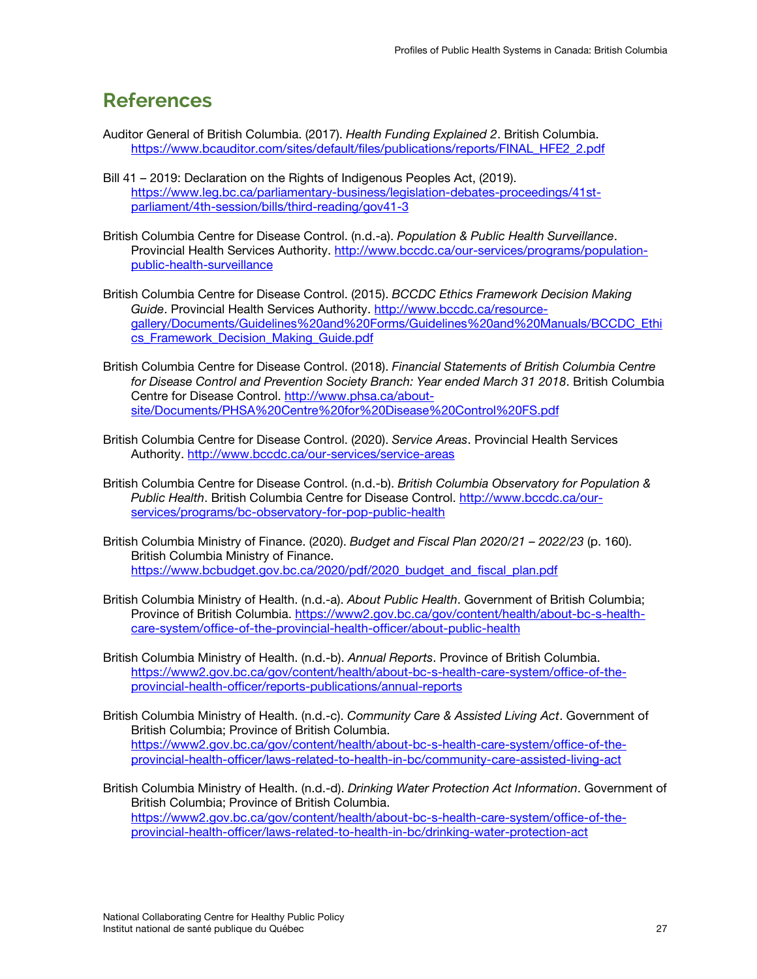# <span id="page-36-0"></span>**References**

- Auditor General of British Columbia. (2017). *Health Funding Explained 2*. British Columbia. [https://www.bcauditor.com/sites/default/files/publications/reports/FINAL\\_HFE2\\_2.pdf](https://www.bcauditor.com/sites/default/files/publications/reports/FINAL_HFE2_2.pdf)
- Bill 41 2019: Declaration on the Rights of Indigenous Peoples Act, (2019). [https://www.leg.bc.ca/parliamentary-business/legislation-debates-proceedings/41st](https://www.leg.bc.ca/parliamentary-business/legislation-debates-proceedings/41st-parliament/4th-session/bills/third-reading/gov41-3)[parliament/4th-session/bills/third-reading/gov41-3](https://www.leg.bc.ca/parliamentary-business/legislation-debates-proceedings/41st-parliament/4th-session/bills/third-reading/gov41-3)
- British Columbia Centre for Disease Control. (n.d.-a). *Population & Public Health Surveillance*. Provincial Health Services Authority. [http://www.bccdc.ca/our-services/programs/population](http://www.bccdc.ca/our-services/programs/population-public-health-surveillance)[public-health-surveillance](http://www.bccdc.ca/our-services/programs/population-public-health-surveillance)
- British Columbia Centre for Disease Control. (2015). *BCCDC Ethics Framework Decision Making Guide*. Provincial Health Services Authority. [http://www.bccdc.ca/resource](http://www.bccdc.ca/resource-gallery/Documents/Guidelines%20and%20Forms/Guidelines%20and%20Manuals/BCCDC_Ethics_Framework_Decision_Making_Guide.pdf)[gallery/Documents/Guidelines%20and%20Forms/Guidelines%20and%20Manuals/BCCDC\\_Ethi](http://www.bccdc.ca/resource-gallery/Documents/Guidelines%20and%20Forms/Guidelines%20and%20Manuals/BCCDC_Ethics_Framework_Decision_Making_Guide.pdf) [cs\\_Framework\\_Decision\\_Making\\_Guide.pdf](http://www.bccdc.ca/resource-gallery/Documents/Guidelines%20and%20Forms/Guidelines%20and%20Manuals/BCCDC_Ethics_Framework_Decision_Making_Guide.pdf)
- British Columbia Centre for Disease Control. (2018). *Financial Statements of British Columbia Centre for Disease Control and Prevention Society Branch: Year ended March 31 2018*. British Columbia Centre for Disease Control. [http://www.phsa.ca/about](http://www.phsa.ca/about-site/Documents/PHSA%20Centre%20for%20Disease%20Control%20FS.pdf)[site/Documents/PHSA%20Centre%20for%20Disease%20Control%20FS.pdf](http://www.phsa.ca/about-site/Documents/PHSA%20Centre%20for%20Disease%20Control%20FS.pdf)
- British Columbia Centre for Disease Control. (2020). *Service Areas*. Provincial Health Services Authority.<http://www.bccdc.ca/our-services/service-areas>
- British Columbia Centre for Disease Control. (n.d.-b). *British Columbia Observatory for Population & Public Health*. British Columbia Centre for Disease Control. [http://www.bccdc.ca/our](http://www.bccdc.ca/our-services/programs/bc-observatory-for-pop-public-health)[services/programs/bc-observatory-for-pop-public-health](http://www.bccdc.ca/our-services/programs/bc-observatory-for-pop-public-health)
- British Columbia Ministry of Finance. (2020). *Budget and Fiscal Plan 2020/21 2022/23* (p. 160). British Columbia Ministry of Finance. [https://www.bcbudget.gov.bc.ca/2020/pdf/2020\\_budget\\_and\\_fiscal\\_plan.pdf](https://www.bcbudget.gov.bc.ca/2020/pdf/2020_budget_and_fiscal_plan.pdf)
- British Columbia Ministry of Health. (n.d.-a). *About Public Health*. Government of British Columbia; Province of British Columbia. [https://www2.gov.bc.ca/gov/content/health/about-bc-s-health](https://www2.gov.bc.ca/gov/content/health/about-bc-s-health-care-system/office-of-the-provincial-health-officer/about-public-health)[care-system/office-of-the-provincial-health-officer/about-public-health](https://www2.gov.bc.ca/gov/content/health/about-bc-s-health-care-system/office-of-the-provincial-health-officer/about-public-health)
- British Columbia Ministry of Health. (n.d.-b). *Annual Reports*. Province of British Columbia. [https://www2.gov.bc.ca/gov/content/health/about-bc-s-health-care-system/office-of-the](https://www2.gov.bc.ca/gov/content/health/about-bc-s-health-care-system/office-of-the-provincial-health-officer/reports-publications/annual-reports)[provincial-health-officer/reports-publications/annual-reports](https://www2.gov.bc.ca/gov/content/health/about-bc-s-health-care-system/office-of-the-provincial-health-officer/reports-publications/annual-reports)
- British Columbia Ministry of Health. (n.d.-c). *Community Care & Assisted Living Act*. Government of British Columbia; Province of British Columbia. [https://www2.gov.bc.ca/gov/content/health/about-bc-s-health-care-system/office-of-the](https://www2.gov.bc.ca/gov/content/health/about-bc-s-health-care-system/office-of-the-provincial-health-officer/laws-related-to-health-in-bc/community-care-assisted-living-act)[provincial-health-officer/laws-related-to-health-in-bc/community-care-assisted-living-act](https://www2.gov.bc.ca/gov/content/health/about-bc-s-health-care-system/office-of-the-provincial-health-officer/laws-related-to-health-in-bc/community-care-assisted-living-act)
- British Columbia Ministry of Health. (n.d.-d). *Drinking Water Protection Act Information*. Government of British Columbia; Province of British Columbia. [https://www2.gov.bc.ca/gov/content/health/about-bc-s-health-care-system/office-of-the](https://www2.gov.bc.ca/gov/content/health/about-bc-s-health-care-system/office-of-the-provincial-health-officer/laws-related-to-health-in-bc/drinking-water-protection-act)[provincial-health-officer/laws-related-to-health-in-bc/drinking-water-protection-act](https://www2.gov.bc.ca/gov/content/health/about-bc-s-health-care-system/office-of-the-provincial-health-officer/laws-related-to-health-in-bc/drinking-water-protection-act)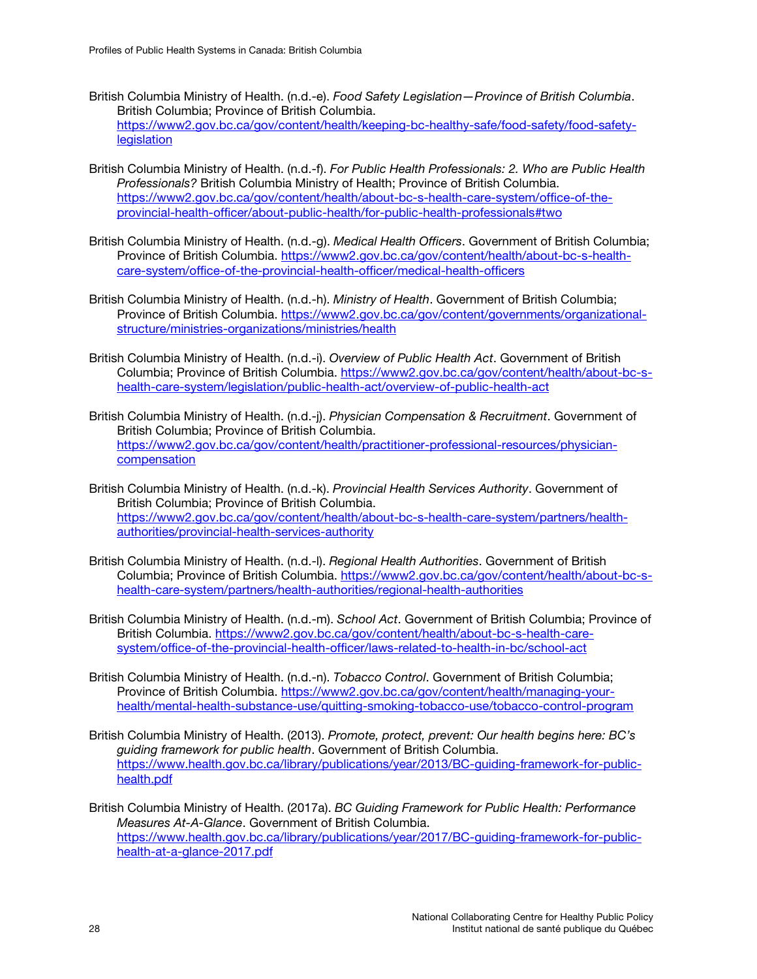- British Columbia Ministry of Health. (n.d.-e). *Food Safety Legislation—Province of British Columbia*. British Columbia; Province of British Columbia. [https://www2.gov.bc.ca/gov/content/health/keeping-bc-healthy-safe/food-safety/food-safety](https://www2.gov.bc.ca/gov/content/health/keeping-bc-healthy-safe/food-safety/food-safety-legislation)[legislation](https://www2.gov.bc.ca/gov/content/health/keeping-bc-healthy-safe/food-safety/food-safety-legislation)
- British Columbia Ministry of Health. (n.d.-f). *For Public Health Professionals: 2. Who are Public Health Professionals?* British Columbia Ministry of Health; Province of British Columbia. [https://www2.gov.bc.ca/gov/content/health/about-bc-s-health-care-system/office-of-the](https://www2.gov.bc.ca/gov/content/health/about-bc-s-health-care-system/office-of-the-provincial-health-officer/about-public-health/for-public-health-professionals#two)[provincial-health-officer/about-public-health/for-public-health-professionals#two](https://www2.gov.bc.ca/gov/content/health/about-bc-s-health-care-system/office-of-the-provincial-health-officer/about-public-health/for-public-health-professionals#two)
- British Columbia Ministry of Health. (n.d.-g). *Medical Health Officers*. Government of British Columbia; Province of British Columbia. [https://www2.gov.bc.ca/gov/content/health/about-bc-s-health](https://www2.gov.bc.ca/gov/content/health/about-bc-s-health-care-system/office-of-the-provincial-health-officer/medical-health-officers)[care-system/office-of-the-provincial-health-officer/medical-health-officers](https://www2.gov.bc.ca/gov/content/health/about-bc-s-health-care-system/office-of-the-provincial-health-officer/medical-health-officers)
- British Columbia Ministry of Health. (n.d.-h). *Ministry of Health*. Government of British Columbia; Province of British Columbia. [https://www2.gov.bc.ca/gov/content/governments/organizational](https://www2.gov.bc.ca/gov/content/governments/organizational-structure/ministries-organizations/ministries/health)[structure/ministries-organizations/ministries/health](https://www2.gov.bc.ca/gov/content/governments/organizational-structure/ministries-organizations/ministries/health)
- British Columbia Ministry of Health. (n.d.-i). *Overview of Public Health Act*. Government of British Columbia; Province of British Columbia. [https://www2.gov.bc.ca/gov/content/health/about-bc-s](https://www2.gov.bc.ca/gov/content/health/about-bc-s-health-care-system/legislation/public-health-act/overview-of-public-health-act)[health-care-system/legislation/public-health-act/overview-of-public-health-act](https://www2.gov.bc.ca/gov/content/health/about-bc-s-health-care-system/legislation/public-health-act/overview-of-public-health-act)
- British Columbia Ministry of Health. (n.d.-j). *Physician Compensation & Recruitment*. Government of British Columbia; Province of British Columbia. [https://www2.gov.bc.ca/gov/content/health/practitioner-professional-resources/physician](https://www2.gov.bc.ca/gov/content/health/practitioner-professional-resources/physician-compensation)[compensation](https://www2.gov.bc.ca/gov/content/health/practitioner-professional-resources/physician-compensation)
- British Columbia Ministry of Health. (n.d.-k). *Provincial Health Services Authority*. Government of British Columbia; Province of British Columbia. [https://www2.gov.bc.ca/gov/content/health/about-bc-s-health-care-system/partners/health](https://www2.gov.bc.ca/gov/content/health/about-bc-s-health-care-system/partners/health-authorities/provincial-health-services-authority)[authorities/provincial-health-services-authority](https://www2.gov.bc.ca/gov/content/health/about-bc-s-health-care-system/partners/health-authorities/provincial-health-services-authority)
- British Columbia Ministry of Health. (n.d.-l). *Regional Health Authorities*. Government of British Columbia; Province of British Columbia. [https://www2.gov.bc.ca/gov/content/health/about-bc-s](https://www2.gov.bc.ca/gov/content/health/about-bc-s-health-care-system/partners/health-authorities/regional-health-authorities)[health-care-system/partners/health-authorities/regional-health-authorities](https://www2.gov.bc.ca/gov/content/health/about-bc-s-health-care-system/partners/health-authorities/regional-health-authorities)
- British Columbia Ministry of Health. (n.d.-m). *School Act*. Government of British Columbia; Province of British Columbia. [https://www2.gov.bc.ca/gov/content/health/about-bc-s-health-care](https://www2.gov.bc.ca/gov/content/health/about-bc-s-health-care-system/office-of-the-provincial-health-officer/laws-related-to-health-in-bc/school-act)[system/office-of-the-provincial-health-officer/laws-related-to-health-in-bc/school-act](https://www2.gov.bc.ca/gov/content/health/about-bc-s-health-care-system/office-of-the-provincial-health-officer/laws-related-to-health-in-bc/school-act)
- British Columbia Ministry of Health. (n.d.-n). *Tobacco Control*. Government of British Columbia; Province of British Columbia. [https://www2.gov.bc.ca/gov/content/health/managing-your](https://www2.gov.bc.ca/gov/content/health/managing-your-health/mental-health-substance-use/quitting-smoking-tobacco-use/tobacco-control-program)[health/mental-health-substance-use/quitting-smoking-tobacco-use/tobacco-control-program](https://www2.gov.bc.ca/gov/content/health/managing-your-health/mental-health-substance-use/quitting-smoking-tobacco-use/tobacco-control-program)
- British Columbia Ministry of Health. (2013). *Promote, protect, prevent: Our health begins here: BC's guiding framework for public health*. Government of British Columbia. [https://www.health.gov.bc.ca/library/publications/year/2013/BC-guiding-framework-for-public](https://www.health.gov.bc.ca/library/publications/year/2013/BC-guiding-framework-for-public-health.pdf)[health.pdf](https://www.health.gov.bc.ca/library/publications/year/2013/BC-guiding-framework-for-public-health.pdf)
- British Columbia Ministry of Health. (2017a). *BC Guiding Framework for Public Health: Performance Measures At-A-Glance*. Government of British Columbia. [https://www.health.gov.bc.ca/library/publications/year/2017/BC-guiding-framework-for-public](https://www.health.gov.bc.ca/library/publications/year/2017/BC-guiding-framework-for-public-health-at-a-glance-2017.pdf)[health-at-a-glance-2017.pdf](https://www.health.gov.bc.ca/library/publications/year/2017/BC-guiding-framework-for-public-health-at-a-glance-2017.pdf)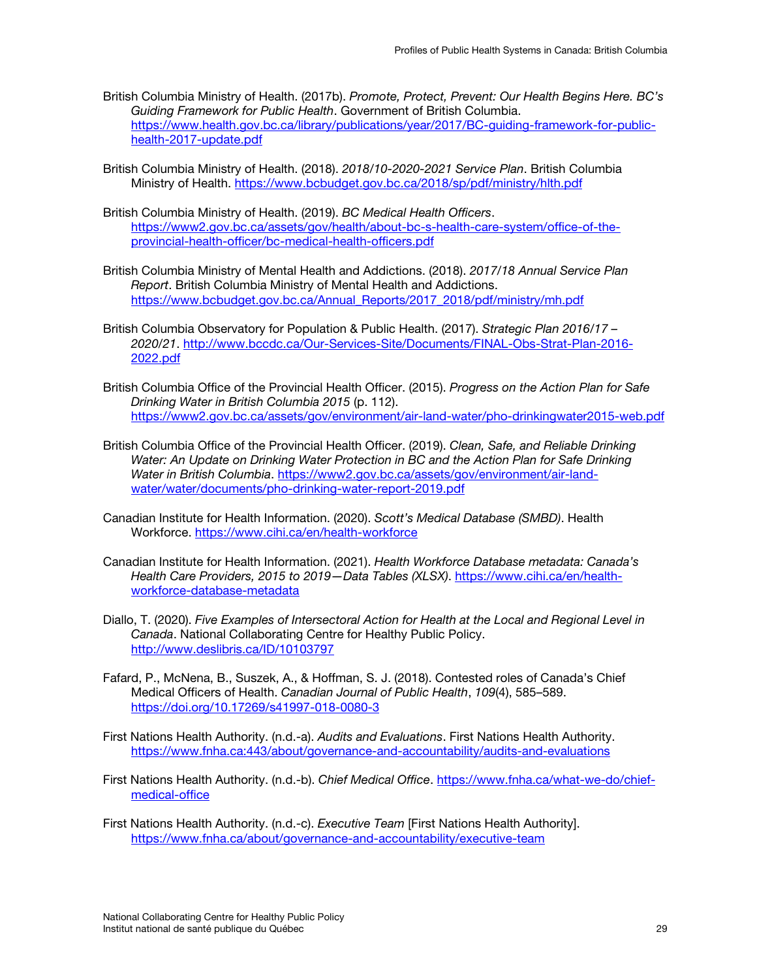- British Columbia Ministry of Health. (2017b). *Promote, Protect, Prevent: Our Health Begins Here. BC's Guiding Framework for Public Health*. Government of British Columbia. [https://www.health.gov.bc.ca/library/publications/year/2017/BC-guiding-framework-for-public](https://www.health.gov.bc.ca/library/publications/year/2017/BC-guiding-framework-for-public-health-2017-update.pdf)[health-2017-update.pdf](https://www.health.gov.bc.ca/library/publications/year/2017/BC-guiding-framework-for-public-health-2017-update.pdf)
- British Columbia Ministry of Health. (2018). *2018/10-2020-2021 Service Plan*. British Columbia Ministry of Health.<https://www.bcbudget.gov.bc.ca/2018/sp/pdf/ministry/hlth.pdf>
- British Columbia Ministry of Health. (2019). *BC Medical Health Officers*. [https://www2.gov.bc.ca/assets/gov/health/about-bc-s-health-care-system/office-of-the](https://www2.gov.bc.ca/assets/gov/health/about-bc-s-health-care-system/office-of-the-provincial-health-officer/bc-medical-health-officers.pdf)[provincial-health-officer/bc-medical-health-officers.pdf](https://www2.gov.bc.ca/assets/gov/health/about-bc-s-health-care-system/office-of-the-provincial-health-officer/bc-medical-health-officers.pdf)
- British Columbia Ministry of Mental Health and Addictions. (2018). *2017/18 Annual Service Plan Report*. British Columbia Ministry of Mental Health and Addictions. [https://www.bcbudget.gov.bc.ca/Annual\\_Reports/2017\\_2018/pdf/ministry/mh.pdf](https://www.bcbudget.gov.bc.ca/Annual_Reports/2017_2018/pdf/ministry/mh.pdf)
- British Columbia Observatory for Population & Public Health. (2017). *Strategic Plan 2016/17 2020/21*. [http://www.bccdc.ca/Our-Services-Site/Documents/FINAL-Obs-Strat-Plan-2016-](http://www.bccdc.ca/Our-Services-Site/Documents/FINAL-Obs-Strat-Plan-2016-2022.pdf) [2022.pdf](http://www.bccdc.ca/Our-Services-Site/Documents/FINAL-Obs-Strat-Plan-2016-2022.pdf)
- British Columbia Office of the Provincial Health Officer. (2015). *Progress on the Action Plan for Safe Drinking Water in British Columbia 2015* (p. 112). <https://www2.gov.bc.ca/assets/gov/environment/air-land-water/pho-drinkingwater2015-web.pdf>
- British Columbia Office of the Provincial Health Officer. (2019). *Clean, Safe, and Reliable Drinking Water: An Update on Drinking Water Protection in BC and the Action Plan for Safe Drinking Water in British Columbia*. [https://www2.gov.bc.ca/assets/gov/environment/air-land](https://www2.gov.bc.ca/assets/gov/environment/air-land-water/water/documents/pho-drinking-water-report-2019.pdf)[water/water/documents/pho-drinking-water-report-2019.pdf](https://www2.gov.bc.ca/assets/gov/environment/air-land-water/water/documents/pho-drinking-water-report-2019.pdf)
- Canadian Institute for Health Information. (2020). *Scott's Medical Database (SMBD)*. Health Workforce.<https://www.cihi.ca/en/health-workforce>
- Canadian Institute for Health Information. (2021). *Health Workforce Database metadata: Canada's Health Care Providers, 2015 to 2019—Data Tables (XLSX)*. [https://www.cihi.ca/en/health](https://www.cihi.ca/en/health-workforce-database-metadata)[workforce-database-metadata](https://www.cihi.ca/en/health-workforce-database-metadata)
- Diallo, T. (2020). *Five Examples of Intersectoral Action for Health at the Local and Regional Level in Canada*. National Collaborating Centre for Healthy Public Policy. <http://www.deslibris.ca/ID/10103797>
- Fafard, P., McNena, B., Suszek, A., & Hoffman, S. J. (2018). Contested roles of Canada's Chief Medical Officers of Health. *Canadian Journal of Public Health*, *109*(4), 585–589. <https://doi.org/10.17269/s41997-018-0080-3>
- First Nations Health Authority. (n.d.-a). *Audits and Evaluations*. First Nations Health Authority. [https://www.fnha.ca:443/about/governance-and-accountability/audits-and-evaluations](https://www.fnha.ca/about/governance-and-accountability/audits-and-evaluations)
- First Nations Health Authority. (n.d.-b). *Chief Medical Office*. [https://www.fnha.ca/what-we-do/chief](https://www.fnha.ca/what-we-do/chief-medical-office)[medical-office](https://www.fnha.ca/what-we-do/chief-medical-office)
- First Nations Health Authority. (n.d.-c). *Executive Team* [First Nations Health Authority]. <https://www.fnha.ca/about/governance-and-accountability/executive-team>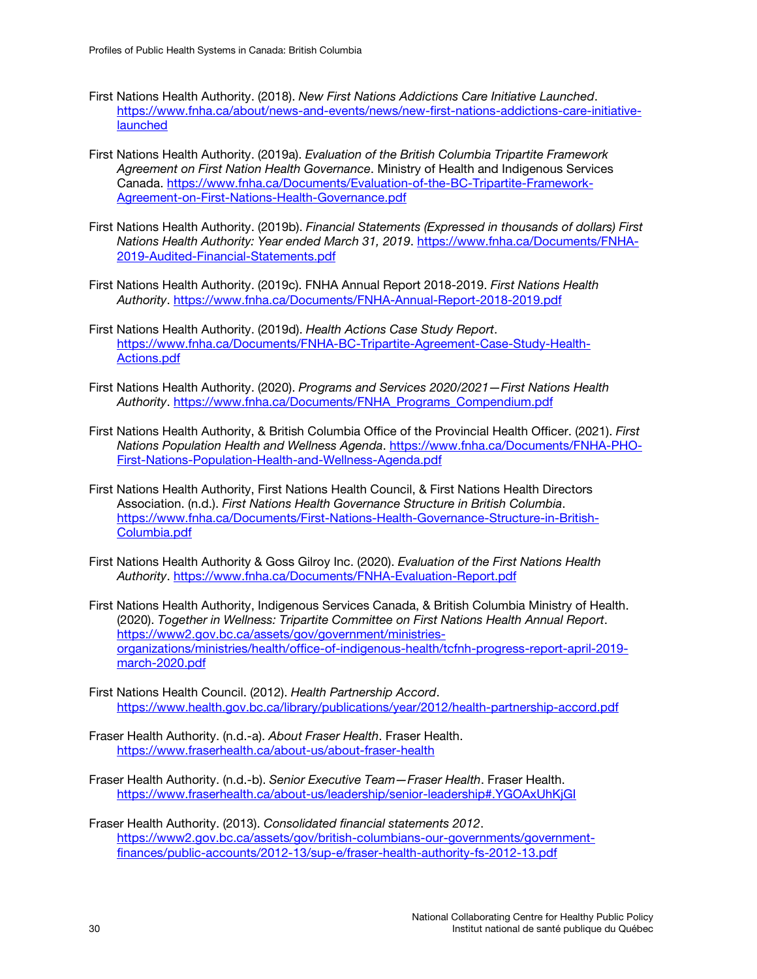- First Nations Health Authority. (2018). *New First Nations Addictions Care Initiative Launched*. [https://www.fnha.ca/about/news-and-events/news/new-first-nations-addictions-care-initiative](https://www.fnha.ca/about/news-and-events/news/new-first-nations-addictions-care-initiative-launched)[launched](https://www.fnha.ca/about/news-and-events/news/new-first-nations-addictions-care-initiative-launched)
- First Nations Health Authority. (2019a). *Evaluation of the British Columbia Tripartite Framework Agreement on First Nation Health Governance*. Ministry of Health and Indigenous Services Canada. [https://www.fnha.ca/Documents/Evaluation-of-the-BC-Tripartite-Framework-](https://www.fnha.ca/Documents/Evaluation-of-the-BC-Tripartite-Framework-Agreement-on-First-Nations-Health-Governance.pdf)[Agreement-on-First-Nations-Health-Governance.pdf](https://www.fnha.ca/Documents/Evaluation-of-the-BC-Tripartite-Framework-Agreement-on-First-Nations-Health-Governance.pdf)
- First Nations Health Authority. (2019b). *Financial Statements (Expressed in thousands of dollars) First Nations Health Authority: Year ended March 31, 2019*. [https://www.fnha.ca/Documents/FNHA-](https://www.fnha.ca/Documents/FNHA-2019-Audited-Financial-Statements.pdf)[2019-Audited-Financial-Statements.pdf](https://www.fnha.ca/Documents/FNHA-2019-Audited-Financial-Statements.pdf)
- First Nations Health Authority. (2019c). FNHA Annual Report 2018-2019. *First Nations Health Authority*.<https://www.fnha.ca/Documents/FNHA-Annual-Report-2018-2019.pdf>
- First Nations Health Authority. (2019d). *Health Actions Case Study Report*. [https://www.fnha.ca/Documents/FNHA-BC-Tripartite-Agreement-Case-Study-Health-](https://www.fnha.ca/Documents/FNHA-BC-Tripartite-Agreement-Case-Study-Health-Actions.pdf)[Actions.pdf](https://www.fnha.ca/Documents/FNHA-BC-Tripartite-Agreement-Case-Study-Health-Actions.pdf)
- First Nations Health Authority. (2020). *Programs and Services 2020/2021—First Nations Health Authority*. [https://www.fnha.ca/Documents/FNHA\\_Programs\\_Compendium.pdf](https://www.fnha.ca/Documents/FNHA_Programs_Compendium.pdf)
- First Nations Health Authority, & British Columbia Office of the Provincial Health Officer. (2021). *First Nations Population Health and Wellness Agenda*. [https://www.fnha.ca/Documents/FNHA-PHO-](https://www.fnha.ca/Documents/FNHA-PHO-First-Nations-Population-Health-and-Wellness-Agenda.pdf)[First-Nations-Population-Health-and-Wellness-Agenda.pdf](https://www.fnha.ca/Documents/FNHA-PHO-First-Nations-Population-Health-and-Wellness-Agenda.pdf)
- First Nations Health Authority, First Nations Health Council, & First Nations Health Directors Association. (n.d.). *First Nations Health Governance Structure in British Columbia*. [https://www.fnha.ca/Documents/First-Nations-Health-Governance-Structure-in-British-](https://www.fnha.ca/Documents/First-Nations-Health-Governance-Structure-in-British-Columbia.pdf)[Columbia.pdf](https://www.fnha.ca/Documents/First-Nations-Health-Governance-Structure-in-British-Columbia.pdf)
- First Nations Health Authority & Goss Gilroy Inc. (2020). *Evaluation of the First Nations Health Authority*.<https://www.fnha.ca/Documents/FNHA-Evaluation-Report.pdf>
- First Nations Health Authority, Indigenous Services Canada, & British Columbia Ministry of Health. (2020). *Together in Wellness: Tripartite Committee on First Nations Health Annual Report*. [https://www2.gov.bc.ca/assets/gov/government/ministries](https://www2.gov.bc.ca/assets/gov/government/ministries-organizations/ministries/health/office-of-indigenous-health/tcfnh-progress-report-april-2019-march-2020.pdf)[organizations/ministries/health/office-of-indigenous-health/tcfnh-progress-report-april-2019](https://www2.gov.bc.ca/assets/gov/government/ministries-organizations/ministries/health/office-of-indigenous-health/tcfnh-progress-report-april-2019-march-2020.pdf) [march-2020.pdf](https://www2.gov.bc.ca/assets/gov/government/ministries-organizations/ministries/health/office-of-indigenous-health/tcfnh-progress-report-april-2019-march-2020.pdf)
- First Nations Health Council. (2012). *Health Partnership Accord*. <https://www.health.gov.bc.ca/library/publications/year/2012/health-partnership-accord.pdf>
- Fraser Health Authority. (n.d.-a). *About Fraser Health*. Fraser Health. <https://www.fraserhealth.ca/about-us/about-fraser-health>
- Fraser Health Authority. (n.d.-b). *Senior Executive Team—Fraser Health*. Fraser Health. <https://www.fraserhealth.ca/about-us/leadership/senior-leadership#.YGOAxUhKjGI>
- Fraser Health Authority. (2013). *Consolidated financial statements 2012*. [https://www2.gov.bc.ca/assets/gov/british-columbians-our-governments/government](https://www2.gov.bc.ca/assets/gov/british-columbians-our-governments/government-finances/public-accounts/2012-13/sup-e/fraser-health-authority-fs-2012-13.pdf)[finances/public-accounts/2012-13/sup-e/fraser-health-authority-fs-2012-13.pdf](https://www2.gov.bc.ca/assets/gov/british-columbians-our-governments/government-finances/public-accounts/2012-13/sup-e/fraser-health-authority-fs-2012-13.pdf)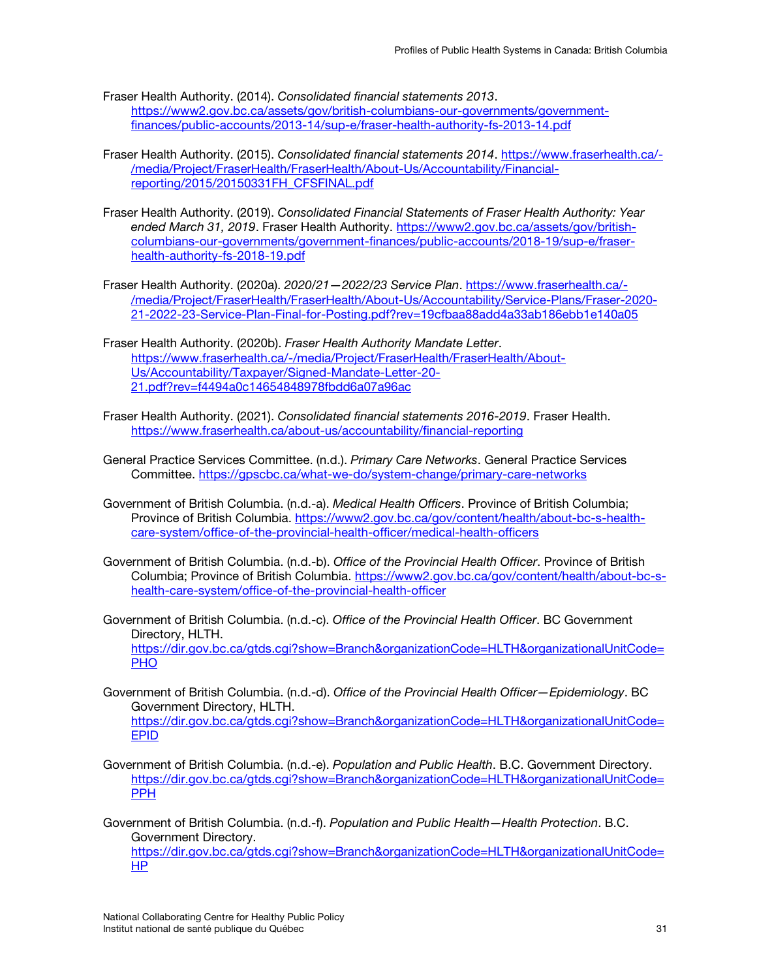- Fraser Health Authority. (2014). *Consolidated financial statements 2013*. [https://www2.gov.bc.ca/assets/gov/british-columbians-our-governments/government](https://www2.gov.bc.ca/assets/gov/british-columbians-our-governments/government-finances/public-accounts/2013-14/sup-e/fraser-health-authority-fs-2013-14.pdf)[finances/public-accounts/2013-14/sup-e/fraser-health-authority-fs-2013-14.pdf](https://www2.gov.bc.ca/assets/gov/british-columbians-our-governments/government-finances/public-accounts/2013-14/sup-e/fraser-health-authority-fs-2013-14.pdf)
- Fraser Health Authority. (2015). *Consolidated financial statements 2014*. [https://www.fraserhealth.ca/-](https://www.fraserhealth.ca/-/media/Project/FraserHealth/FraserHealth/About-Us/Accountability/Financial-reporting/2015/20150331FH_CFSFINAL.pdf) [/media/Project/FraserHealth/FraserHealth/About-Us/Accountability/Financial](https://www.fraserhealth.ca/-/media/Project/FraserHealth/FraserHealth/About-Us/Accountability/Financial-reporting/2015/20150331FH_CFSFINAL.pdf)[reporting/2015/20150331FH\\_CFSFINAL.pdf](https://www.fraserhealth.ca/-/media/Project/FraserHealth/FraserHealth/About-Us/Accountability/Financial-reporting/2015/20150331FH_CFSFINAL.pdf)
- Fraser Health Authority. (2019). *Consolidated Financial Statements of Fraser Health Authority: Year ended March 31, 2019*. Fraser Health Authority. [https://www2.gov.bc.ca/assets/gov/british](https://www2.gov.bc.ca/assets/gov/british-columbians-our-governments/government-finances/public-accounts/2018-19/sup-e/fraser-health-authority-fs-2018-19.pdf)[columbians-our-governments/government-finances/public-accounts/2018-19/sup-e/fraser](https://www2.gov.bc.ca/assets/gov/british-columbians-our-governments/government-finances/public-accounts/2018-19/sup-e/fraser-health-authority-fs-2018-19.pdf)[health-authority-fs-2018-19.pdf](https://www2.gov.bc.ca/assets/gov/british-columbians-our-governments/government-finances/public-accounts/2018-19/sup-e/fraser-health-authority-fs-2018-19.pdf)
- Fraser Health Authority. (2020a). *2020/21—2022/23 Service Plan*. [https://www.fraserhealth.ca/-](https://www.fraserhealth.ca/-/media/Project/FraserHealth/FraserHealth/About-Us/Accountability/Service-Plans/Fraser-2020-21-2022-23-Service-Plan-Final-for-Posting.pdf?rev=19cfbaa88add4a33ab186ebb1e140a05) [/media/Project/FraserHealth/FraserHealth/About-Us/Accountability/Service-Plans/Fraser-2020-](https://www.fraserhealth.ca/-/media/Project/FraserHealth/FraserHealth/About-Us/Accountability/Service-Plans/Fraser-2020-21-2022-23-Service-Plan-Final-for-Posting.pdf?rev=19cfbaa88add4a33ab186ebb1e140a05) [21-2022-23-Service-Plan-Final-for-Posting.pdf?rev=19cfbaa88add4a33ab186ebb1e140a05](https://www.fraserhealth.ca/-/media/Project/FraserHealth/FraserHealth/About-Us/Accountability/Service-Plans/Fraser-2020-21-2022-23-Service-Plan-Final-for-Posting.pdf?rev=19cfbaa88add4a33ab186ebb1e140a05)
- Fraser Health Authority. (2020b). *Fraser Health Authority Mandate Letter*. [https://www.fraserhealth.ca/-/media/Project/FraserHealth/FraserHealth/About-](https://www.fraserhealth.ca/-/media/Project/FraserHealth/FraserHealth/About-Us/Accountability/Taxpayer/Signed-Mandate-Letter-20-21.pdf?rev=f4494a0c14654848978fbdd6a07a96ac)[Us/Accountability/Taxpayer/Signed-Mandate-Letter-20-](https://www.fraserhealth.ca/-/media/Project/FraserHealth/FraserHealth/About-Us/Accountability/Taxpayer/Signed-Mandate-Letter-20-21.pdf?rev=f4494a0c14654848978fbdd6a07a96ac) [21.pdf?rev=f4494a0c14654848978fbdd6a07a96ac](https://www.fraserhealth.ca/-/media/Project/FraserHealth/FraserHealth/About-Us/Accountability/Taxpayer/Signed-Mandate-Letter-20-21.pdf?rev=f4494a0c14654848978fbdd6a07a96ac)
- Fraser Health Authority. (2021). *Consolidated financial statements 2016-2019*. Fraser Health. <https://www.fraserhealth.ca/about-us/accountability/financial-reporting>
- General Practice Services Committee. (n.d.). *Primary Care Networks*. General Practice Services Committee.<https://gpscbc.ca/what-we-do/system-change/primary-care-networks>
- Government of British Columbia. (n.d.-a). *Medical Health Officers*. Province of British Columbia; Province of British Columbia. [https://www2.gov.bc.ca/gov/content/health/about-bc-s-health](https://www2.gov.bc.ca/gov/content/health/about-bc-s-health-care-system/office-of-the-provincial-health-officer/medical-health-officers)[care-system/office-of-the-provincial-health-officer/medical-health-officers](https://www2.gov.bc.ca/gov/content/health/about-bc-s-health-care-system/office-of-the-provincial-health-officer/medical-health-officers)
- Government of British Columbia. (n.d.-b). *Office of the Provincial Health Officer*. Province of British Columbia; Province of British Columbia. [https://www2.gov.bc.ca/gov/content/health/about-bc-s](https://www2.gov.bc.ca/gov/content/health/about-bc-s-health-care-system/office-of-the-provincial-health-officer)[health-care-system/office-of-the-provincial-health-officer](https://www2.gov.bc.ca/gov/content/health/about-bc-s-health-care-system/office-of-the-provincial-health-officer)
- Government of British Columbia. (n.d.-c). *Office of the Provincial Health Officer*. BC Government Directory, HLTH. [https://dir.gov.bc.ca/gtds.cgi?show=Branch&organizationCode=HLTH&organizationalUnitCode=](https://dir.gov.bc.ca/gtds.cgi?show=Branch&organizationCode=HLTH&organizationalUnitCode=PHO) [PHO](https://dir.gov.bc.ca/gtds.cgi?show=Branch&organizationCode=HLTH&organizationalUnitCode=PHO)
- Government of British Columbia. (n.d.-d). *Office of the Provincial Health Officer—Epidemiology*. BC Government Directory, HLTH. [https://dir.gov.bc.ca/gtds.cgi?show=Branch&organizationCode=HLTH&organizationalUnitCode=](https://dir.gov.bc.ca/gtds.cgi?show=Branch&organizationCode=HLTH&organizationalUnitCode=EPID) [EPID](https://dir.gov.bc.ca/gtds.cgi?show=Branch&organizationCode=HLTH&organizationalUnitCode=EPID)
- Government of British Columbia. (n.d.-e). *Population and Public Health*. B.C. Government Directory. [https://dir.gov.bc.ca/gtds.cgi?show=Branch&organizationCode=HLTH&organizationalUnitCode=](https://dir.gov.bc.ca/gtds.cgi?show=Branch&organizationCode=HLTH&organizationalUnitCode=PPH) [PPH](https://dir.gov.bc.ca/gtds.cgi?show=Branch&organizationCode=HLTH&organizationalUnitCode=PPH)
- Government of British Columbia. (n.d.-f). *Population and Public Health—Health Protection*. B.C. Government Directory. [https://dir.gov.bc.ca/gtds.cgi?show=Branch&organizationCode=HLTH&organizationalUnitCode=](https://dir.gov.bc.ca/gtds.cgi?show=Branch&organizationCode=HLTH&organizationalUnitCode=HP) [HP](https://dir.gov.bc.ca/gtds.cgi?show=Branch&organizationCode=HLTH&organizationalUnitCode=HP)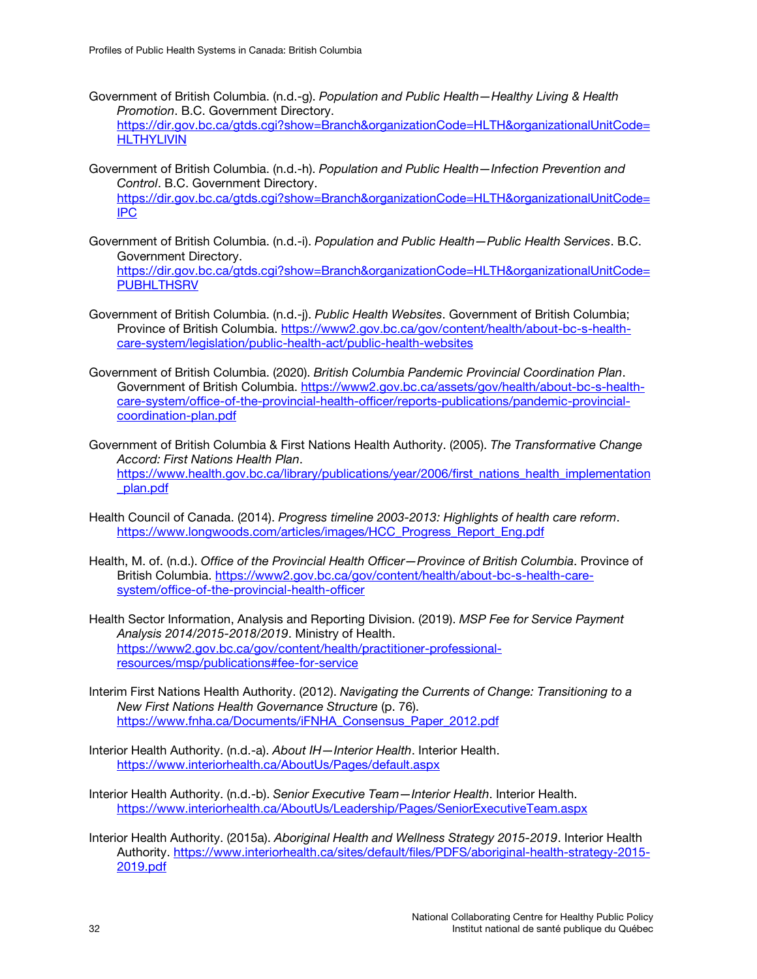- Government of British Columbia. (n.d.-g). *Population and Public Health—Healthy Living & Health Promotion*. B.C. Government Directory. [https://dir.gov.bc.ca/gtds.cgi?show=Branch&organizationCode=HLTH&organizationalUnitCode=](https://dir.gov.bc.ca/gtds.cgi?show=Branch&organizationCode=HLTH&organizationalUnitCode=HLTHYLIVIN) **[HLTHYLIVIN](https://dir.gov.bc.ca/gtds.cgi?show=Branch&organizationCode=HLTH&organizationalUnitCode=HLTHYLIVIN)**
- Government of British Columbia. (n.d.-h). *Population and Public Health—Infection Prevention and Control*. B.C. Government Directory. [https://dir.gov.bc.ca/gtds.cgi?show=Branch&organizationCode=HLTH&organizationalUnitCode=](https://dir.gov.bc.ca/gtds.cgi?show=Branch&organizationCode=HLTH&organizationalUnitCode=IPC) [IPC](https://dir.gov.bc.ca/gtds.cgi?show=Branch&organizationCode=HLTH&organizationalUnitCode=IPC)
- Government of British Columbia. (n.d.-i). *Population and Public Health—Public Health Services*. B.C. Government Directory. [https://dir.gov.bc.ca/gtds.cgi?show=Branch&organizationCode=HLTH&organizationalUnitCode=](https://dir.gov.bc.ca/gtds.cgi?show=Branch&organizationCode=HLTH&organizationalUnitCode=PUBHLTHSRV) **[PUBHLTHSRV](https://dir.gov.bc.ca/gtds.cgi?show=Branch&organizationCode=HLTH&organizationalUnitCode=PUBHLTHSRV)**
- Government of British Columbia. (n.d.-j). *Public Health Websites*. Government of British Columbia; Province of British Columbia. [https://www2.gov.bc.ca/gov/content/health/about-bc-s-health](https://www2.gov.bc.ca/gov/content/health/about-bc-s-health-care-system/legislation/public-health-act/public-health-websites)[care-system/legislation/public-health-act/public-health-websites](https://www2.gov.bc.ca/gov/content/health/about-bc-s-health-care-system/legislation/public-health-act/public-health-websites)
- Government of British Columbia. (2020). *British Columbia Pandemic Provincial Coordination Plan*. Government of British Columbia. [https://www2.gov.bc.ca/assets/gov/health/about-bc-s-health](https://www2.gov.bc.ca/assets/gov/health/about-bc-s-health-care-system/office-of-the-provincial-health-officer/reports-publications/pandemic-provincial-coordination-plan.pdf)[care-system/office-of-the-provincial-health-officer/reports-publications/pandemic-provincial](https://www2.gov.bc.ca/assets/gov/health/about-bc-s-health-care-system/office-of-the-provincial-health-officer/reports-publications/pandemic-provincial-coordination-plan.pdf)[coordination-plan.pdf](https://www2.gov.bc.ca/assets/gov/health/about-bc-s-health-care-system/office-of-the-provincial-health-officer/reports-publications/pandemic-provincial-coordination-plan.pdf)
- Government of British Columbia & First Nations Health Authority. (2005). *The Transformative Change Accord: First Nations Health Plan*. [https://www.health.gov.bc.ca/library/publications/year/2006/first\\_nations\\_health\\_implementation](https://www.health.gov.bc.ca/library/publications/year/2006/first_nations_health_implementation_plan.pdf) [\\_plan.pdf](https://www.health.gov.bc.ca/library/publications/year/2006/first_nations_health_implementation_plan.pdf)
- Health Council of Canada. (2014). *Progress timeline 2003-2013: Highlights of health care reform*. [https://www.longwoods.com/articles/images/HCC\\_Progress\\_Report\\_Eng.pdf](https://www.longwoods.com/articles/images/HCC_Progress_Report_Eng.pdf)
- Health, M. of. (n.d.). *Office of the Provincial Health Officer—Province of British Columbia*. Province of British Columbia. [https://www2.gov.bc.ca/gov/content/health/about-bc-s-health-care](https://www2.gov.bc.ca/gov/content/health/about-bc-s-health-care-system/office-of-the-provincial-health-officer)[system/office-of-the-provincial-health-officer](https://www2.gov.bc.ca/gov/content/health/about-bc-s-health-care-system/office-of-the-provincial-health-officer)
- Health Sector Information, Analysis and Reporting Division. (2019). *MSP Fee for Service Payment Analysis 2014/2015-2018/2019*. Ministry of Health. [https://www2.gov.bc.ca/gov/content/health/practitioner-professional](https://www2.gov.bc.ca/gov/content/health/practitioner-professional-resources/msp/publications#fee-for-service)[resources/msp/publications#fee-for-service](https://www2.gov.bc.ca/gov/content/health/practitioner-professional-resources/msp/publications#fee-for-service)
- Interim First Nations Health Authority. (2012). *Navigating the Currents of Change: Transitioning to a New First Nations Health Governance Structure* (p. 76). [https://www.fnha.ca/Documents/iFNHA\\_Consensus\\_Paper\\_2012.pdf](https://www.fnha.ca/Documents/iFNHA_Consensus_Paper_2012.pdf)
- Interior Health Authority. (n.d.-a). *About IH—Interior Health*. Interior Health. <https://www.interiorhealth.ca/AboutUs/Pages/default.aspx>
- Interior Health Authority. (n.d.-b). *Senior Executive Team—Interior Health*. Interior Health. <https://www.interiorhealth.ca/AboutUs/Leadership/Pages/SeniorExecutiveTeam.aspx>
- Interior Health Authority. (2015a). *Aboriginal Health and Wellness Strategy 2015-2019*. Interior Health Authority. [https://www.interiorhealth.ca/sites/default/files/PDFS/aboriginal-health-strategy-2015-](https://www.interiorhealth.ca/sites/default/files/PDFS/aboriginal-health-strategy-2015-2019.pdf) [2019.pdf](https://www.interiorhealth.ca/sites/default/files/PDFS/aboriginal-health-strategy-2015-2019.pdf)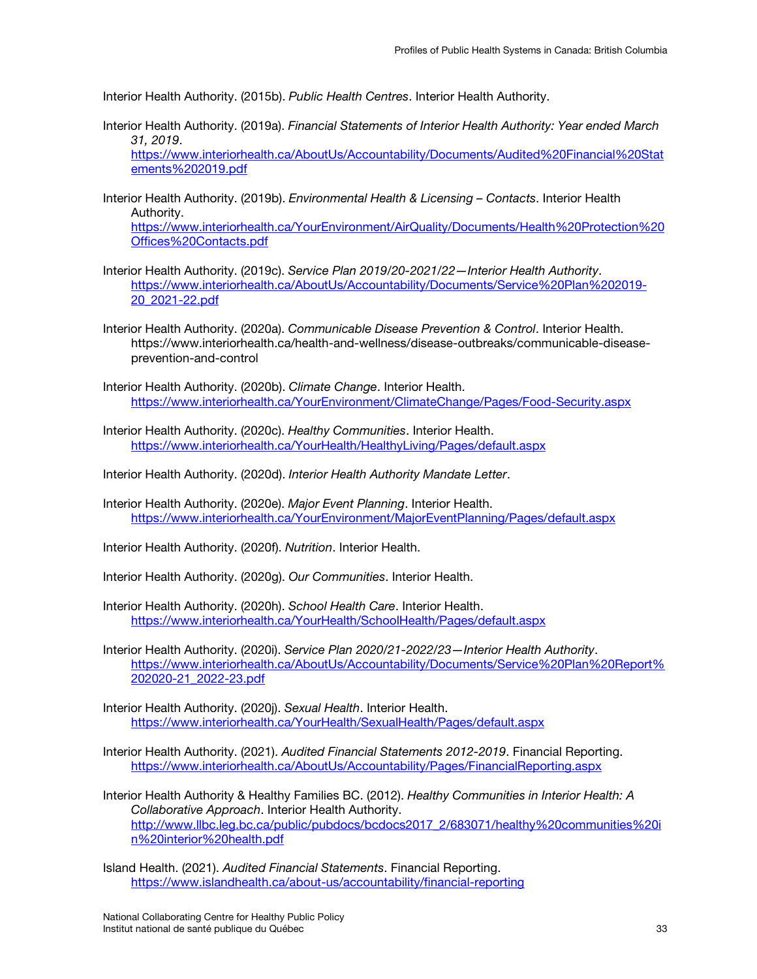Interior Health Authority. (2015b). *Public Health Centres*. Interior Health Authority.

Interior Health Authority. (2019a). *Financial Statements of Interior Health Authority: Year ended March 31, 2019*.

[https://www.interiorhealth.ca/AboutUs/Accountability/Documents/Audited%20Financial%20Stat](https://www.interiorhealth.ca/AboutUs/Accountability/Documents/Audited%20Financial%20Statements%202019.pdf) [ements%202019.pdf](https://www.interiorhealth.ca/AboutUs/Accountability/Documents/Audited%20Financial%20Statements%202019.pdf)

Interior Health Authority. (2019b). *Environmental Health & Licensing – Contacts*. Interior Health Authority.

[https://www.interiorhealth.ca/YourEnvironment/AirQuality/Documents/Health%20Protection%20](https://www.interiorhealth.ca/YourEnvironment/AirQuality/Documents/Health%20Protection%20Offices%20Contacts.pdf) [Offices%20Contacts.pdf](https://www.interiorhealth.ca/YourEnvironment/AirQuality/Documents/Health%20Protection%20Offices%20Contacts.pdf)

- Interior Health Authority. (2019c). *Service Plan 2019/20-2021/22—Interior Health Authority*. [https://www.interiorhealth.ca/AboutUs/Accountability/Documents/Service%20Plan%202019-](https://www.interiorhealth.ca/AboutUs/Accountability/Documents/Service%20Plan%202019-20_2021-22.pdf) [20\\_2021-22.pdf](https://www.interiorhealth.ca/AboutUs/Accountability/Documents/Service%20Plan%202019-20_2021-22.pdf)
- Interior Health Authority. (2020a). *Communicable Disease Prevention & Control*. Interior Health. https://www.interiorhealth.ca/health-and-wellness/disease-outbreaks/communicable-diseaseprevention-and-control

Interior Health Authority. (2020b). *Climate Change*. Interior Health. <https://www.interiorhealth.ca/YourEnvironment/ClimateChange/Pages/Food-Security.aspx>

Interior Health Authority. (2020c). *Healthy Communities*. Interior Health. <https://www.interiorhealth.ca/YourHealth/HealthyLiving/Pages/default.aspx>

Interior Health Authority. (2020d). *Interior Health Authority Mandate Letter*.

Interior Health Authority. (2020e). *Major Event Planning*. Interior Health. <https://www.interiorhealth.ca/YourEnvironment/MajorEventPlanning/Pages/default.aspx>

Interior Health Authority. (2020f). *Nutrition*. Interior Health.

Interior Health Authority. (2020g). *Our Communities*. Interior Health.

Interior Health Authority. (2020h). *School Health Care*. Interior Health. <https://www.interiorhealth.ca/YourHealth/SchoolHealth/Pages/default.aspx>

Interior Health Authority. (2020i). *Service Plan 2020/21-2022/23—Interior Health Authority*. [https://www.interiorhealth.ca/AboutUs/Accountability/Documents/Service%20Plan%20Report%](https://www.interiorhealth.ca/AboutUs/Accountability/Documents/Service%20Plan%20Report%202020-21_2022-23.pdf) [202020-21\\_2022-23.pdf](https://www.interiorhealth.ca/AboutUs/Accountability/Documents/Service%20Plan%20Report%202020-21_2022-23.pdf)

Interior Health Authority. (2020j). *Sexual Health*. Interior Health. <https://www.interiorhealth.ca/YourHealth/SexualHealth/Pages/default.aspx>

Interior Health Authority. (2021). *Audited Financial Statements 2012-2019*. Financial Reporting. <https://www.interiorhealth.ca/AboutUs/Accountability/Pages/FinancialReporting.aspx>

Interior Health Authority & Healthy Families BC. (2012). *Healthy Communities in Interior Health: A Collaborative Approach*. Interior Health Authority. [http://www.llbc.leg.bc.ca/public/pubdocs/bcdocs2017\\_2/683071/healthy%20communities%20i](http://www.llbc.leg.bc.ca/public/pubdocs/bcdocs2017_2/683071/healthy%20communities%20in%20interior%20health.pdf) [n%20interior%20health.pdf](http://www.llbc.leg.bc.ca/public/pubdocs/bcdocs2017_2/683071/healthy%20communities%20in%20interior%20health.pdf)

Island Health. (2021). *Audited Financial Statements*. Financial Reporting. <https://www.islandhealth.ca/about-us/accountability/financial-reporting>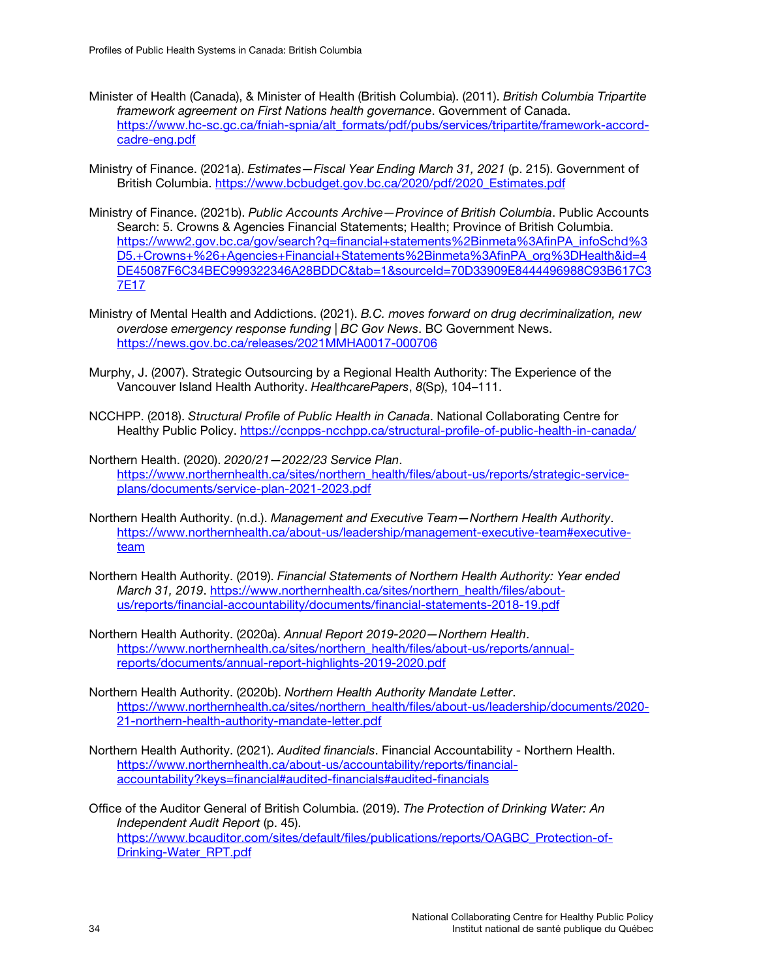- Minister of Health (Canada), & Minister of Health (British Columbia). (2011). *British Columbia Tripartite framework agreement on First Nations health governance*. Government of Canada. [https://www.hc-sc.gc.ca/fniah-spnia/alt\\_formats/pdf/pubs/services/tripartite/framework-accord](https://www.hc-sc.gc.ca/fniah-spnia/alt_formats/pdf/pubs/services/tripartite/framework-accord-cadre-eng.pdf)[cadre-eng.pdf](https://www.hc-sc.gc.ca/fniah-spnia/alt_formats/pdf/pubs/services/tripartite/framework-accord-cadre-eng.pdf)
- Ministry of Finance. (2021a). *Estimates—Fiscal Year Ending March 31, 2021* (p. 215). Government of British Columbia. [https://www.bcbudget.gov.bc.ca/2020/pdf/2020\\_Estimates.pdf](https://www.bcbudget.gov.bc.ca/2020/pdf/2020_Estimates.pdf)
- Ministry of Finance. (2021b). *Public Accounts Archive—Province of British Columbia*. Public Accounts Search: 5. Crowns & Agencies Financial Statements; Health; Province of British Columbia. [https://www2.gov.bc.ca/gov/search?q=financial+statements%2Binmeta%3AfinPA\\_infoSchd%3](https://www2.gov.bc.ca/gov/search?q=financial+statements%2Binmeta%3AfinPA_infoSchd%3D5.+Crowns+%26+Agencies+Financial+Statements%2Binmeta%3AfinPA_org%3DHealth&id=4DE45087F6C34BEC999322346A28BDDC&tab=1&sourceId=70D33909E8444496988C93B617C37E17) [D5.+Crowns+%26+Agencies+Financial+Statements%2Binmeta%3AfinPA\\_org%3DHealth&id=4](https://www2.gov.bc.ca/gov/search?q=financial+statements%2Binmeta%3AfinPA_infoSchd%3D5.+Crowns+%26+Agencies+Financial+Statements%2Binmeta%3AfinPA_org%3DHealth&id=4DE45087F6C34BEC999322346A28BDDC&tab=1&sourceId=70D33909E8444496988C93B617C37E17) [DE45087F6C34BEC999322346A28BDDC&tab=1&sourceId=70D33909E8444496988C93B617C3](https://www2.gov.bc.ca/gov/search?q=financial+statements%2Binmeta%3AfinPA_infoSchd%3D5.+Crowns+%26+Agencies+Financial+Statements%2Binmeta%3AfinPA_org%3DHealth&id=4DE45087F6C34BEC999322346A28BDDC&tab=1&sourceId=70D33909E8444496988C93B617C37E17) [7E17](https://www2.gov.bc.ca/gov/search?q=financial+statements%2Binmeta%3AfinPA_infoSchd%3D5.+Crowns+%26+Agencies+Financial+Statements%2Binmeta%3AfinPA_org%3DHealth&id=4DE45087F6C34BEC999322346A28BDDC&tab=1&sourceId=70D33909E8444496988C93B617C37E17)
- Ministry of Mental Health and Addictions. (2021). *B.C. moves forward on drug decriminalization, new overdose emergency response funding | BC Gov News*. BC Government News. <https://news.gov.bc.ca/releases/2021MMHA0017-000706>
- Murphy, J. (2007). Strategic Outsourcing by a Regional Health Authority: The Experience of the Vancouver Island Health Authority. *HealthcarePapers*, *8*(Sp), 104–111.
- NCCHPP. (2018). *Structural Profile of Public Health in Canada*. National Collaborating Centre for Healthy Public Policy.<https://ccnpps-ncchpp.ca/structural-profile-of-public-health-in-canada/>
- Northern Health. (2020). *2020/21—2022/23 Service Plan*. [https://www.northernhealth.ca/sites/northern\\_health/files/about-us/reports/strategic-service](https://www.northernhealth.ca/sites/northern_health/files/about-us/reports/strategic-service-plans/documents/service-plan-2021-2023.pdf)[plans/documents/service-plan-2021-2023.pdf](https://www.northernhealth.ca/sites/northern_health/files/about-us/reports/strategic-service-plans/documents/service-plan-2021-2023.pdf)
- Northern Health Authority. (n.d.). *Management and Executive Team—Northern Health Authority*. [https://www.northernhealth.ca/about-us/leadership/management-executive-team#executive](https://www.northernhealth.ca/about-us/leadership/management-executive-team#executive-team)[team](https://www.northernhealth.ca/about-us/leadership/management-executive-team#executive-team)
- Northern Health Authority. (2019). *Financial Statements of Northern Health Authority: Year ended March 31, 2019*. [https://www.northernhealth.ca/sites/northern\\_health/files/about](https://www.northernhealth.ca/sites/northern_health/files/about-us/reports/financial-accountability/documents/financial-statements-2018-19.pdf)[us/reports/financial-accountability/documents/financial-statements-2018-19.pdf](https://www.northernhealth.ca/sites/northern_health/files/about-us/reports/financial-accountability/documents/financial-statements-2018-19.pdf)
- Northern Health Authority. (2020a). *Annual Report 2019-2020—Northern Health*. [https://www.northernhealth.ca/sites/northern\\_health/files/about-us/reports/annual](https://www.northernhealth.ca/sites/northern_health/files/about-us/reports/annual-reports/documents/annual-report-highlights-2019-2020.pdf)[reports/documents/annual-report-highlights-2019-2020.pdf](https://www.northernhealth.ca/sites/northern_health/files/about-us/reports/annual-reports/documents/annual-report-highlights-2019-2020.pdf)
- Northern Health Authority. (2020b). *Northern Health Authority Mandate Letter*. [https://www.northernhealth.ca/sites/northern\\_health/files/about-us/leadership/documents/2020-](https://www.northernhealth.ca/sites/northern_health/files/about-us/leadership/documents/2020-21-northern-health-authority-mandate-letter.pdf) [21-northern-health-authority-mandate-letter.pdf](https://www.northernhealth.ca/sites/northern_health/files/about-us/leadership/documents/2020-21-northern-health-authority-mandate-letter.pdf)
- Northern Health Authority. (2021). *Audited financials*. Financial Accountability Northern Health. [https://www.northernhealth.ca/about-us/accountability/reports/financial](https://www.northernhealth.ca/about-us/accountability/reports/financial-accountability?keys=financial#audited-financials)[accountability?keys=financial#audited-financials#audited-financials](https://www.northernhealth.ca/about-us/accountability/reports/financial-accountability?keys=financial#audited-financials)

Office of the Auditor General of British Columbia. (2019). *The Protection of Drinking Water: An Independent Audit Report* (p. 45). [https://www.bcauditor.com/sites/default/files/publications/reports/OAGBC\\_Protection-of-](https://www.bcauditor.com/sites/default/files/publications/reports/OAGBC_Protection-of-Drinking-Water_RPT.pdf)[Drinking-Water\\_RPT.pdf](https://www.bcauditor.com/sites/default/files/publications/reports/OAGBC_Protection-of-Drinking-Water_RPT.pdf)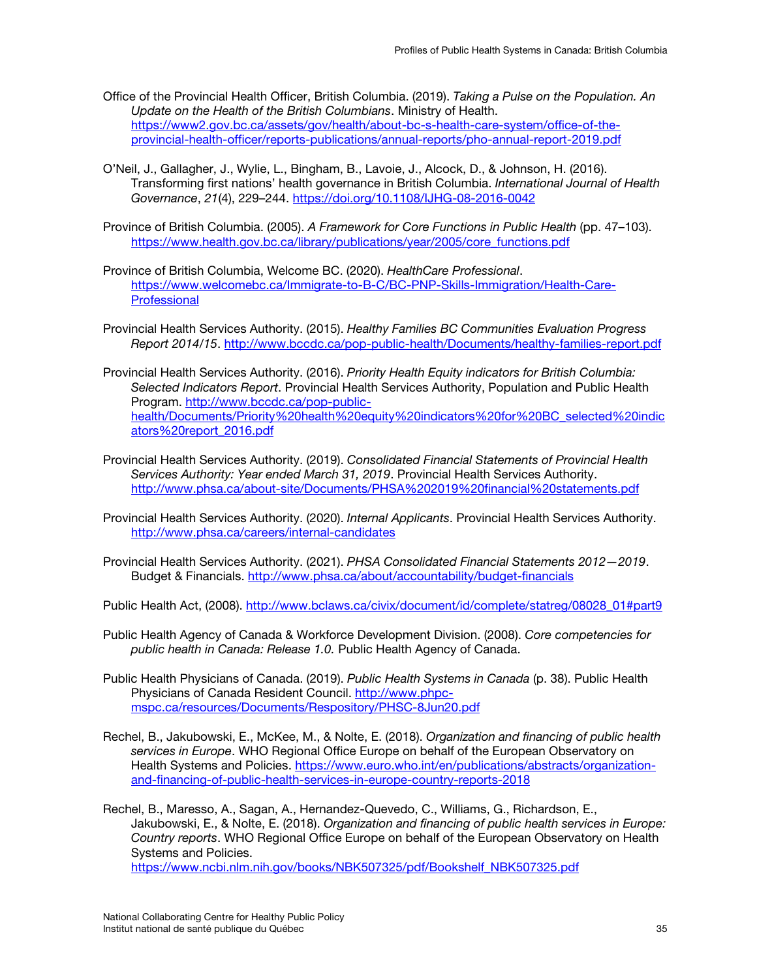- Office of the Provincial Health Officer, British Columbia. (2019). *Taking a Pulse on the Population. An Update on the Health of the British Columbians*. Ministry of Health. [https://www2.gov.bc.ca/assets/gov/health/about-bc-s-health-care-system/office-of-the](https://www2.gov.bc.ca/assets/gov/health/about-bc-s-health-care-system/office-of-the-provincial-health-officer/reports-publications/annual-reports/pho-annual-report-2019.pdf)[provincial-health-officer/reports-publications/annual-reports/pho-annual-report-2019.pdf](https://www2.gov.bc.ca/assets/gov/health/about-bc-s-health-care-system/office-of-the-provincial-health-officer/reports-publications/annual-reports/pho-annual-report-2019.pdf)
- O'Neil, J., Gallagher, J., Wylie, L., Bingham, B., Lavoie, J., Alcock, D., & Johnson, H. (2016). Transforming first nations' health governance in British Columbia. *International Journal of Health Governance*, *21*(4), 229–244.<https://doi.org/10.1108/IJHG-08-2016-0042>
- Province of British Columbia. (2005). *A Framework for Core Functions in Public Health* (pp. 47–103). [https://www.health.gov.bc.ca/library/publications/year/2005/core\\_functions.pdf](https://www.health.gov.bc.ca/library/publications/year/2005/core_functions.pdf)
- Province of British Columbia, Welcome BC. (2020). *HealthCare Professional*. [https://www.welcomebc.ca/Immigrate-to-B-C/BC-PNP-Skills-Immigration/Health-Care-](https://www.welcomebc.ca/Immigrate-to-B-C/BC-PNP-Skills-Immigration/Health-Care-Professional)**[Professional](https://www.welcomebc.ca/Immigrate-to-B-C/BC-PNP-Skills-Immigration/Health-Care-Professional)**
- Provincial Health Services Authority. (2015). *Healthy Families BC Communities Evaluation Progress Report 2014/15*.<http://www.bccdc.ca/pop-public-health/Documents/healthy-families-report.pdf>
- Provincial Health Services Authority. (2016). *Priority Health Equity indicators for British Columbia: Selected Indicators Report*. Provincial Health Services Authority, Population and Public Health Program. [http://www.bccdc.ca/pop-public](http://www.bccdc.ca/pop-public-health/Documents/Priority%20health%20equity%20indicators%20for%20BC_selected%20indicators%20report_2016.pdf)[health/Documents/Priority%20health%20equity%20indicators%20for%20BC\\_selected%20indic](http://www.bccdc.ca/pop-public-health/Documents/Priority%20health%20equity%20indicators%20for%20BC_selected%20indicators%20report_2016.pdf) [ators%20report\\_2016.pdf](http://www.bccdc.ca/pop-public-health/Documents/Priority%20health%20equity%20indicators%20for%20BC_selected%20indicators%20report_2016.pdf)
- Provincial Health Services Authority. (2019). *Consolidated Financial Statements of Provincial Health Services Authority: Year ended March 31, 2019*. Provincial Health Services Authority. <http://www.phsa.ca/about-site/Documents/PHSA%202019%20financial%20statements.pdf>
- Provincial Health Services Authority. (2020). *Internal Applicants*. Provincial Health Services Authority. <http://www.phsa.ca/careers/internal-candidates>
- Provincial Health Services Authority. (2021). *PHSA Consolidated Financial Statements 2012—2019*. Budget & Financials.<http://www.phsa.ca/about/accountability/budget-financials>
- Public Health Act, (2008). [http://www.bclaws.ca/civix/document/id/complete/statreg/08028\\_01#part9](http://www.bclaws.ca/civix/document/id/complete/statreg/08028_01#part9)
- Public Health Agency of Canada & Workforce Development Division. (2008). *Core competencies for public health in Canada: Release 1.0.* Public Health Agency of Canada.
- Public Health Physicians of Canada. (2019). *Public Health Systems in Canada* (p. 38). Public Health Physicians of Canada Resident Council. [http://www.phpc](http://www.phpc-mspc.ca/resources/Documents/Respository/PHSC-8Jun20.pdf)[mspc.ca/resources/Documents/Respository/PHSC-8Jun20.pdf](http://www.phpc-mspc.ca/resources/Documents/Respository/PHSC-8Jun20.pdf)
- Rechel, B., Jakubowski, E., McKee, M., & Nolte, E. (2018). *Organization and financing of public health services in Europe*. WHO Regional Office Europe on behalf of the European Observatory on Health Systems and Policies. [https://www.euro.who.int/en/publications/abstracts/organization](https://www.euro.who.int/en/publications/abstracts/organization-and-financing-of-public-health-services-in-europe-country-reports-2018)[and-financing-of-public-health-services-in-europe-country-reports-2018](https://www.euro.who.int/en/publications/abstracts/organization-and-financing-of-public-health-services-in-europe-country-reports-2018)
- Rechel, B., Maresso, A., Sagan, A., Hernandez-Quevedo, C., Williams, G., Richardson, E., Jakubowski, E., & Nolte, E. (2018). *Organization and financing of public health services in Europe: Country reports*. WHO Regional Office Europe on behalf of the European Observatory on Health Systems and Policies.

[https://www.ncbi.nlm.nih.gov/books/NBK507325/pdf/Bookshelf\\_NBK507325.pdf](https://www.ncbi.nlm.nih.gov/books/NBK507325/pdf/Bookshelf_NBK507325.pdf)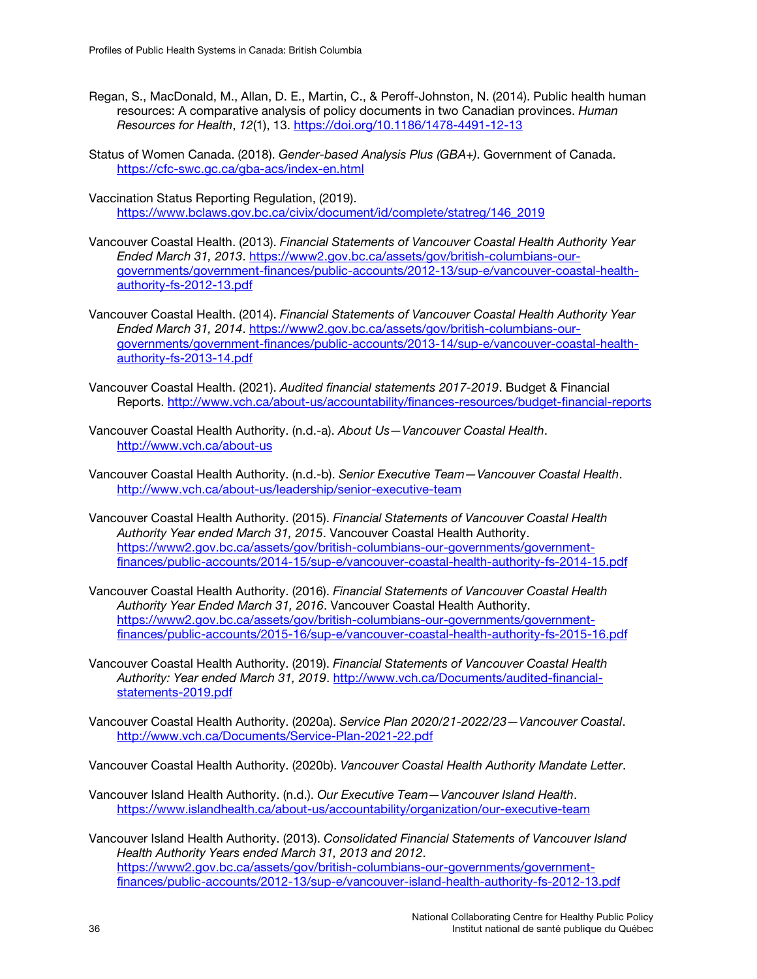- Regan, S., MacDonald, M., Allan, D. E., Martin, C., & Peroff-Johnston, N. (2014). Public health human resources: A comparative analysis of policy documents in two Canadian provinces. *Human Resources for Health*, *12*(1), 13.<https://doi.org/10.1186/1478-4491-12-13>
- Status of Women Canada. (2018). *Gender-based Analysis Plus (GBA+)*. Government of Canada. <https://cfc-swc.gc.ca/gba-acs/index-en.html>
- Vaccination Status Reporting Regulation, (2019). [https://www.bclaws.gov.bc.ca/civix/document/id/complete/statreg/146\\_2019](https://www.bclaws.gov.bc.ca/civix/document/id/complete/statreg/146_2019)
- Vancouver Coastal Health. (2013). *Financial Statements of Vancouver Coastal Health Authority Year Ended March 31, 2013*. [https://www2.gov.bc.ca/assets/gov/british-columbians-our](https://www2.gov.bc.ca/assets/gov/british-columbians-our-governments/government-finances/public-accounts/2012-13/sup-e/vancouver-coastal-health-authority-fs-2012-13.pdf)[governments/government-finances/public-accounts/2012-13/sup-e/vancouver-coastal-health](https://www2.gov.bc.ca/assets/gov/british-columbians-our-governments/government-finances/public-accounts/2012-13/sup-e/vancouver-coastal-health-authority-fs-2012-13.pdf)[authority-fs-2012-13.pdf](https://www2.gov.bc.ca/assets/gov/british-columbians-our-governments/government-finances/public-accounts/2012-13/sup-e/vancouver-coastal-health-authority-fs-2012-13.pdf)
- Vancouver Coastal Health. (2014). *Financial Statements of Vancouver Coastal Health Authority Year Ended March 31, 2014*. [https://www2.gov.bc.ca/assets/gov/british-columbians-our](https://www2.gov.bc.ca/assets/gov/british-columbians-our-governments/government-finances/public-accounts/2013-14/sup-e/vancouver-coastal-health-authority-fs-2013-14.pdf)[governments/government-finances/public-accounts/2013-14/sup-e/vancouver-coastal-health](https://www2.gov.bc.ca/assets/gov/british-columbians-our-governments/government-finances/public-accounts/2013-14/sup-e/vancouver-coastal-health-authority-fs-2013-14.pdf)[authority-fs-2013-14.pdf](https://www2.gov.bc.ca/assets/gov/british-columbians-our-governments/government-finances/public-accounts/2013-14/sup-e/vancouver-coastal-health-authority-fs-2013-14.pdf)
- Vancouver Coastal Health. (2021). *Audited financial statements 2017-2019*. Budget & Financial Reports.<http://www.vch.ca/about-us/accountability/finances-resources/budget-financial-reports>
- Vancouver Coastal Health Authority. (n.d.-a). *About Us—Vancouver Coastal Health*. <http://www.vch.ca/about-us>
- Vancouver Coastal Health Authority. (n.d.-b). *Senior Executive Team—Vancouver Coastal Health*. <http://www.vch.ca/about-us/leadership/senior-executive-team>
- Vancouver Coastal Health Authority. (2015). *Financial Statements of Vancouver Coastal Health Authority Year ended March 31, 2015*. Vancouver Coastal Health Authority. [https://www2.gov.bc.ca/assets/gov/british-columbians-our-governments/government](https://www2.gov.bc.ca/assets/gov/british-columbians-our-governments/government-finances/public-accounts/2014-15/sup-e/vancouver-coastal-health-authority-fs-2014-15.pdf)[finances/public-accounts/2014-15/sup-e/vancouver-coastal-health-authority-fs-2014-15.pdf](https://www2.gov.bc.ca/assets/gov/british-columbians-our-governments/government-finances/public-accounts/2014-15/sup-e/vancouver-coastal-health-authority-fs-2014-15.pdf)
- Vancouver Coastal Health Authority. (2016). *Financial Statements of Vancouver Coastal Health Authority Year Ended March 31, 2016*. Vancouver Coastal Health Authority. [https://www2.gov.bc.ca/assets/gov/british-columbians-our-governments/government](https://www2.gov.bc.ca/assets/gov/british-columbians-our-governments/government-finances/public-accounts/2015-16/sup-e/vancouver-coastal-health-authority-fs-2015-16.pdf)[finances/public-accounts/2015-16/sup-e/vancouver-coastal-health-authority-fs-2015-16.pdf](https://www2.gov.bc.ca/assets/gov/british-columbians-our-governments/government-finances/public-accounts/2015-16/sup-e/vancouver-coastal-health-authority-fs-2015-16.pdf)
- Vancouver Coastal Health Authority. (2019). *Financial Statements of Vancouver Coastal Health Authority: Year ended March 31, 2019*. [http://www.vch.ca/Documents/audited-financial](http://www.vch.ca/Documents/audited-financial-statements-2019.pdf)[statements-2019.pdf](http://www.vch.ca/Documents/audited-financial-statements-2019.pdf)
- Vancouver Coastal Health Authority. (2020a). *Service Plan 2020/21-2022/23—Vancouver Coastal*. <http://www.vch.ca/Documents/Service-Plan-2021-22.pdf>
- Vancouver Coastal Health Authority. (2020b). *Vancouver Coastal Health Authority Mandate Letter*.
- Vancouver Island Health Authority. (n.d.). *Our Executive Team—Vancouver Island Health*. <https://www.islandhealth.ca/about-us/accountability/organization/our-executive-team>
- Vancouver Island Health Authority. (2013). *Consolidated Financial Statements of Vancouver Island Health Authority Years ended March 31, 2013 and 2012*. [https://www2.gov.bc.ca/assets/gov/british-columbians-our-governments/government](https://www2.gov.bc.ca/assets/gov/british-columbians-our-governments/government-finances/public-accounts/2012-13/sup-e/vancouver-island-health-authority-fs-2012-13.pdf)[finances/public-accounts/2012-13/sup-e/vancouver-island-health-authority-fs-2012-13.pdf](https://www2.gov.bc.ca/assets/gov/british-columbians-our-governments/government-finances/public-accounts/2012-13/sup-e/vancouver-island-health-authority-fs-2012-13.pdf)